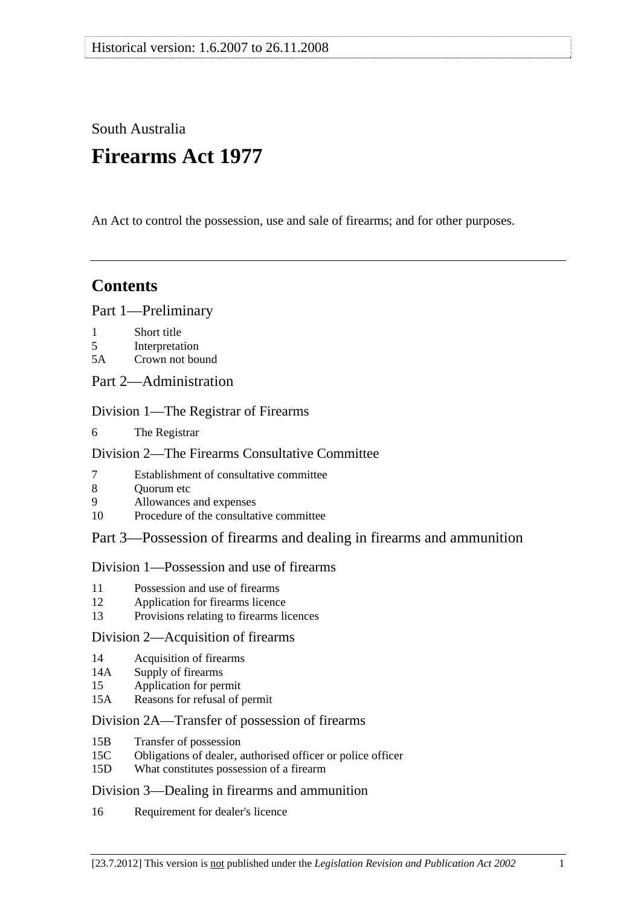# South Australia

# **Firearms Act 1977**

An Act to control the possession, use and sale of firearms; and for other purposes.

## **Contents**

[Part 1—Preliminary](#page-2-0)

- [1 Short title](#page-2-0)
- [5 Interpretation](#page-2-0)
- [5A Crown not bound](#page-9-0)
- [Part 2—Administration](#page-9-0)

## [Division 1—The Registrar of Firearms](#page-9-0)

[6 The Registrar](#page-9-0)

## [Division 2—The Firearms Consultative Committee](#page-9-0)

- [7 Establishment of consultative committee](#page-9-0)
- 8 Ouorum etc
- [9 Allowances and expenses](#page-10-0)
- [10 Procedure of the consultative committee](#page-10-0)

## [Part 3—Possession of firearms and dealing in firearms and ammunition](#page-10-0)

## [Division 1—Possession and use of firearms](#page-10-0)

- [11 Possession and use of firearms](#page-10-0)
- [12 Application for firearms licence](#page-12-0)
- [13 Provisions relating to firearms licences](#page-15-0)

## [Division 2—Acquisition of firearms](#page-16-0)

- [14 Acquisition of firearms](#page-16-0)
- [14A Supply of firearms](#page-18-0)
- [15 Application for permit](#page-20-0)
- [15A Reasons for refusal of permit](#page-20-0)

## [Division 2A—Transfer of possession of firearms](#page-23-0)

- [15B Transfer of possession](#page-23-0)
- [15C Obligations of dealer, authorised officer or police officer](#page-26-0)
- [15D What constitutes possession of a firearm](#page-27-0)

#### [Division 3—Dealing in firearms and ammunition](#page-27-0)

[16 Requirement for dealer's licence](#page-27-0)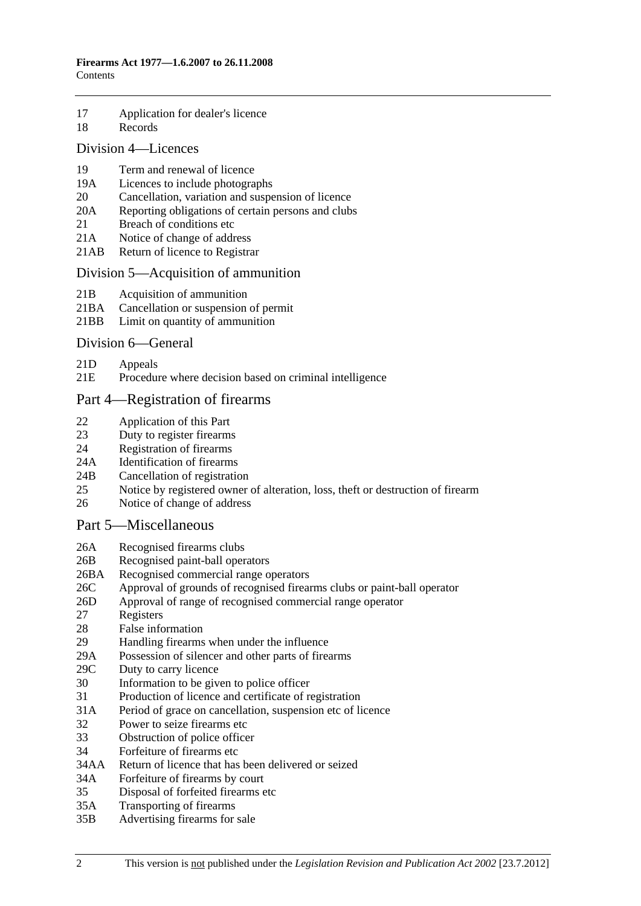- [17 Application for dealer's licence](#page-27-0)
- [18 Records](#page-29-0)

## [Division 4—Licences](#page-29-0)

- [19 Term and renewal of licence](#page-29-0)
- [19A Licences to include photographs](#page-29-0)
- [20 Cancellation, variation and suspension of licence](#page-30-0)<br>20A Reporting obligations of certain persons and club
- Reporting obligations of certain persons and clubs
- [21 Breach of conditions etc](#page-32-0)
- [21A Notice of change of address](#page-32-0)
- [21AB Return of licence to Registrar](#page-32-0)

## [Division 5—Acquisition of ammunition](#page-33-0)

- [21B Acquisition of ammunition](#page-33-0)
- [21BA Cancellation or suspension of permit](#page-34-0)
- [21BB Limit on quantity of ammunition](#page-34-0)

## [Division 6—General](#page-34-0)

- [21D Appeals](#page-34-0)
- [21E Procedure where decision based on criminal intelligence](#page-35-0)

## [Part 4—Registration of firearms](#page-36-0)

- [22 Application of this Part](#page-36-0)
- [23 Duty to register firearms](#page-36-0)
- [24 Registration of firearms](#page-37-0)
- [24A Identification of firearms](#page-37-0)
- [24B Cancellation of registration](#page-38-0)
- [25 Notice by registered owner of alteration, loss, theft or destruction of firearm](#page-38-0)
- [26 Notice of change of address](#page-38-0)

## [Part 5—Miscellaneous](#page-39-0)

- [26A Recognised firearms clubs](#page-39-0)
- [26B Recognised paint-ball operators](#page-39-0)
- [26BA Recognised commercial range operators](#page-39-0)
- [26C Approval of grounds of recognised firearms clubs or paint-ball operator](#page-40-0)
- [26D Approval of range of recognised commercial range operator](#page-41-0)
- [27 Registers](#page-42-0)
- [28 False information](#page-42-0)
- [29 Handling firearms when under the influence](#page-42-0)
- [29A Possession of silencer and other parts of firearms](#page-42-0)
- [29C Duty to carry licence](#page-43-0)
- [30 Information to be given to police officer](#page-43-0)
- [31 Production of licence and certificate of registration](#page-44-0)
- [31A Period of grace on cancellation, suspension etc of licence](#page-44-0)
- [32 Power to seize firearms etc](#page-45-0)
- [33 Obstruction of police officer](#page-46-0)
- [34 Forfeiture of firearms etc](#page-46-0)
- [34AA Return of licence that has been delivered or seized](#page-47-0)
- [34A Forfeiture of firearms by court](#page-47-0)
- [35 Disposal of forfeited firearms etc](#page-48-0)
- [35A Transporting of firearms](#page-48-0)
- [35B Advertising firearms for sale](#page-49-0)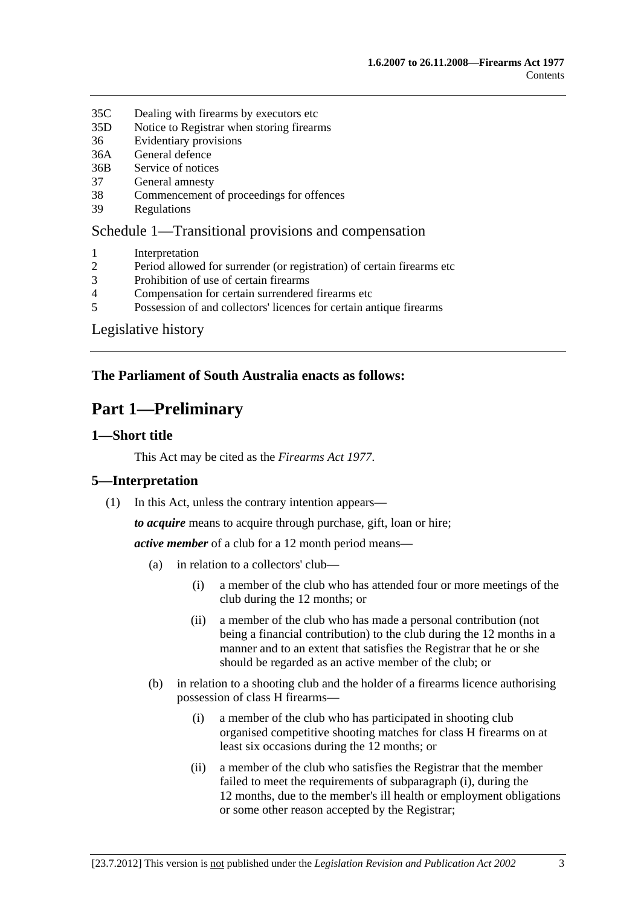- <span id="page-2-0"></span>[35C Dealing with firearms by executors etc](#page-49-0)
- [35D Notice to Registrar when storing firearms](#page-49-0)
- [36 Evidentiary provisions](#page-49-0)
- [36A General defence](#page-50-0)
- [36B Service of notices](#page-50-0)
- [37 General amnesty](#page-50-0)
- [38 Commencement of proceedings for offences](#page-51-0)
- [39 Regulations](#page-51-0)

## [Schedule 1—Transitional provisions and compensation](#page-52-0)

- [1 Interpretation](#page-52-0)
- [2 Period allowed for surrender \(or registration\) of certain firearms etc](#page-52-0)
- [3 Prohibition of use of certain firearms](#page-53-0)
- [4 Compensation for certain surrendered firearms etc](#page-53-0)
- [5 Possession of and collectors' licences for certain antique firearms](#page-53-0)

[Legislative history](#page-55-0) 

## **The Parliament of South Australia enacts as follows:**

## **Part 1—Preliminary**

## **1—Short title**

This Act may be cited as the *Firearms Act 1977*.

## **5—Interpretation**

(1) In this Act, unless the contrary intention appears—

*to acquire* means to acquire through purchase, gift, loan or hire;

*active member* of a club for a 12 month period means—

- (a) in relation to a collectors' club—
	- (i) a member of the club who has attended four or more meetings of the club during the 12 months; or
	- (ii) a member of the club who has made a personal contribution (not being a financial contribution) to the club during the 12 months in a manner and to an extent that satisfies the Registrar that he or she should be regarded as an active member of the club; or
- (b) in relation to a shooting club and the holder of a firearms licence authorising possession of class H firearms—
	- (i) a member of the club who has participated in shooting club organised competitive shooting matches for class H firearms on at least six occasions during the 12 months; or
	- (ii) a member of the club who satisfies the Registrar that the member failed to meet the requirements of [subparagraph \(i\)](#page-2-0), during the 12 months, due to the member's ill health or employment obligations or some other reason accepted by the Registrar;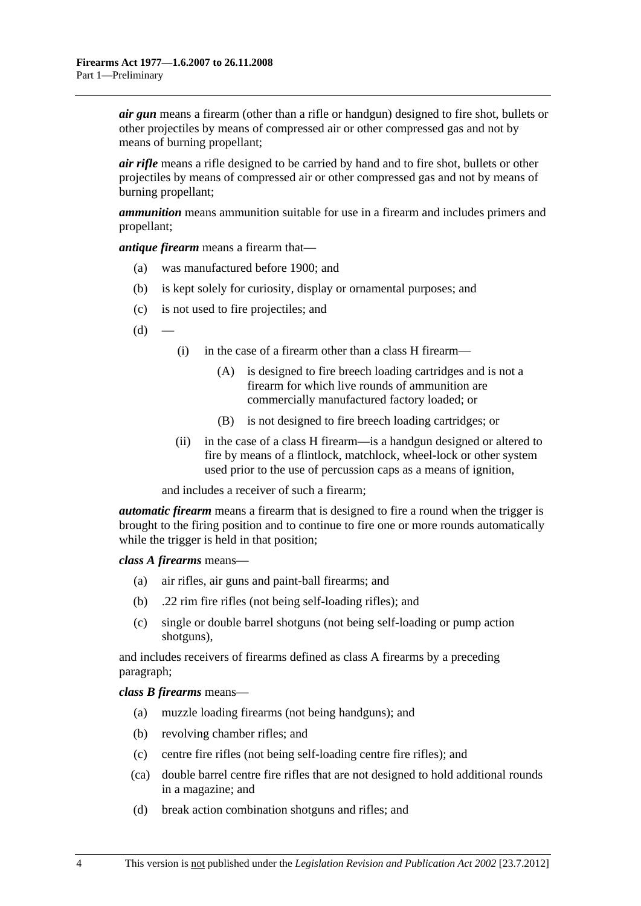*air gun* means a firearm (other than a rifle or handgun) designed to fire shot, bullets or other projectiles by means of compressed air or other compressed gas and not by means of burning propellant;

*air rifle* means a rifle designed to be carried by hand and to fire shot, bullets or other projectiles by means of compressed air or other compressed gas and not by means of burning propellant;

*ammunition* means ammunition suitable for use in a firearm and includes primers and propellant;

*antique firearm* means a firearm that—

- (a) was manufactured before 1900; and
- (b) is kept solely for curiosity, display or ornamental purposes; and
- (c) is not used to fire projectiles; and
- $(d)$ 
	- (i) in the case of a firearm other than a class H firearm—
		- (A) is designed to fire breech loading cartridges and is not a firearm for which live rounds of ammunition are commercially manufactured factory loaded; or
		- (B) is not designed to fire breech loading cartridges; or
	- (ii) in the case of a class H firearm—is a handgun designed or altered to fire by means of a flintlock, matchlock, wheel-lock or other system used prior to the use of percussion caps as a means of ignition,

and includes a receiver of such a firearm;

*automatic firearm* means a firearm that is designed to fire a round when the trigger is brought to the firing position and to continue to fire one or more rounds automatically while the trigger is held in that position;

*class A firearms* means—

- (a) air rifles, air guns and paint-ball firearms; and
- (b) .22 rim fire rifles (not being self-loading rifles); and
- (c) single or double barrel shotguns (not being self-loading or pump action shotguns),

and includes receivers of firearms defined as class A firearms by a preceding paragraph;

*class B firearms* means—

- (a) muzzle loading firearms (not being handguns); and
- (b) revolving chamber rifles; and
- (c) centre fire rifles (not being self-loading centre fire rifles); and
- (ca) double barrel centre fire rifles that are not designed to hold additional rounds in a magazine; and
- (d) break action combination shotguns and rifles; and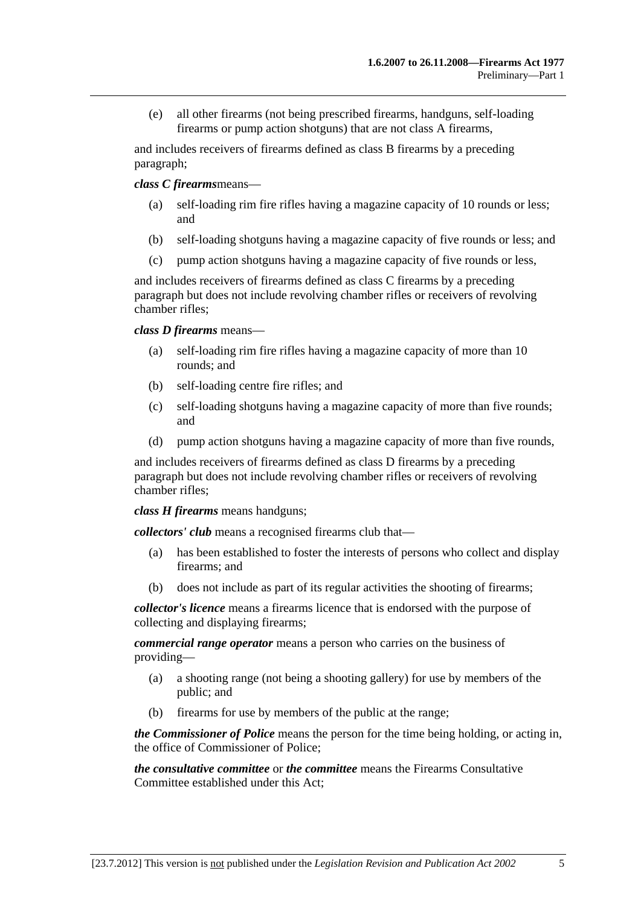(e) all other firearms (not being prescribed firearms, handguns, self-loading firearms or pump action shotguns) that are not class A firearms,

and includes receivers of firearms defined as class B firearms by a preceding paragraph;

*class C firearms*means—

- self-loading rim fire rifles having a magazine capacity of 10 rounds or less; and
- (b) self-loading shotguns having a magazine capacity of five rounds or less; and
- (c) pump action shotguns having a magazine capacity of five rounds or less,

and includes receivers of firearms defined as class C firearms by a preceding paragraph but does not include revolving chamber rifles or receivers of revolving chamber rifles;

*class D firearms* means—

- (a) self-loading rim fire rifles having a magazine capacity of more than 10 rounds; and
- (b) self-loading centre fire rifles; and
- (c) self-loading shotguns having a magazine capacity of more than five rounds; and
- (d) pump action shotguns having a magazine capacity of more than five rounds,

and includes receivers of firearms defined as class D firearms by a preceding paragraph but does not include revolving chamber rifles or receivers of revolving chamber rifles;

*class H firearms* means handguns;

*collectors' club* means a recognised firearms club that—

- (a) has been established to foster the interests of persons who collect and display firearms; and
- (b) does not include as part of its regular activities the shooting of firearms;

*collector's licence* means a firearms licence that is endorsed with the purpose of collecting and displaying firearms;

*commercial range operator* means a person who carries on the business of providing—

- (a) a shooting range (not being a shooting gallery) for use by members of the public; and
- (b) firearms for use by members of the public at the range;

*the Commissioner of Police* means the person for the time being holding, or acting in, the office of Commissioner of Police;

*the consultative committee* or *the committee* means the Firearms Consultative Committee established under this Act;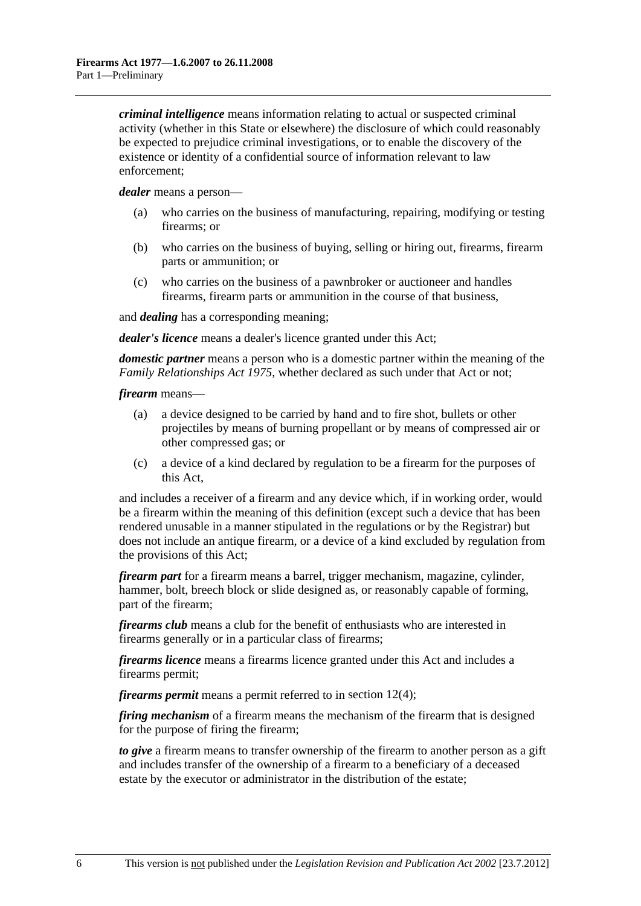*criminal intelligence* means information relating to actual or suspected criminal activity (whether in this State or elsewhere) the disclosure of which could reasonably be expected to prejudice criminal investigations, or to enable the discovery of the existence or identity of a confidential source of information relevant to law enforcement;

*dealer* means a person—

- (a) who carries on the business of manufacturing, repairing, modifying or testing firearms; or
- (b) who carries on the business of buying, selling or hiring out, firearms, firearm parts or ammunition; or
- (c) who carries on the business of a pawnbroker or auctioneer and handles firearms, firearm parts or ammunition in the course of that business,

and *dealing* has a corresponding meaning;

*dealer's licence* means a dealer's licence granted under this Act;

*domestic partner* means a person who is a domestic partner within the meaning of the *[Family Relationships Act 1975](http://www.legislation.sa.gov.au/index.aspx?action=legref&type=act&legtitle=Family%20Relationships%20Act%201975)*, whether declared as such under that Act or not;

*firearm* means—

- (a) a device designed to be carried by hand and to fire shot, bullets or other projectiles by means of burning propellant or by means of compressed air or other compressed gas; or
- (c) a device of a kind declared by regulation to be a firearm for the purposes of this Act,

and includes a receiver of a firearm and any device which, if in working order, would be a firearm within the meaning of this definition (except such a device that has been rendered unusable in a manner stipulated in the regulations or by the Registrar) but does not include an antique firearm, or a device of a kind excluded by regulation from the provisions of this Act;

*firearm part* for a firearm means a barrel, trigger mechanism, magazine, cylinder, hammer, bolt, breech block or slide designed as, or reasonably capable of forming, part of the firearm;

*firearms club* means a club for the benefit of enthusiasts who are interested in firearms generally or in a particular class of firearms;

*firearms licence* means a firearms licence granted under this Act and includes a firearms permit;

*firearms permit* means a permit referred to in [section 12\(4\);](#page-13-0)

*firing mechanism* of a firearm means the mechanism of the firearm that is designed for the purpose of firing the firearm;

*to give* a firearm means to transfer ownership of the firearm to another person as a gift and includes transfer of the ownership of a firearm to a beneficiary of a deceased estate by the executor or administrator in the distribution of the estate;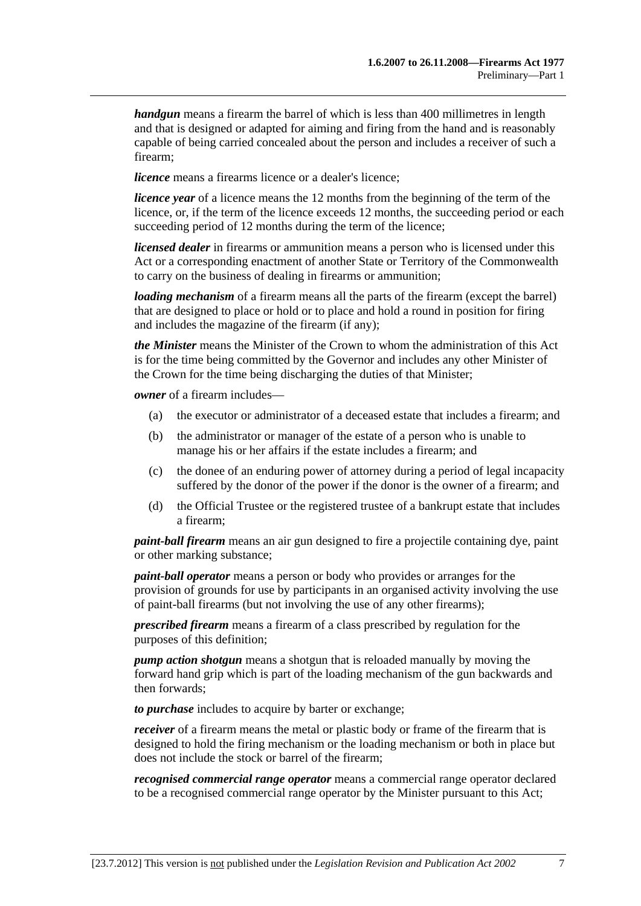*handgun* means a firearm the barrel of which is less than 400 millimetres in length and that is designed or adapted for aiming and firing from the hand and is reasonably capable of being carried concealed about the person and includes a receiver of such a firearm;

*licence* means a firearms licence or a dealer's licence:

*licence year* of a licence means the 12 months from the beginning of the term of the licence, or, if the term of the licence exceeds 12 months, the succeeding period or each succeeding period of 12 months during the term of the licence;

*licensed dealer* in firearms or ammunition means a person who is licensed under this Act or a corresponding enactment of another State or Territory of the Commonwealth to carry on the business of dealing in firearms or ammunition;

*loading mechanism* of a firearm means all the parts of the firearm (except the barrel) that are designed to place or hold or to place and hold a round in position for firing and includes the magazine of the firearm (if any);

*the Minister* means the Minister of the Crown to whom the administration of this Act is for the time being committed by the Governor and includes any other Minister of the Crown for the time being discharging the duties of that Minister;

*owner* of a firearm includes—

- (a) the executor or administrator of a deceased estate that includes a firearm; and
- (b) the administrator or manager of the estate of a person who is unable to manage his or her affairs if the estate includes a firearm; and
- (c) the donee of an enduring power of attorney during a period of legal incapacity suffered by the donor of the power if the donor is the owner of a firearm; and
- (d) the Official Trustee or the registered trustee of a bankrupt estate that includes a firearm;

*paint-ball firearm* means an air gun designed to fire a projectile containing dye, paint or other marking substance;

*paint-ball operator* means a person or body who provides or arranges for the provision of grounds for use by participants in an organised activity involving the use of paint-ball firearms (but not involving the use of any other firearms);

*prescribed firearm* means a firearm of a class prescribed by regulation for the purposes of this definition;

*pump action shotgun* means a shotgun that is reloaded manually by moving the forward hand grip which is part of the loading mechanism of the gun backwards and then forwards;

*to purchase* includes to acquire by barter or exchange;

*receiver* of a firearm means the metal or plastic body or frame of the firearm that is designed to hold the firing mechanism or the loading mechanism or both in place but does not include the stock or barrel of the firearm;

*recognised commercial range operator* means a commercial range operator declared to be a recognised commercial range operator by the Minister pursuant to this Act;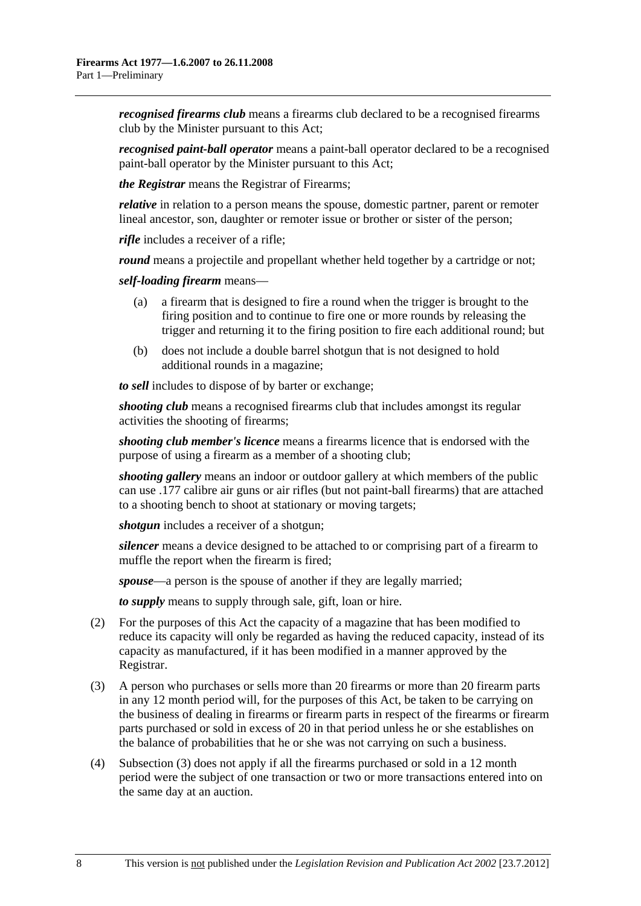<span id="page-7-0"></span>*recognised firearms club* means a firearms club declared to be a recognised firearms club by the Minister pursuant to this Act;

*recognised paint-ball operator* means a paint-ball operator declared to be a recognised paint-ball operator by the Minister pursuant to this Act;

*the Registrar* means the Registrar of Firearms;

*relative* in relation to a person means the spouse, domestic partner, parent or remoter lineal ancestor, son, daughter or remoter issue or brother or sister of the person;

*rifle* includes a receiver of a rifle;

*round* means a projectile and propellant whether held together by a cartridge or not;

*self-loading firearm* means—

- (a) a firearm that is designed to fire a round when the trigger is brought to the firing position and to continue to fire one or more rounds by releasing the trigger and returning it to the firing position to fire each additional round; but
- (b) does not include a double barrel shotgun that is not designed to hold additional rounds in a magazine;

*to sell* includes to dispose of by barter or exchange;

*shooting club* means a recognised firearms club that includes amongst its regular activities the shooting of firearms;

*shooting club member's licence* means a firearms licence that is endorsed with the purpose of using a firearm as a member of a shooting club;

*shooting gallery* means an indoor or outdoor gallery at which members of the public can use .177 calibre air guns or air rifles (but not paint-ball firearms) that are attached to a shooting bench to shoot at stationary or moving targets;

*shotgun* includes a receiver of a shotgun;

*silencer* means a device designed to be attached to or comprising part of a firearm to muffle the report when the firearm is fired;

*spouse*—a person is the spouse of another if they are legally married;

*to supply* means to supply through sale, gift, loan or hire.

- (2) For the purposes of this Act the capacity of a magazine that has been modified to reduce its capacity will only be regarded as having the reduced capacity, instead of its capacity as manufactured, if it has been modified in a manner approved by the Registrar.
- (3) A person who purchases or sells more than 20 firearms or more than 20 firearm parts in any 12 month period will, for the purposes of this Act, be taken to be carrying on the business of dealing in firearms or firearm parts in respect of the firearms or firearm parts purchased or sold in excess of 20 in that period unless he or she establishes on the balance of probabilities that he or she was not carrying on such a business.
- (4) [Subsection \(3\)](#page-7-0) does not apply if all the firearms purchased or sold in a 12 month period were the subject of one transaction or two or more transactions entered into on the same day at an auction.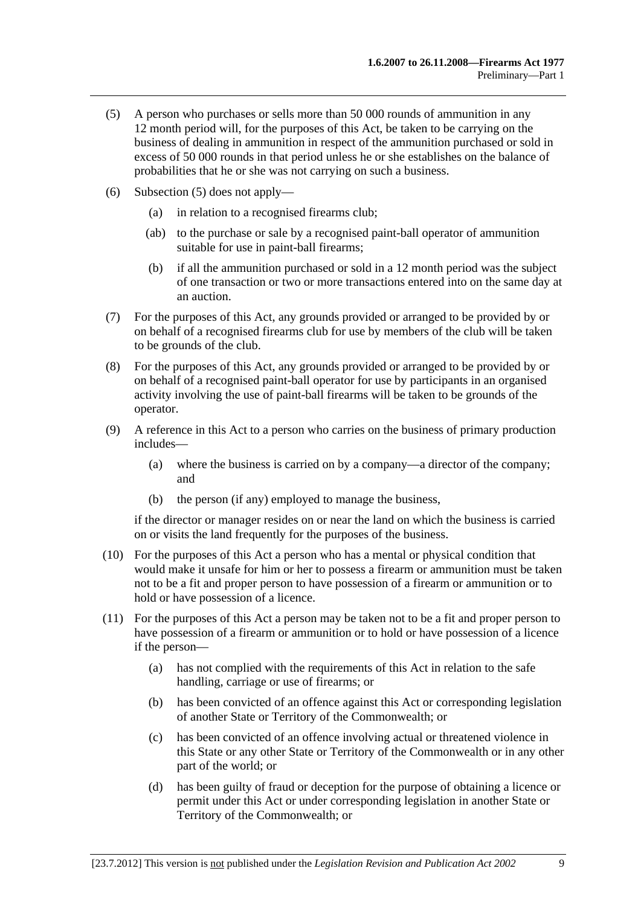- <span id="page-8-0"></span> (5) A person who purchases or sells more than 50 000 rounds of ammunition in any 12 month period will, for the purposes of this Act, be taken to be carrying on the business of dealing in ammunition in respect of the ammunition purchased or sold in excess of 50 000 rounds in that period unless he or she establishes on the balance of probabilities that he or she was not carrying on such a business.
- (6) [Subsection \(5\)](#page-8-0) does not apply—
	- (a) in relation to a recognised firearms club;
	- (ab) to the purchase or sale by a recognised paint-ball operator of ammunition suitable for use in paint-ball firearms;
	- (b) if all the ammunition purchased or sold in a 12 month period was the subject of one transaction or two or more transactions entered into on the same day at an auction.
- (7) For the purposes of this Act, any grounds provided or arranged to be provided by or on behalf of a recognised firearms club for use by members of the club will be taken to be grounds of the club.
- (8) For the purposes of this Act, any grounds provided or arranged to be provided by or on behalf of a recognised paint-ball operator for use by participants in an organised activity involving the use of paint-ball firearms will be taken to be grounds of the operator.
- (9) A reference in this Act to a person who carries on the business of primary production includes—
	- (a) where the business is carried on by a company—a director of the company; and
	- (b) the person (if any) employed to manage the business,

if the director or manager resides on or near the land on which the business is carried on or visits the land frequently for the purposes of the business.

- (10) For the purposes of this Act a person who has a mental or physical condition that would make it unsafe for him or her to possess a firearm or ammunition must be taken not to be a fit and proper person to have possession of a firearm or ammunition or to hold or have possession of a licence.
- (11) For the purposes of this Act a person may be taken not to be a fit and proper person to have possession of a firearm or ammunition or to hold or have possession of a licence if the person—
	- (a) has not complied with the requirements of this Act in relation to the safe handling, carriage or use of firearms; or
	- (b) has been convicted of an offence against this Act or corresponding legislation of another State or Territory of the Commonwealth; or
	- (c) has been convicted of an offence involving actual or threatened violence in this State or any other State or Territory of the Commonwealth or in any other part of the world; or
	- (d) has been guilty of fraud or deception for the purpose of obtaining a licence or permit under this Act or under corresponding legislation in another State or Territory of the Commonwealth; or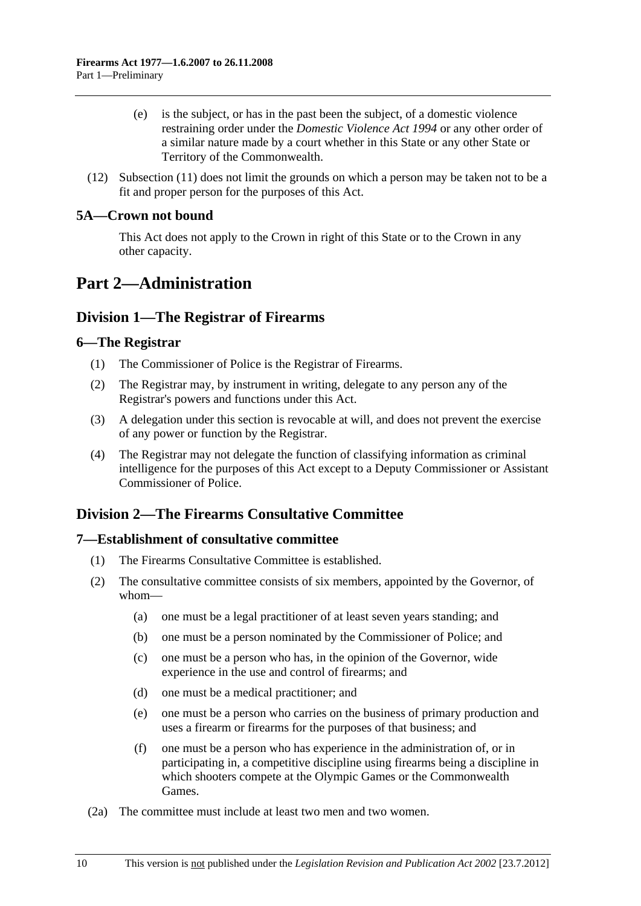- <span id="page-9-0"></span> (e) is the subject, or has in the past been the subject, of a domestic violence restraining order under the *[Domestic Violence Act 1994](http://www.legislation.sa.gov.au/index.aspx?action=legref&type=act&legtitle=Domestic%20Violence%20Act%201994)* or any other order of a similar nature made by a court whether in this State or any other State or Territory of the Commonwealth.
- (12) [Subsection \(11\)](#page-8-0) does not limit the grounds on which a person may be taken not to be a fit and proper person for the purposes of this Act.

## **5A—Crown not bound**

This Act does not apply to the Crown in right of this State or to the Crown in any other capacity.

## **Part 2—Administration**

## **Division 1—The Registrar of Firearms**

## **6—The Registrar**

- (1) The Commissioner of Police is the Registrar of Firearms.
- (2) The Registrar may, by instrument in writing, delegate to any person any of the Registrar's powers and functions under this Act.
- (3) A delegation under this section is revocable at will, and does not prevent the exercise of any power or function by the Registrar.
- (4) The Registrar may not delegate the function of classifying information as criminal intelligence for the purposes of this Act except to a Deputy Commissioner or Assistant Commissioner of Police.

## **Division 2—The Firearms Consultative Committee**

## **7—Establishment of consultative committee**

- (1) The Firearms Consultative Committee is established.
- (2) The consultative committee consists of six members, appointed by the Governor, of whom—
	- (a) one must be a legal practitioner of at least seven years standing; and
	- (b) one must be a person nominated by the Commissioner of Police; and
	- (c) one must be a person who has, in the opinion of the Governor, wide experience in the use and control of firearms; and
	- (d) one must be a medical practitioner; and
	- (e) one must be a person who carries on the business of primary production and uses a firearm or firearms for the purposes of that business; and
	- (f) one must be a person who has experience in the administration of, or in participating in, a competitive discipline using firearms being a discipline in which shooters compete at the Olympic Games or the Commonwealth Games.
- (2a) The committee must include at least two men and two women.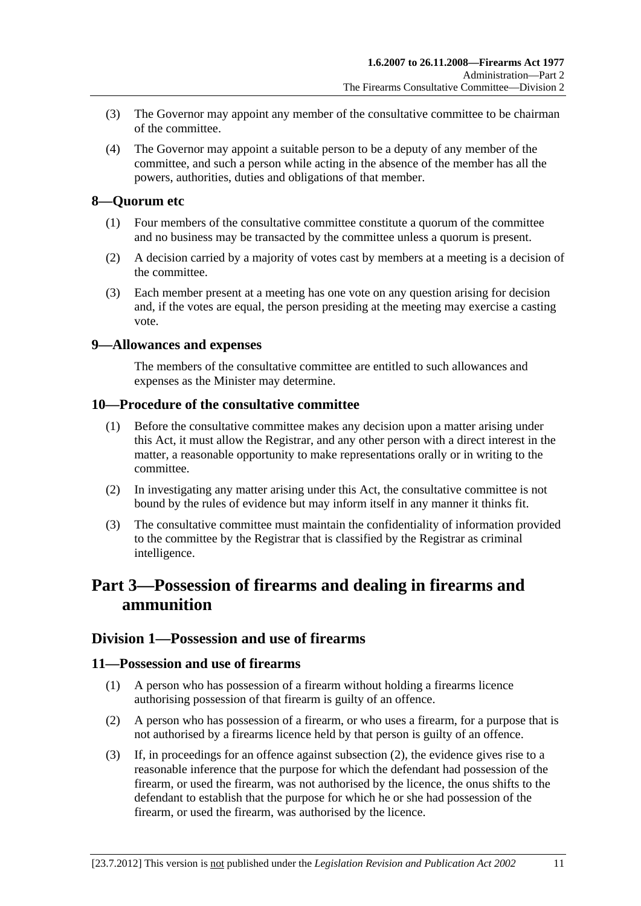- <span id="page-10-0"></span> (3) The Governor may appoint any member of the consultative committee to be chairman of the committee.
- (4) The Governor may appoint a suitable person to be a deputy of any member of the committee, and such a person while acting in the absence of the member has all the powers, authorities, duties and obligations of that member.

### **8—Quorum etc**

- (1) Four members of the consultative committee constitute a quorum of the committee and no business may be transacted by the committee unless a quorum is present.
- (2) A decision carried by a majority of votes cast by members at a meeting is a decision of the committee.
- (3) Each member present at a meeting has one vote on any question arising for decision and, if the votes are equal, the person presiding at the meeting may exercise a casting vote.

#### **9—Allowances and expenses**

The members of the consultative committee are entitled to such allowances and expenses as the Minister may determine.

### **10—Procedure of the consultative committee**

- (1) Before the consultative committee makes any decision upon a matter arising under this Act, it must allow the Registrar, and any other person with a direct interest in the matter, a reasonable opportunity to make representations orally or in writing to the committee.
- (2) In investigating any matter arising under this Act, the consultative committee is not bound by the rules of evidence but may inform itself in any manner it thinks fit.
- (3) The consultative committee must maintain the confidentiality of information provided to the committee by the Registrar that is classified by the Registrar as criminal intelligence.

## **Part 3—Possession of firearms and dealing in firearms and ammunition**

## **Division 1—Possession and use of firearms**

#### **11—Possession and use of firearms**

- (1) A person who has possession of a firearm without holding a firearms licence authorising possession of that firearm is guilty of an offence.
- (2) A person who has possession of a firearm, or who uses a firearm, for a purpose that is not authorised by a firearms licence held by that person is guilty of an offence.
- (3) If, in proceedings for an offence against [subsection \(2\)](#page-10-0), the evidence gives rise to a reasonable inference that the purpose for which the defendant had possession of the firearm, or used the firearm, was not authorised by the licence, the onus shifts to the defendant to establish that the purpose for which he or she had possession of the firearm, or used the firearm, was authorised by the licence.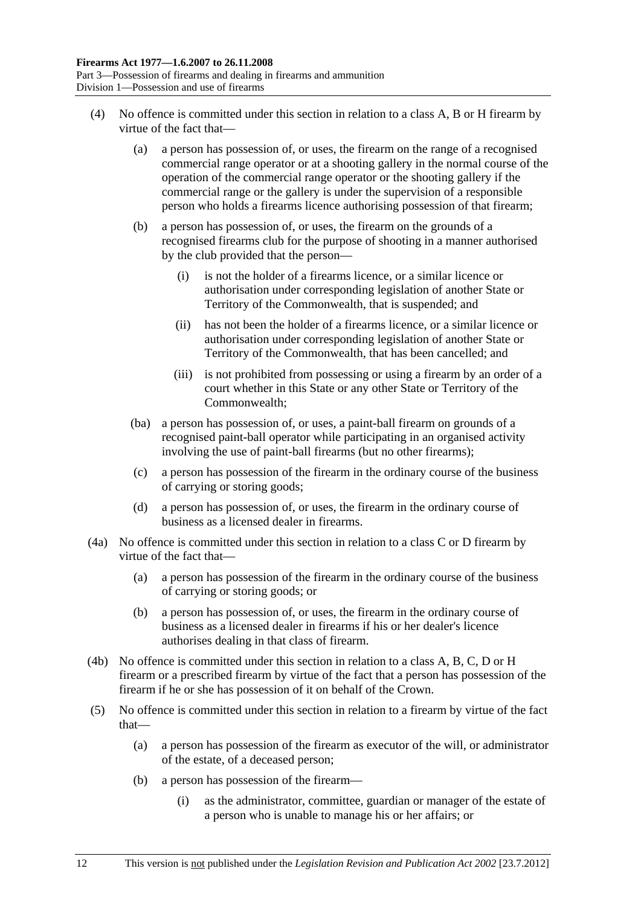- (4) No offence is committed under this section in relation to a class A, B or H firearm by virtue of the fact that—
	- (a) a person has possession of, or uses, the firearm on the range of a recognised commercial range operator or at a shooting gallery in the normal course of the operation of the commercial range operator or the shooting gallery if the commercial range or the gallery is under the supervision of a responsible person who holds a firearms licence authorising possession of that firearm;
	- (b) a person has possession of, or uses, the firearm on the grounds of a recognised firearms club for the purpose of shooting in a manner authorised by the club provided that the person—
		- (i) is not the holder of a firearms licence, or a similar licence or authorisation under corresponding legislation of another State or Territory of the Commonwealth, that is suspended; and
		- (ii) has not been the holder of a firearms licence, or a similar licence or authorisation under corresponding legislation of another State or Territory of the Commonwealth, that has been cancelled; and
		- (iii) is not prohibited from possessing or using a firearm by an order of a court whether in this State or any other State or Territory of the Commonwealth;
	- (ba) a person has possession of, or uses, a paint-ball firearm on grounds of a recognised paint-ball operator while participating in an organised activity involving the use of paint-ball firearms (but no other firearms);
	- (c) a person has possession of the firearm in the ordinary course of the business of carrying or storing goods;
	- (d) a person has possession of, or uses, the firearm in the ordinary course of business as a licensed dealer in firearms.
- (4a) No offence is committed under this section in relation to a class C or D firearm by virtue of the fact that—
	- (a) a person has possession of the firearm in the ordinary course of the business of carrying or storing goods; or
	- (b) a person has possession of, or uses, the firearm in the ordinary course of business as a licensed dealer in firearms if his or her dealer's licence authorises dealing in that class of firearm.
- (4b) No offence is committed under this section in relation to a class A, B, C, D or H firearm or a prescribed firearm by virtue of the fact that a person has possession of the firearm if he or she has possession of it on behalf of the Crown.
- (5) No offence is committed under this section in relation to a firearm by virtue of the fact that—
	- (a) a person has possession of the firearm as executor of the will, or administrator of the estate, of a deceased person;
	- (b) a person has possession of the firearm—
		- (i) as the administrator, committee, guardian or manager of the estate of a person who is unable to manage his or her affairs; or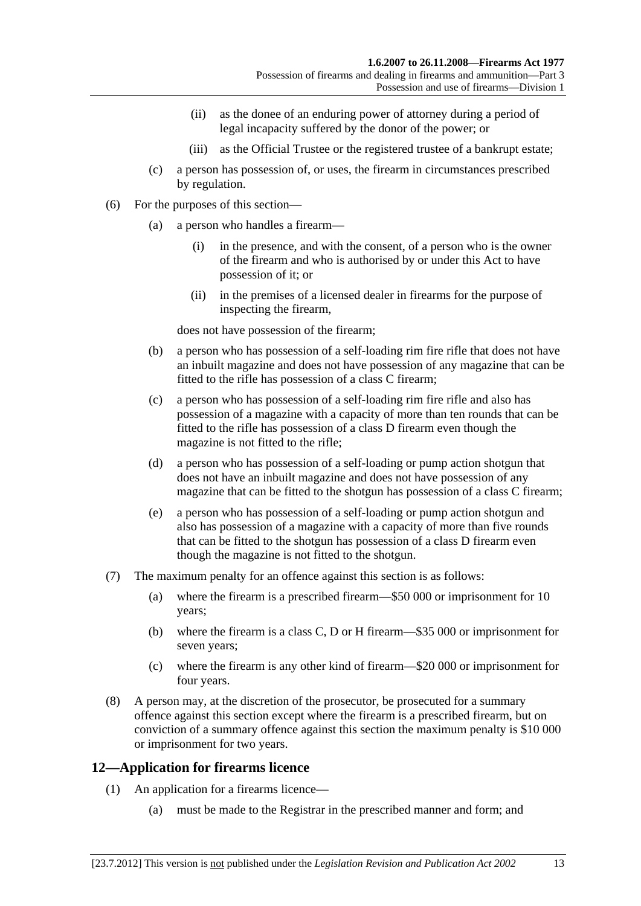- <span id="page-12-0"></span> (ii) as the donee of an enduring power of attorney during a period of legal incapacity suffered by the donor of the power; or
- (iii) as the Official Trustee or the registered trustee of a bankrupt estate;
- (c) a person has possession of, or uses, the firearm in circumstances prescribed by regulation.
- (6) For the purposes of this section—
	- (a) a person who handles a firearm—
		- (i) in the presence, and with the consent, of a person who is the owner of the firearm and who is authorised by or under this Act to have possession of it; or
		- (ii) in the premises of a licensed dealer in firearms for the purpose of inspecting the firearm,

does not have possession of the firearm;

- (b) a person who has possession of a self-loading rim fire rifle that does not have an inbuilt magazine and does not have possession of any magazine that can be fitted to the rifle has possession of a class C firearm;
- (c) a person who has possession of a self-loading rim fire rifle and also has possession of a magazine with a capacity of more than ten rounds that can be fitted to the rifle has possession of a class D firearm even though the magazine is not fitted to the rifle;
- (d) a person who has possession of a self-loading or pump action shotgun that does not have an inbuilt magazine and does not have possession of any magazine that can be fitted to the shotgun has possession of a class C firearm;
- (e) a person who has possession of a self-loading or pump action shotgun and also has possession of a magazine with a capacity of more than five rounds that can be fitted to the shotgun has possession of a class D firearm even though the magazine is not fitted to the shotgun.
- (7) The maximum penalty for an offence against this section is as follows:
	- (a) where the firearm is a prescribed firearm—\$50 000 or imprisonment for 10 years;
	- (b) where the firearm is a class C, D or H firearm—\$35 000 or imprisonment for seven years;
	- (c) where the firearm is any other kind of firearm—\$20 000 or imprisonment for four years.
- (8) A person may, at the discretion of the prosecutor, be prosecuted for a summary offence against this section except where the firearm is a prescribed firearm, but on conviction of a summary offence against this section the maximum penalty is \$10 000 or imprisonment for two years.

## **12—Application for firearms licence**

- (1) An application for a firearms licence—
	- (a) must be made to the Registrar in the prescribed manner and form; and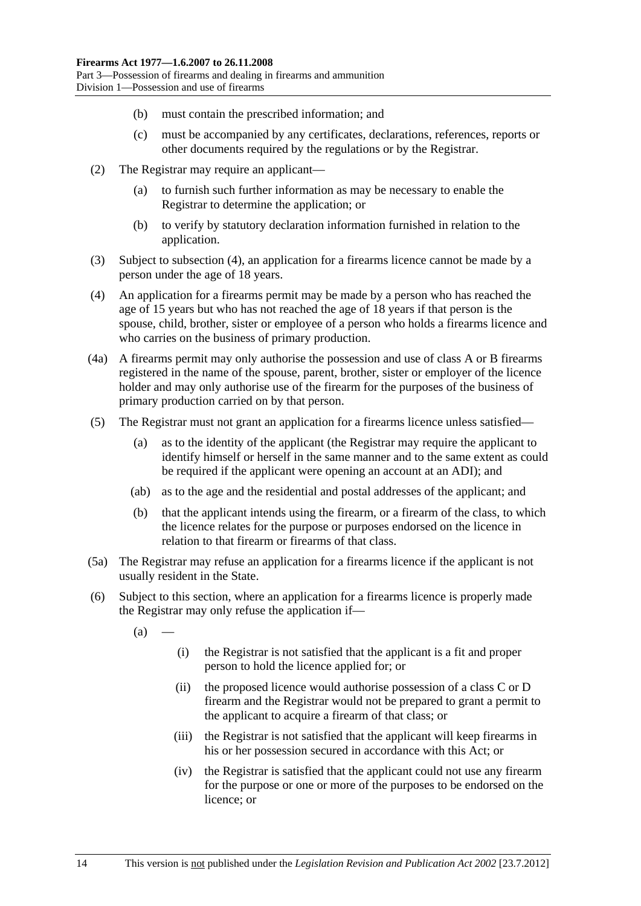- <span id="page-13-0"></span>(b) must contain the prescribed information; and
- (c) must be accompanied by any certificates, declarations, references, reports or other documents required by the regulations or by the Registrar.
- (2) The Registrar may require an applicant—
	- (a) to furnish such further information as may be necessary to enable the Registrar to determine the application; or
	- (b) to verify by statutory declaration information furnished in relation to the application.
- (3) Subject to [subsection \(4\),](#page-13-0) an application for a firearms licence cannot be made by a person under the age of 18 years.
- (4) An application for a firearms permit may be made by a person who has reached the age of 15 years but who has not reached the age of 18 years if that person is the spouse, child, brother, sister or employee of a person who holds a firearms licence and who carries on the business of primary production.
- (4a) A firearms permit may only authorise the possession and use of class A or B firearms registered in the name of the spouse, parent, brother, sister or employer of the licence holder and may only authorise use of the firearm for the purposes of the business of primary production carried on by that person.
- (5) The Registrar must not grant an application for a firearms licence unless satisfied—
	- (a) as to the identity of the applicant (the Registrar may require the applicant to identify himself or herself in the same manner and to the same extent as could be required if the applicant were opening an account at an ADI); and
	- (ab) as to the age and the residential and postal addresses of the applicant; and
	- (b) that the applicant intends using the firearm, or a firearm of the class, to which the licence relates for the purpose or purposes endorsed on the licence in relation to that firearm or firearms of that class.
- (5a) The Registrar may refuse an application for a firearms licence if the applicant is not usually resident in the State.
- (6) Subject to this section, where an application for a firearms licence is properly made the Registrar may only refuse the application if—
	- $(a)$ 
		- (i) the Registrar is not satisfied that the applicant is a fit and proper person to hold the licence applied for; or
		- (ii) the proposed licence would authorise possession of a class C or D firearm and the Registrar would not be prepared to grant a permit to the applicant to acquire a firearm of that class; or
		- (iii) the Registrar is not satisfied that the applicant will keep firearms in his or her possession secured in accordance with this Act; or
		- (iv) the Registrar is satisfied that the applicant could not use any firearm for the purpose or one or more of the purposes to be endorsed on the licence; or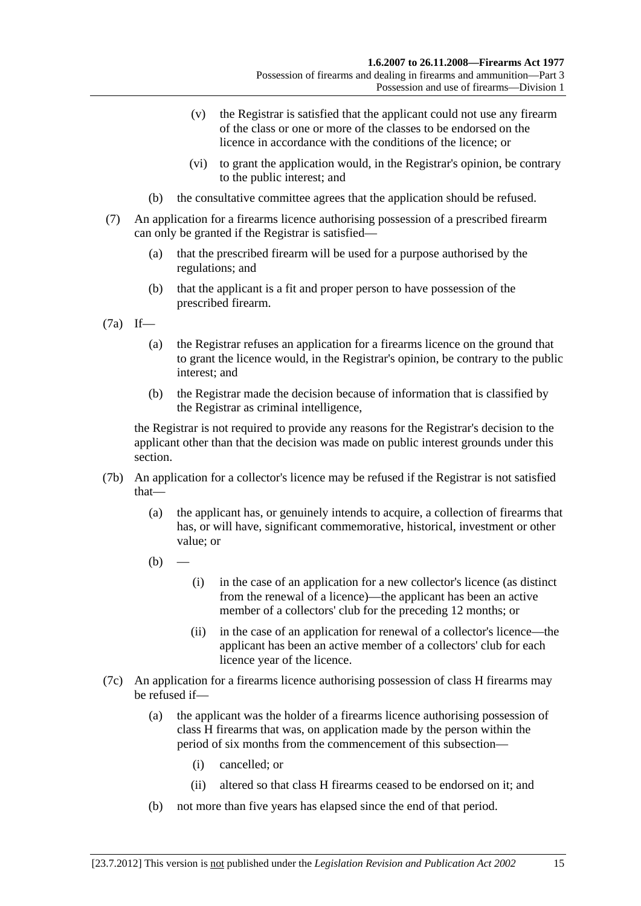- (v) the Registrar is satisfied that the applicant could not use any firearm of the class or one or more of the classes to be endorsed on the licence in accordance with the conditions of the licence; or
- (vi) to grant the application would, in the Registrar's opinion, be contrary to the public interest; and
- (b) the consultative committee agrees that the application should be refused.
- (7) An application for a firearms licence authorising possession of a prescribed firearm can only be granted if the Registrar is satisfied—
	- (a) that the prescribed firearm will be used for a purpose authorised by the regulations; and
	- (b) that the applicant is a fit and proper person to have possession of the prescribed firearm.
- (7a) If—
	- (a) the Registrar refuses an application for a firearms licence on the ground that to grant the licence would, in the Registrar's opinion, be contrary to the public interest; and
	- (b) the Registrar made the decision because of information that is classified by the Registrar as criminal intelligence,

the Registrar is not required to provide any reasons for the Registrar's decision to the applicant other than that the decision was made on public interest grounds under this section.

- (7b) An application for a collector's licence may be refused if the Registrar is not satisfied that—
	- (a) the applicant has, or genuinely intends to acquire, a collection of firearms that has, or will have, significant commemorative, historical, investment or other value; or
	- $(b)$
- (i) in the case of an application for a new collector's licence (as distinct from the renewal of a licence)—the applicant has been an active member of a collectors' club for the preceding 12 months; or
- (ii) in the case of an application for renewal of a collector's licence—the applicant has been an active member of a collectors' club for each licence year of the licence.
- (7c) An application for a firearms licence authorising possession of class H firearms may be refused if—
	- (a) the applicant was the holder of a firearms licence authorising possession of class H firearms that was, on application made by the person within the period of six months from the commencement of this subsection—
		- (i) cancelled; or
		- (ii) altered so that class H firearms ceased to be endorsed on it; and
	- (b) not more than five years has elapsed since the end of that period.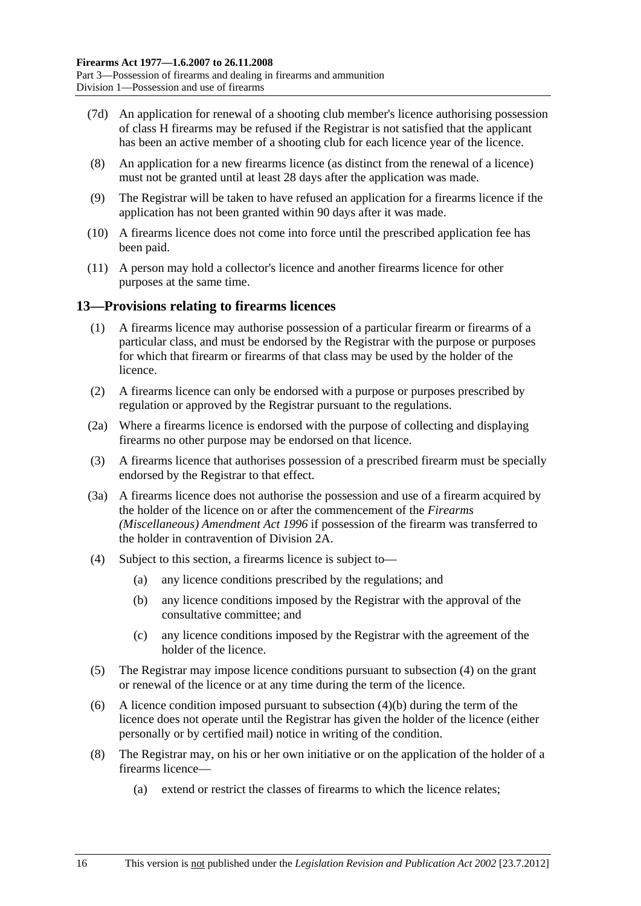- <span id="page-15-0"></span> (7d) An application for renewal of a shooting club member's licence authorising possession of class H firearms may be refused if the Registrar is not satisfied that the applicant has been an active member of a shooting club for each licence year of the licence.
- (8) An application for a new firearms licence (as distinct from the renewal of a licence) must not be granted until at least 28 days after the application was made.
- (9) The Registrar will be taken to have refused an application for a firearms licence if the application has not been granted within 90 days after it was made.
- (10) A firearms licence does not come into force until the prescribed application fee has been paid.
- (11) A person may hold a collector's licence and another firearms licence for other purposes at the same time.

## **13—Provisions relating to firearms licences**

- (1) A firearms licence may authorise possession of a particular firearm or firearms of a particular class, and must be endorsed by the Registrar with the purpose or purposes for which that firearm or firearms of that class may be used by the holder of the licence.
- (2) A firearms licence can only be endorsed with a purpose or purposes prescribed by regulation or approved by the Registrar pursuant to the regulations.
- (2a) Where a firearms licence is endorsed with the purpose of collecting and displaying firearms no other purpose may be endorsed on that licence.
- (3) A firearms licence that authorises possession of a prescribed firearm must be specially endorsed by the Registrar to that effect.
- (3a) A firearms licence does not authorise the possession and use of a firearm acquired by the holder of the licence on or after the commencement of the *[Firearms](http://www.legislation.sa.gov.au/index.aspx?action=legref&type=act&legtitle=Firearms%20(Miscellaneous)%20Amendment%20Act%201996)  [\(Miscellaneous\) Amendment Act 1996](http://www.legislation.sa.gov.au/index.aspx?action=legref&type=act&legtitle=Firearms%20(Miscellaneous)%20Amendment%20Act%201996)* if possession of the firearm was transferred to the holder in contravention of [Division 2A.](#page-23-0)
- (4) Subject to this section, a firearms licence is subject to—
	- (a) any licence conditions prescribed by the regulations; and
	- (b) any licence conditions imposed by the Registrar with the approval of the consultative committee; and
	- (c) any licence conditions imposed by the Registrar with the agreement of the holder of the licence.
- (5) The Registrar may impose licence conditions pursuant to [subsection \(4\)](#page-15-0) on the grant or renewal of the licence or at any time during the term of the licence.
- (6) A licence condition imposed pursuant to [subsection \(4\)\(b\)](#page-15-0) during the term of the licence does not operate until the Registrar has given the holder of the licence (either personally or by certified mail) notice in writing of the condition.
- (8) The Registrar may, on his or her own initiative or on the application of the holder of a firearms licence—
	- (a) extend or restrict the classes of firearms to which the licence relates;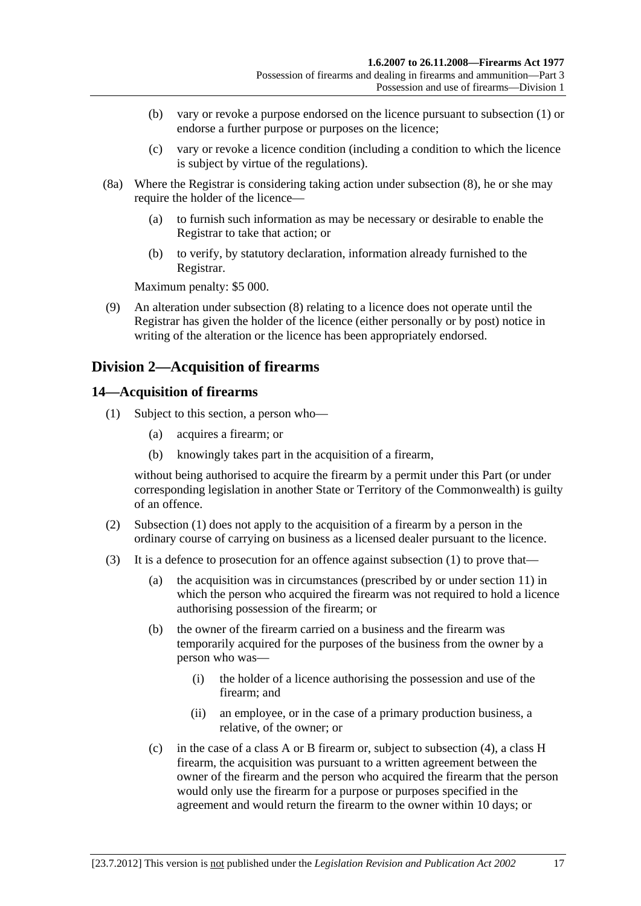- <span id="page-16-0"></span> (b) vary or revoke a purpose endorsed on the licence pursuant to [subsection \(1\)](#page-15-0) or endorse a further purpose or purposes on the licence;
- (c) vary or revoke a licence condition (including a condition to which the licence is subject by virtue of the regulations).
- (8a) Where the Registrar is considering taking action under [subsection \(8\),](#page-15-0) he or she may require the holder of the licence—
	- (a) to furnish such information as may be necessary or desirable to enable the Registrar to take that action; or
	- (b) to verify, by statutory declaration, information already furnished to the Registrar.

Maximum penalty: \$5 000.

 (9) An alteration under [subsection \(8\)](#page-15-0) relating to a licence does not operate until the Registrar has given the holder of the licence (either personally or by post) notice in writing of the alteration or the licence has been appropriately endorsed.

## **Division 2—Acquisition of firearms**

### **14—Acquisition of firearms**

- (1) Subject to this section, a person who—
	- (a) acquires a firearm; or
	- (b) knowingly takes part in the acquisition of a firearm,

without being authorised to acquire the firearm by a permit under this Part (or under corresponding legislation in another State or Territory of the Commonwealth) is guilty of an offence.

- (2) [Subsection \(1\)](#page-16-0) does not apply to the acquisition of a firearm by a person in the ordinary course of carrying on business as a licensed dealer pursuant to the licence.
- (3) It is a defence to prosecution for an offence against [subsection \(1\)](#page-16-0) to prove that—
	- (a) the acquisition was in circumstances (prescribed by or under [section 11\)](#page-10-0) in which the person who acquired the firearm was not required to hold a licence authorising possession of the firearm; or
	- (b) the owner of the firearm carried on a business and the firearm was temporarily acquired for the purposes of the business from the owner by a person who was—
		- (i) the holder of a licence authorising the possession and use of the firearm; and
		- (ii) an employee, or in the case of a primary production business, a relative, of the owner; or
	- (c) in the case of a class A or B firearm or, subject to [subsection \(4\),](#page-17-0) a class H firearm, the acquisition was pursuant to a written agreement between the owner of the firearm and the person who acquired the firearm that the person would only use the firearm for a purpose or purposes specified in the agreement and would return the firearm to the owner within 10 days; or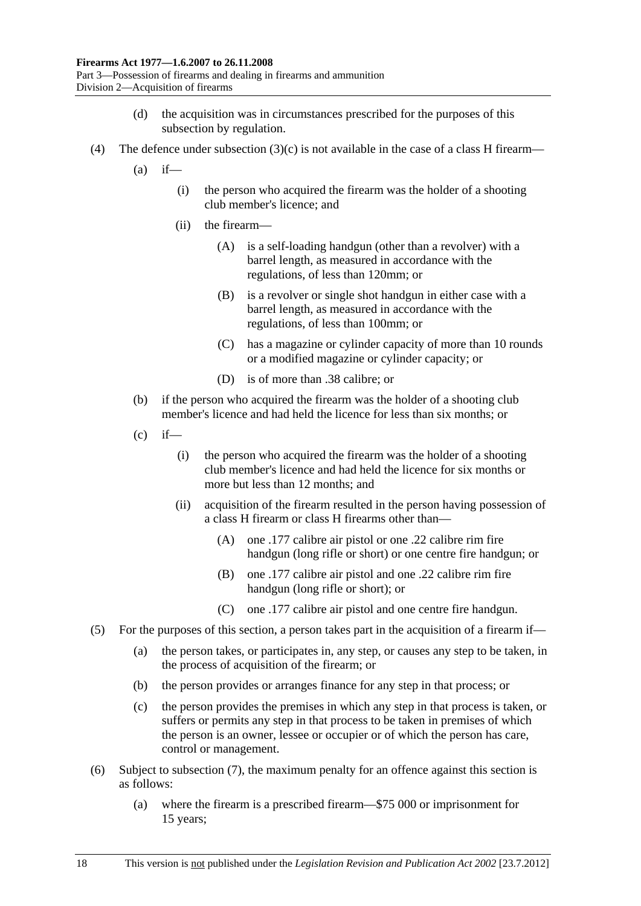- (d) the acquisition was in circumstances prescribed for the purposes of this subsection by regulation.
- <span id="page-17-0"></span>(4) The defence under subsection  $(3)(c)$  is not available in the case of a class H firearm—
	- $(a)$  if—
		- (i) the person who acquired the firearm was the holder of a shooting club member's licence; and
		- (ii) the firearm—
			- (A) is a self-loading handgun (other than a revolver) with a barrel length, as measured in accordance with the regulations, of less than 120mm; or
			- (B) is a revolver or single shot handgun in either case with a barrel length, as measured in accordance with the regulations, of less than 100mm; or
			- (C) has a magazine or cylinder capacity of more than 10 rounds or a modified magazine or cylinder capacity; or
			- (D) is of more than .38 calibre; or
	- (b) if the person who acquired the firearm was the holder of a shooting club member's licence and had held the licence for less than six months; or
	- $(c)$  if—
		- (i) the person who acquired the firearm was the holder of a shooting club member's licence and had held the licence for six months or more but less than 12 months; and
		- (ii) acquisition of the firearm resulted in the person having possession of a class H firearm or class H firearms other than—
			- (A) one .177 calibre air pistol or one .22 calibre rim fire handgun (long rifle or short) or one centre fire handgun; or
			- (B) one .177 calibre air pistol and one .22 calibre rim fire handgun (long rifle or short); or
			- (C) one .177 calibre air pistol and one centre fire handgun.
- (5) For the purposes of this section, a person takes part in the acquisition of a firearm if—
	- (a) the person takes, or participates in, any step, or causes any step to be taken, in the process of acquisition of the firearm; or
	- (b) the person provides or arranges finance for any step in that process; or
	- (c) the person provides the premises in which any step in that process is taken, or suffers or permits any step in that process to be taken in premises of which the person is an owner, lessee or occupier or of which the person has care, control or management.
- (6) Subject to [subsection \(7\),](#page-18-0) the maximum penalty for an offence against this section is as follows:
	- (a) where the firearm is a prescribed firearm—\$75 000 or imprisonment for 15 years;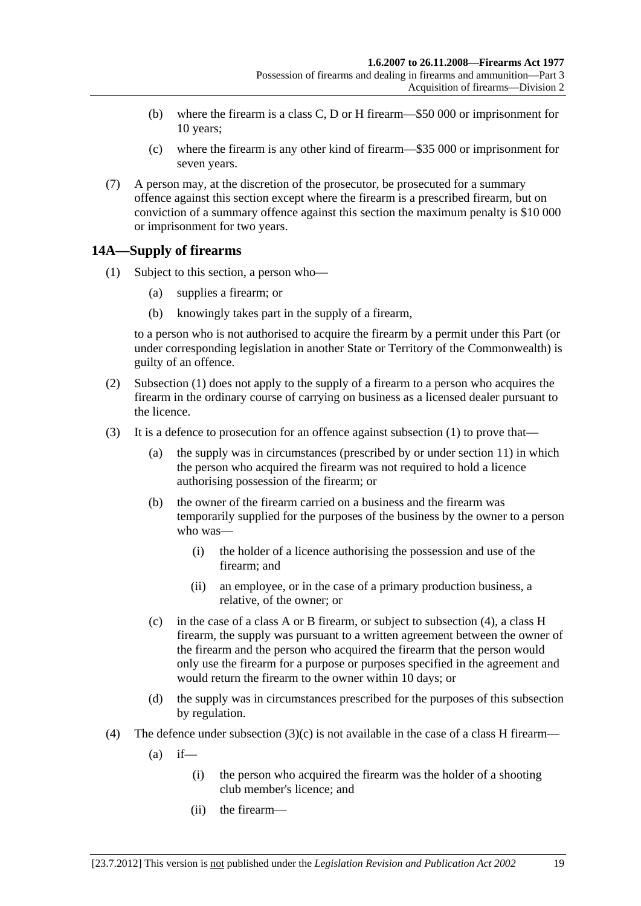- <span id="page-18-0"></span> (b) where the firearm is a class C, D or H firearm—\$50 000 or imprisonment for 10 years;
- (c) where the firearm is any other kind of firearm—\$35 000 or imprisonment for seven years.
- (7) A person may, at the discretion of the prosecutor, be prosecuted for a summary offence against this section except where the firearm is a prescribed firearm, but on conviction of a summary offence against this section the maximum penalty is \$10 000 or imprisonment for two years.

## **14A—Supply of firearms**

- (1) Subject to this section, a person who—
	- (a) supplies a firearm; or
	- (b) knowingly takes part in the supply of a firearm,

to a person who is not authorised to acquire the firearm by a permit under this Part (or under corresponding legislation in another State or Territory of the Commonwealth) is guilty of an offence.

- (2) [Subsection \(1\)](#page-18-0) does not apply to the supply of a firearm to a person who acquires the firearm in the ordinary course of carrying on business as a licensed dealer pursuant to the licence.
- (3) It is a defence to prosecution for an offence against [subsection \(1\)](#page-18-0) to prove that—
	- (a) the supply was in circumstances (prescribed by or under [section 11](#page-10-0)) in which the person who acquired the firearm was not required to hold a licence authorising possession of the firearm; or
	- (b) the owner of the firearm carried on a business and the firearm was temporarily supplied for the purposes of the business by the owner to a person who was—
		- (i) the holder of a licence authorising the possession and use of the firearm; and
		- (ii) an employee, or in the case of a primary production business, a relative, of the owner; or
	- (c) in the case of a class A or B firearm, or subject to [subsection \(4\),](#page-18-0) a class H firearm, the supply was pursuant to a written agreement between the owner of the firearm and the person who acquired the firearm that the person would only use the firearm for a purpose or purposes specified in the agreement and would return the firearm to the owner within 10 days; or
	- (d) the supply was in circumstances prescribed for the purposes of this subsection by regulation.
- (4) The defence under subsection  $(3)(c)$  is not available in the case of a class H firearm—
	- $(a)$  if—
		- (i) the person who acquired the firearm was the holder of a shooting club member's licence; and
		- (ii) the firearm—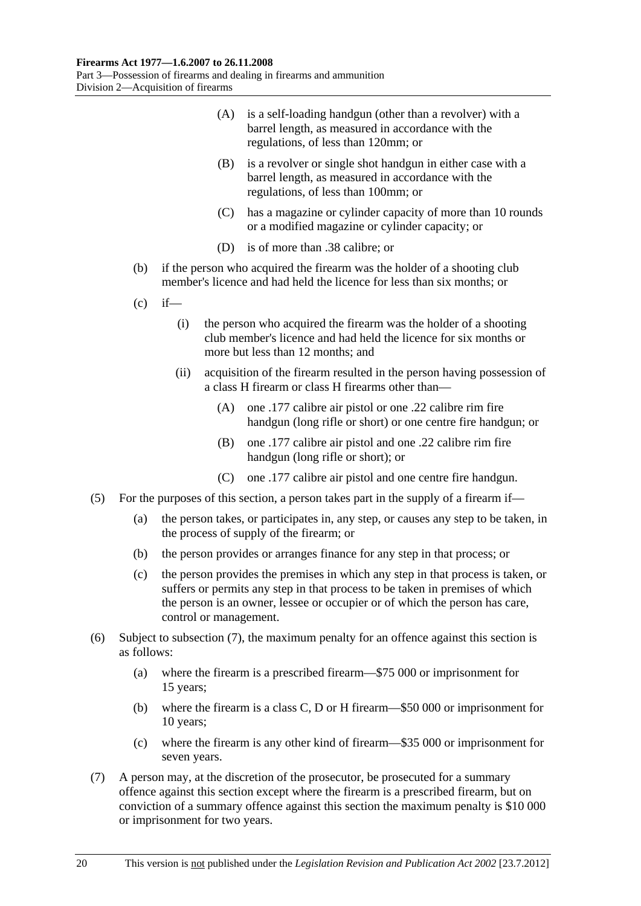- <span id="page-19-0"></span> (A) is a self-loading handgun (other than a revolver) with a barrel length, as measured in accordance with the regulations, of less than 120mm; or
- (B) is a revolver or single shot handgun in either case with a barrel length, as measured in accordance with the regulations, of less than 100mm; or
- (C) has a magazine or cylinder capacity of more than 10 rounds or a modified magazine or cylinder capacity; or
- (D) is of more than .38 calibre; or
- (b) if the person who acquired the firearm was the holder of a shooting club member's licence and had held the licence for less than six months; or
- $(c)$  if—
	- (i) the person who acquired the firearm was the holder of a shooting club member's licence and had held the licence for six months or more but less than 12 months; and
	- (ii) acquisition of the firearm resulted in the person having possession of a class H firearm or class H firearms other than—
		- (A) one .177 calibre air pistol or one .22 calibre rim fire handgun (long rifle or short) or one centre fire handgun; or
		- (B) one .177 calibre air pistol and one .22 calibre rim fire handgun (long rifle or short); or
		- (C) one .177 calibre air pistol and one centre fire handgun.
- (5) For the purposes of this section, a person takes part in the supply of a firearm if—
	- (a) the person takes, or participates in, any step, or causes any step to be taken, in the process of supply of the firearm; or
	- (b) the person provides or arranges finance for any step in that process; or
	- (c) the person provides the premises in which any step in that process is taken, or suffers or permits any step in that process to be taken in premises of which the person is an owner, lessee or occupier or of which the person has care, control or management.
- (6) Subject to [subsection \(7\),](#page-19-0) the maximum penalty for an offence against this section is as follows:
	- (a) where the firearm is a prescribed firearm—\$75 000 or imprisonment for 15 years;
	- (b) where the firearm is a class C, D or H firearm—\$50 000 or imprisonment for 10 years;
	- (c) where the firearm is any other kind of firearm—\$35 000 or imprisonment for seven years.
- (7) A person may, at the discretion of the prosecutor, be prosecuted for a summary offence against this section except where the firearm is a prescribed firearm, but on conviction of a summary offence against this section the maximum penalty is \$10 000 or imprisonment for two years.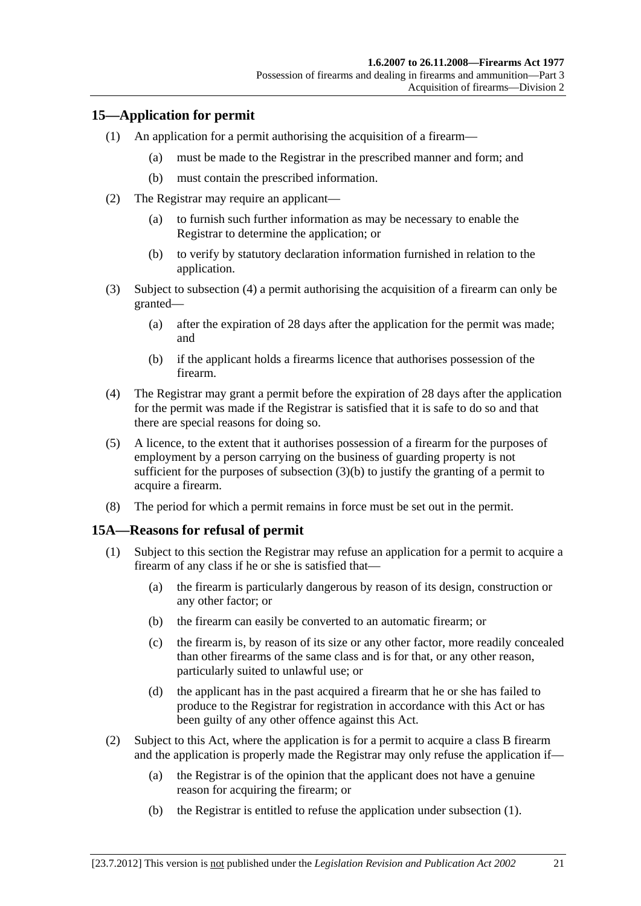## <span id="page-20-0"></span>**15—Application for permit**

- (1) An application for a permit authorising the acquisition of a firearm—
	- (a) must be made to the Registrar in the prescribed manner and form; and
	- (b) must contain the prescribed information.
- (2) The Registrar may require an applicant—
	- (a) to furnish such further information as may be necessary to enable the Registrar to determine the application; or
	- (b) to verify by statutory declaration information furnished in relation to the application.
- (3) Subject to [subsection \(4\)](#page-20-0) a permit authorising the acquisition of a firearm can only be granted—
	- (a) after the expiration of 28 days after the application for the permit was made; and
	- (b) if the applicant holds a firearms licence that authorises possession of the firearm.
- (4) The Registrar may grant a permit before the expiration of 28 days after the application for the permit was made if the Registrar is satisfied that it is safe to do so and that there are special reasons for doing so.
- (5) A licence, to the extent that it authorises possession of a firearm for the purposes of employment by a person carrying on the business of guarding property is not sufficient for the purposes of [subsection \(3\)\(b\)](#page-20-0) to justify the granting of a permit to acquire a firearm.
- (8) The period for which a permit remains in force must be set out in the permit.

## **15A—Reasons for refusal of permit**

- (1) Subject to this section the Registrar may refuse an application for a permit to acquire a firearm of any class if he or she is satisfied that—
	- (a) the firearm is particularly dangerous by reason of its design, construction or any other factor; or
	- (b) the firearm can easily be converted to an automatic firearm; or
	- (c) the firearm is, by reason of its size or any other factor, more readily concealed than other firearms of the same class and is for that, or any other reason, particularly suited to unlawful use; or
	- (d) the applicant has in the past acquired a firearm that he or she has failed to produce to the Registrar for registration in accordance with this Act or has been guilty of any other offence against this Act.
- (2) Subject to this Act, where the application is for a permit to acquire a class B firearm and the application is properly made the Registrar may only refuse the application if—
	- (a) the Registrar is of the opinion that the applicant does not have a genuine reason for acquiring the firearm; or
	- (b) the Registrar is entitled to refuse the application under [subsection \(1\).](#page-20-0)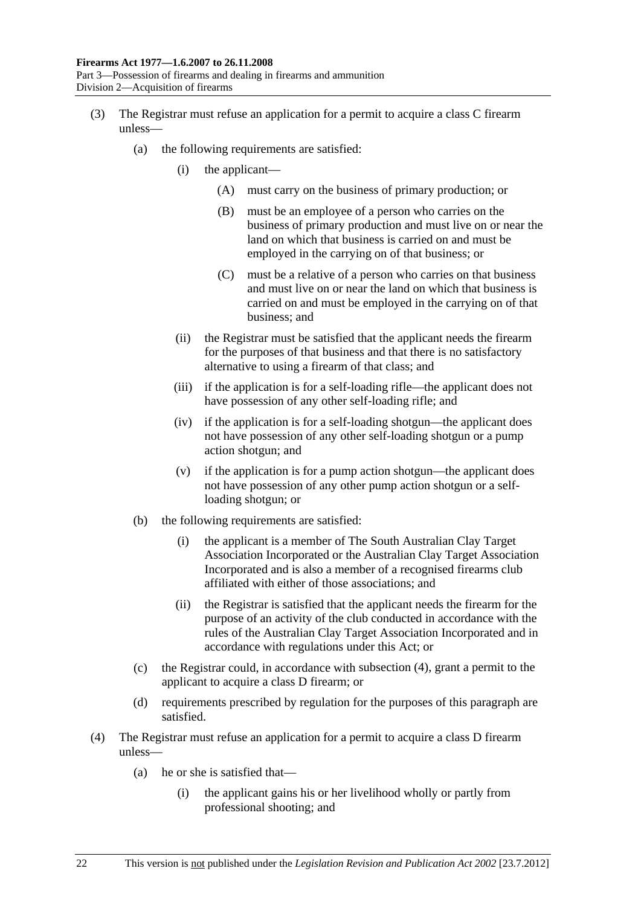- <span id="page-21-0"></span> (3) The Registrar must refuse an application for a permit to acquire a class C firearm unless—
	- (a) the following requirements are satisfied:
		- (i) the applicant—
			- (A) must carry on the business of primary production; or
			- (B) must be an employee of a person who carries on the business of primary production and must live on or near the land on which that business is carried on and must be employed in the carrying on of that business; or
			- (C) must be a relative of a person who carries on that business and must live on or near the land on which that business is carried on and must be employed in the carrying on of that business; and
		- (ii) the Registrar must be satisfied that the applicant needs the firearm for the purposes of that business and that there is no satisfactory alternative to using a firearm of that class; and
		- (iii) if the application is for a self-loading rifle—the applicant does not have possession of any other self-loading rifle; and
		- (iv) if the application is for a self-loading shotgun—the applicant does not have possession of any other self-loading shotgun or a pump action shotgun; and
		- (v) if the application is for a pump action shotgun—the applicant does not have possession of any other pump action shotgun or a selfloading shotgun; or
	- (b) the following requirements are satisfied:
		- (i) the applicant is a member of The South Australian Clay Target Association Incorporated or the Australian Clay Target Association Incorporated and is also a member of a recognised firearms club affiliated with either of those associations; and
		- (ii) the Registrar is satisfied that the applicant needs the firearm for the purpose of an activity of the club conducted in accordance with the rules of the Australian Clay Target Association Incorporated and in accordance with regulations under this Act; or
	- (c) the Registrar could, in accordance with [subsection \(4\)](#page-21-0), grant a permit to the applicant to acquire a class D firearm; or
	- (d) requirements prescribed by regulation for the purposes of this paragraph are satisfied.
- (4) The Registrar must refuse an application for a permit to acquire a class D firearm unless—
	- (a) he or she is satisfied that—
		- (i) the applicant gains his or her livelihood wholly or partly from professional shooting; and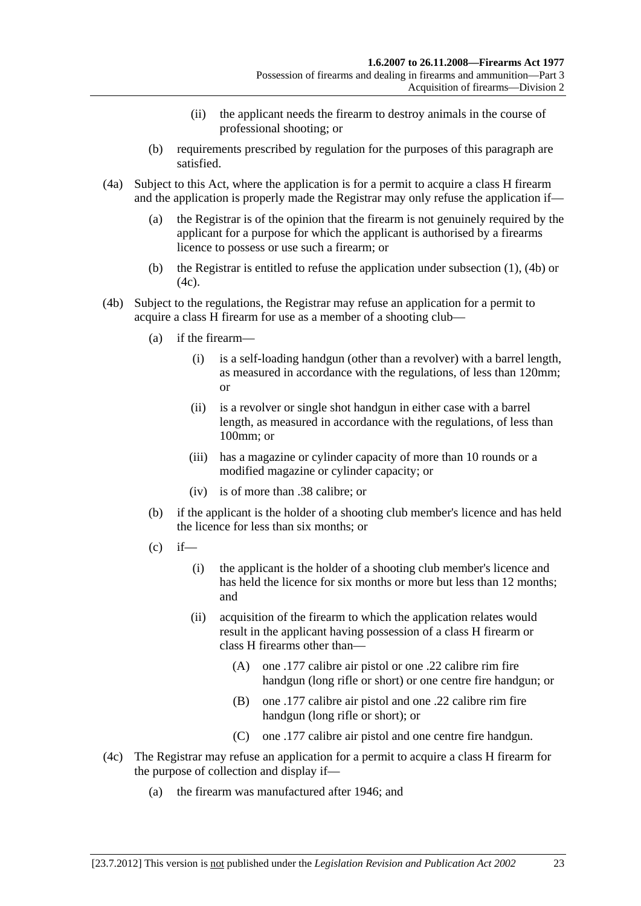- (ii) the applicant needs the firearm to destroy animals in the course of professional shooting; or
- <span id="page-22-0"></span> (b) requirements prescribed by regulation for the purposes of this paragraph are satisfied.
- (4a) Subject to this Act, where the application is for a permit to acquire a class H firearm and the application is properly made the Registrar may only refuse the application if—
	- (a) the Registrar is of the opinion that the firearm is not genuinely required by the applicant for a purpose for which the applicant is authorised by a firearms licence to possess or use such a firearm; or
	- (b) the Registrar is entitled to refuse the application under [subsection \(1\),](#page-20-0) [\(4b\)](#page-22-0) or  $(4c)$ .
- (4b) Subject to the regulations, the Registrar may refuse an application for a permit to acquire a class H firearm for use as a member of a shooting club—
	- (a) if the firearm—
		- (i) is a self-loading handgun (other than a revolver) with a barrel length, as measured in accordance with the regulations, of less than 120mm; or
		- (ii) is a revolver or single shot handgun in either case with a barrel length, as measured in accordance with the regulations, of less than 100mm; or
		- (iii) has a magazine or cylinder capacity of more than 10 rounds or a modified magazine or cylinder capacity; or
		- (iv) is of more than .38 calibre; or
	- (b) if the applicant is the holder of a shooting club member's licence and has held the licence for less than six months; or
	- $(c)$  if—
		- (i) the applicant is the holder of a shooting club member's licence and has held the licence for six months or more but less than 12 months; and
		- (ii) acquisition of the firearm to which the application relates would result in the applicant having possession of a class H firearm or class H firearms other than—
			- (A) one .177 calibre air pistol or one .22 calibre rim fire handgun (long rifle or short) or one centre fire handgun; or
			- (B) one .177 calibre air pistol and one .22 calibre rim fire handgun (long rifle or short); or
			- (C) one .177 calibre air pistol and one centre fire handgun.
- (4c) The Registrar may refuse an application for a permit to acquire a class H firearm for the purpose of collection and display if—
	- (a) the firearm was manufactured after 1946; and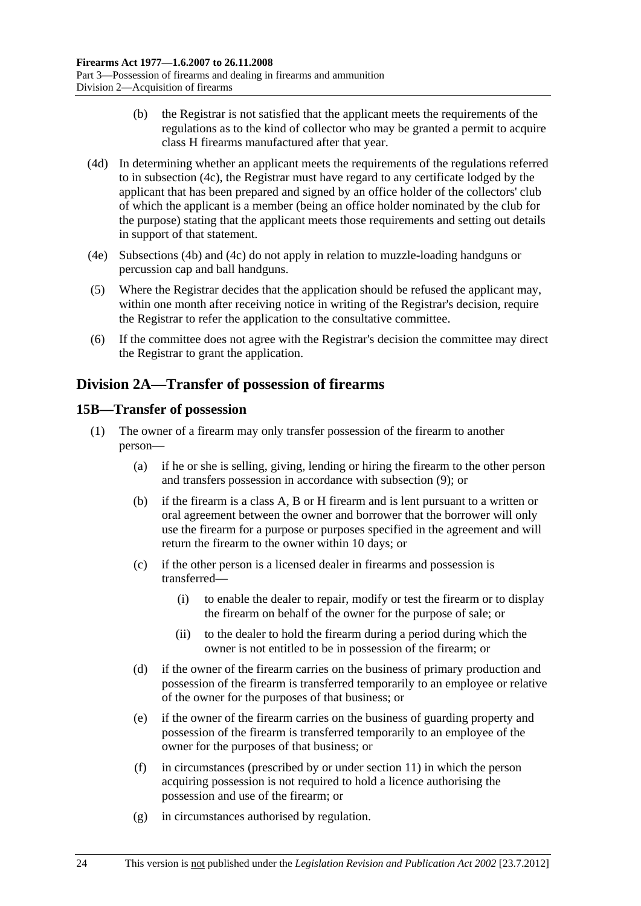- <span id="page-23-0"></span> (b) the Registrar is not satisfied that the applicant meets the requirements of the regulations as to the kind of collector who may be granted a permit to acquire class H firearms manufactured after that year.
- (4d) In determining whether an applicant meets the requirements of the regulations referred to in [subsection \(4c\)](#page-22-0), the Registrar must have regard to any certificate lodged by the applicant that has been prepared and signed by an office holder of the collectors' club of which the applicant is a member (being an office holder nominated by the club for the purpose) stating that the applicant meets those requirements and setting out details in support of that statement.
- (4e) [Subsections \(4b\)](#page-22-0) and [\(4c\)](#page-22-0) do not apply in relation to muzzle-loading handguns or percussion cap and ball handguns.
- (5) Where the Registrar decides that the application should be refused the applicant may, within one month after receiving notice in writing of the Registrar's decision, require the Registrar to refer the application to the consultative committee.
- (6) If the committee does not agree with the Registrar's decision the committee may direct the Registrar to grant the application.

## **Division 2A—Transfer of possession of firearms**

## **15B—Transfer of possession**

- (1) The owner of a firearm may only transfer possession of the firearm to another person—
	- (a) if he or she is selling, giving, lending or hiring the firearm to the other person and transfers possession in accordance with [subsection \(9\);](#page-25-0) or
	- (b) if the firearm is a class A, B or H firearm and is lent pursuant to a written or oral agreement between the owner and borrower that the borrower will only use the firearm for a purpose or purposes specified in the agreement and will return the firearm to the owner within 10 days; or
	- (c) if the other person is a licensed dealer in firearms and possession is transferred—
		- (i) to enable the dealer to repair, modify or test the firearm or to display the firearm on behalf of the owner for the purpose of sale; or
		- (ii) to the dealer to hold the firearm during a period during which the owner is not entitled to be in possession of the firearm; or
	- (d) if the owner of the firearm carries on the business of primary production and possession of the firearm is transferred temporarily to an employee or relative of the owner for the purposes of that business; or
	- (e) if the owner of the firearm carries on the business of guarding property and possession of the firearm is transferred temporarily to an employee of the owner for the purposes of that business; or
	- (f) in circumstances (prescribed by or under [section 11\)](#page-10-0) in which the person acquiring possession is not required to hold a licence authorising the possession and use of the firearm; or
	- (g) in circumstances authorised by regulation.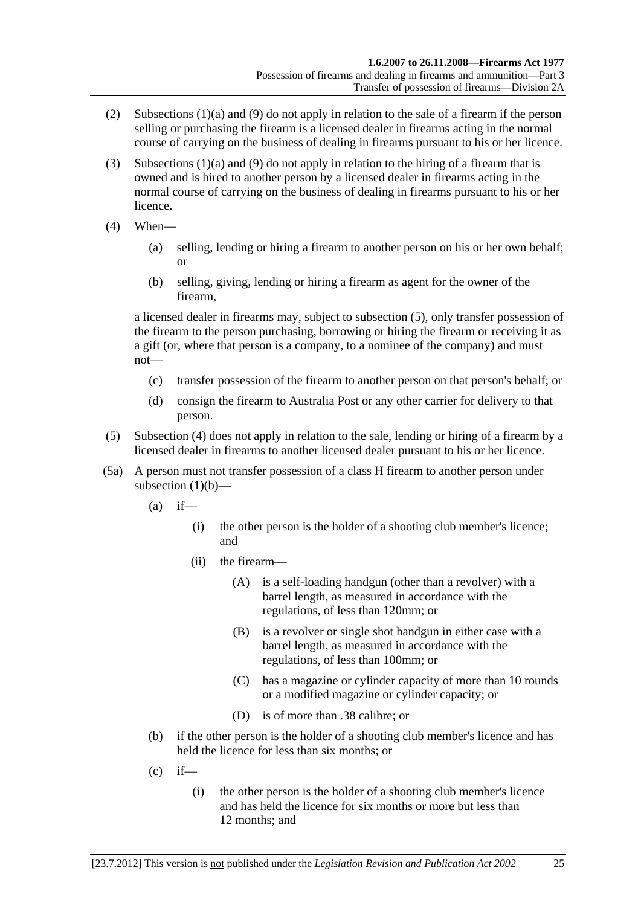- <span id="page-24-0"></span> (2) [Subsections \(1\)\(a\)](#page-23-0) and [\(9\)](#page-25-0) do not apply in relation to the sale of a firearm if the person selling or purchasing the firearm is a licensed dealer in firearms acting in the normal course of carrying on the business of dealing in firearms pursuant to his or her licence.
- (3) [Subsections \(1\)\(a\)](#page-23-0) and [\(9\)](#page-25-0) do not apply in relation to the hiring of a firearm that is owned and is hired to another person by a licensed dealer in firearms acting in the normal course of carrying on the business of dealing in firearms pursuant to his or her licence.
- (4) When—
	- (a) selling, lending or hiring a firearm to another person on his or her own behalf; or
	- (b) selling, giving, lending or hiring a firearm as agent for the owner of the firearm,

a licensed dealer in firearms may, subject to [subsection \(5\),](#page-24-0) only transfer possession of the firearm to the person purchasing, borrowing or hiring the firearm or receiving it as a gift (or, where that person is a company, to a nominee of the company) and must not—

- (c) transfer possession of the firearm to another person on that person's behalf; or
- (d) consign the firearm to Australia Post or any other carrier for delivery to that person.
- (5) [Subsection \(4\)](#page-24-0) does not apply in relation to the sale, lending or hiring of a firearm by a licensed dealer in firearms to another licensed dealer pursuant to his or her licence.
- (5a) A person must not transfer possession of a class H firearm to another person under [subsection \(1\)\(b\)](#page-23-0)—
	- $(a)$  if—
		- (i) the other person is the holder of a shooting club member's licence; and
		- (ii) the firearm—
			- (A) is a self-loading handgun (other than a revolver) with a barrel length, as measured in accordance with the regulations, of less than 120mm; or
			- (B) is a revolver or single shot handgun in either case with a barrel length, as measured in accordance with the regulations, of less than 100mm; or
			- (C) has a magazine or cylinder capacity of more than 10 rounds or a modified magazine or cylinder capacity; or
			- (D) is of more than .38 calibre; or
	- (b) if the other person is the holder of a shooting club member's licence and has held the licence for less than six months; or
	- $(c)$  if—
		- (i) the other person is the holder of a shooting club member's licence and has held the licence for six months or more but less than 12 months; and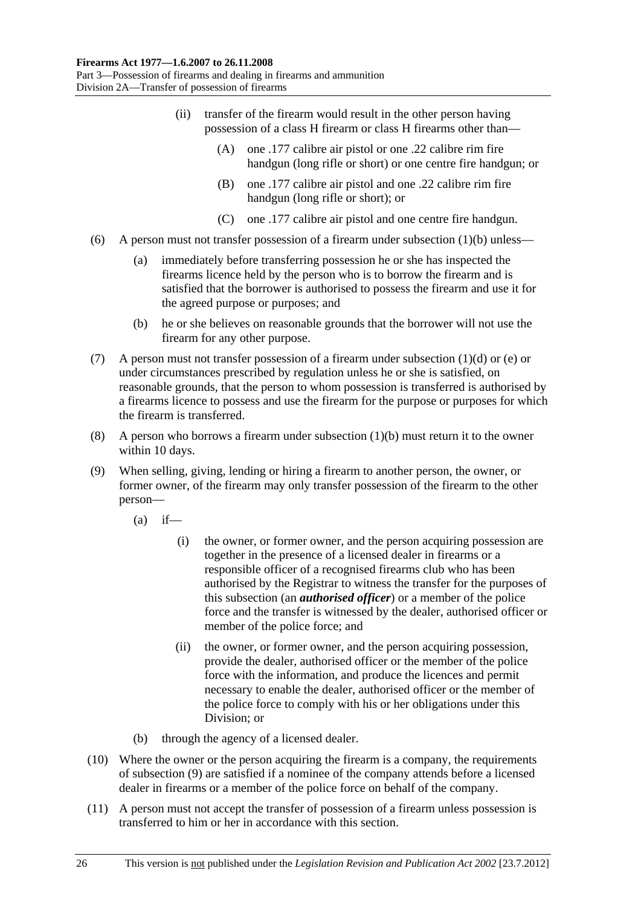- <span id="page-25-0"></span> (ii) transfer of the firearm would result in the other person having possession of a class H firearm or class H firearms other than—
	- (A) one .177 calibre air pistol or one .22 calibre rim fire handgun (long rifle or short) or one centre fire handgun; or
	- (B) one .177 calibre air pistol and one .22 calibre rim fire handgun (long rifle or short); or
	- (C) one .177 calibre air pistol and one centre fire handgun.
- (6) A person must not transfer possession of a firearm under subsection  $(1)(b)$  unless—
	- (a) immediately before transferring possession he or she has inspected the firearms licence held by the person who is to borrow the firearm and is satisfied that the borrower is authorised to possess the firearm and use it for the agreed purpose or purposes; and
	- (b) he or she believes on reasonable grounds that the borrower will not use the firearm for any other purpose.
- (7) A person must not transfer possession of a firearm under [subsection \(1\)\(d\)](#page-23-0) or [\(e\)](#page-23-0) or under circumstances prescribed by regulation unless he or she is satisfied, on reasonable grounds, that the person to whom possession is transferred is authorised by a firearms licence to possess and use the firearm for the purpose or purposes for which the firearm is transferred.
- (8) A person who borrows a firearm under [subsection \(1\)\(b\)](#page-23-0) must return it to the owner within 10 days.
- (9) When selling, giving, lending or hiring a firearm to another person, the owner, or former owner, of the firearm may only transfer possession of the firearm to the other person—
	- $(a)$  if—
		- (i) the owner, or former owner, and the person acquiring possession are together in the presence of a licensed dealer in firearms or a responsible officer of a recognised firearms club who has been authorised by the Registrar to witness the transfer for the purposes of this subsection (an *authorised officer*) or a member of the police force and the transfer is witnessed by the dealer, authorised officer or member of the police force; and
		- (ii) the owner, or former owner, and the person acquiring possession, provide the dealer, authorised officer or the member of the police force with the information, and produce the licences and permit necessary to enable the dealer, authorised officer or the member of the police force to comply with his or her obligations under this Division; or
	- (b) through the agency of a licensed dealer.
- (10) Where the owner or the person acquiring the firearm is a company, the requirements of [subsection \(9\)](#page-25-0) are satisfied if a nominee of the company attends before a licensed dealer in firearms or a member of the police force on behalf of the company.
- (11) A person must not accept the transfer of possession of a firearm unless possession is transferred to him or her in accordance with this section.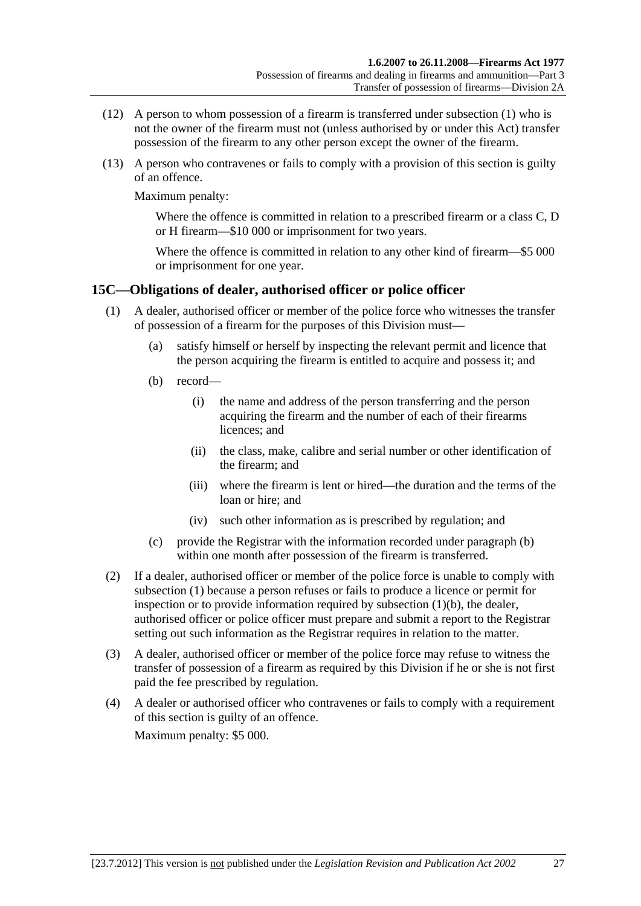- <span id="page-26-0"></span> (12) A person to whom possession of a firearm is transferred under [subsection \(1\)](#page-23-0) who is not the owner of the firearm must not (unless authorised by or under this Act) transfer possession of the firearm to any other person except the owner of the firearm.
- (13) A person who contravenes or fails to comply with a provision of this section is guilty of an offence.

Maximum penalty:

Where the offence is committed in relation to a prescribed firearm or a class C, D or H firearm—\$10 000 or imprisonment for two years.

Where the offence is committed in relation to any other kind of firearm—\$5 000 or imprisonment for one year.

## **15C—Obligations of dealer, authorised officer or police officer**

- (1) A dealer, authorised officer or member of the police force who witnesses the transfer of possession of a firearm for the purposes of this Division must—
	- (a) satisfy himself or herself by inspecting the relevant permit and licence that the person acquiring the firearm is entitled to acquire and possess it; and
	- (b) record—
		- (i) the name and address of the person transferring and the person acquiring the firearm and the number of each of their firearms licences; and
		- (ii) the class, make, calibre and serial number or other identification of the firearm; and
		- (iii) where the firearm is lent or hired—the duration and the terms of the loan or hire; and
		- (iv) such other information as is prescribed by regulation; and
	- (c) provide the Registrar with the information recorded under [paragraph \(b\)](#page-26-0) within one month after possession of the firearm is transferred.
- (2) If a dealer, authorised officer or member of the police force is unable to comply with [subsection \(1\)](#page-26-0) because a person refuses or fails to produce a licence or permit for inspection or to provide information required by [subsection \(1\)\(b\)](#page-26-0), the dealer, authorised officer or police officer must prepare and submit a report to the Registrar setting out such information as the Registrar requires in relation to the matter.
- (3) A dealer, authorised officer or member of the police force may refuse to witness the transfer of possession of a firearm as required by this Division if he or she is not first paid the fee prescribed by regulation.
- (4) A dealer or authorised officer who contravenes or fails to comply with a requirement of this section is guilty of an offence.

Maximum penalty: \$5 000.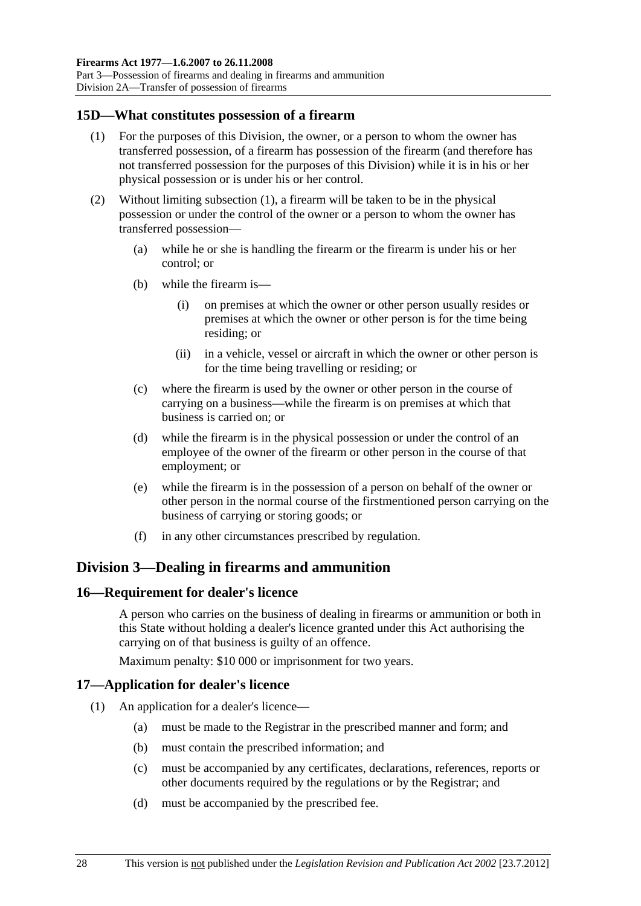<span id="page-27-0"></span>Division 2A—Transfer of possession of firearms

## **15D—What constitutes possession of a firearm**

- (1) For the purposes of this Division, the owner, or a person to whom the owner has transferred possession, of a firearm has possession of the firearm (and therefore has not transferred possession for the purposes of this Division) while it is in his or her physical possession or is under his or her control.
- (2) Without limiting [subsection \(1\)](#page-27-0), a firearm will be taken to be in the physical possession or under the control of the owner or a person to whom the owner has transferred possession—
	- (a) while he or she is handling the firearm or the firearm is under his or her control; or
	- (b) while the firearm is—
		- (i) on premises at which the owner or other person usually resides or premises at which the owner or other person is for the time being residing; or
		- (ii) in a vehicle, vessel or aircraft in which the owner or other person is for the time being travelling or residing; or
	- (c) where the firearm is used by the owner or other person in the course of carrying on a business—while the firearm is on premises at which that business is carried on; or
	- (d) while the firearm is in the physical possession or under the control of an employee of the owner of the firearm or other person in the course of that employment; or
	- (e) while the firearm is in the possession of a person on behalf of the owner or other person in the normal course of the firstmentioned person carrying on the business of carrying or storing goods; or
	- (f) in any other circumstances prescribed by regulation.

## **Division 3—Dealing in firearms and ammunition**

## **16—Requirement for dealer's licence**

A person who carries on the business of dealing in firearms or ammunition or both in this State without holding a dealer's licence granted under this Act authorising the carrying on of that business is guilty of an offence.

Maximum penalty: \$10 000 or imprisonment for two years.

## **17—Application for dealer's licence**

- (1) An application for a dealer's licence—
	- (a) must be made to the Registrar in the prescribed manner and form; and
	- (b) must contain the prescribed information; and
	- (c) must be accompanied by any certificates, declarations, references, reports or other documents required by the regulations or by the Registrar; and
	- (d) must be accompanied by the prescribed fee.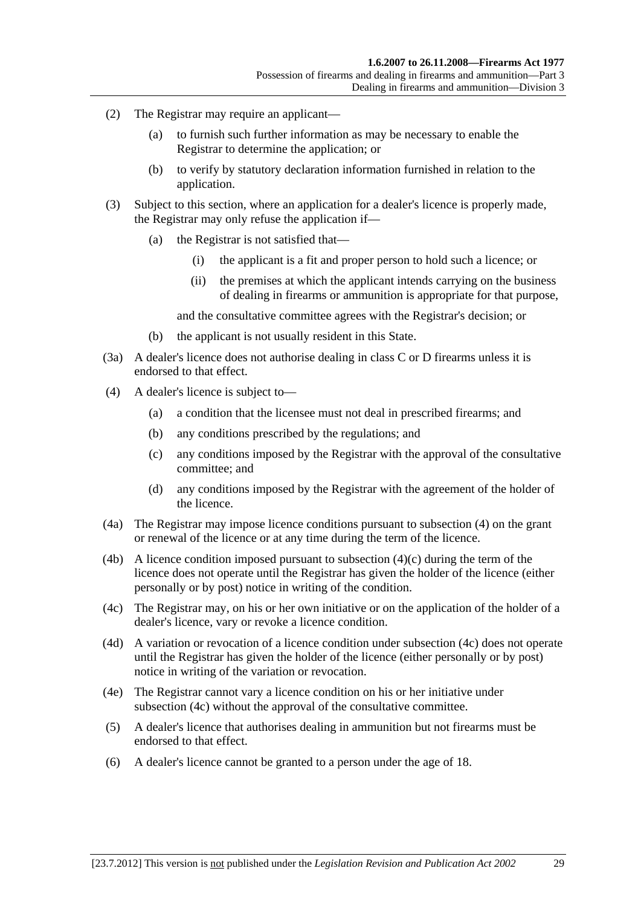- <span id="page-28-0"></span> (2) The Registrar may require an applicant—
	- (a) to furnish such further information as may be necessary to enable the Registrar to determine the application; or
	- (b) to verify by statutory declaration information furnished in relation to the application.
- (3) Subject to this section, where an application for a dealer's licence is properly made, the Registrar may only refuse the application if—
	- (a) the Registrar is not satisfied that—
		- (i) the applicant is a fit and proper person to hold such a licence; or
		- (ii) the premises at which the applicant intends carrying on the business of dealing in firearms or ammunition is appropriate for that purpose,

and the consultative committee agrees with the Registrar's decision; or

- (b) the applicant is not usually resident in this State.
- (3a) A dealer's licence does not authorise dealing in class C or D firearms unless it is endorsed to that effect.
- (4) A dealer's licence is subject to—
	- (a) a condition that the licensee must not deal in prescribed firearms; and
	- (b) any conditions prescribed by the regulations; and
	- (c) any conditions imposed by the Registrar with the approval of the consultative committee; and
	- (d) any conditions imposed by the Registrar with the agreement of the holder of the licence.
- (4a) The Registrar may impose licence conditions pursuant to [subsection \(4\)](#page-28-0) on the grant or renewal of the licence or at any time during the term of the licence.
- (4b) A licence condition imposed pursuant to subsection  $(4)(c)$  during the term of the licence does not operate until the Registrar has given the holder of the licence (either personally or by post) notice in writing of the condition.
- (4c) The Registrar may, on his or her own initiative or on the application of the holder of a dealer's licence, vary or revoke a licence condition.
- (4d) A variation or revocation of a licence condition under [subsection \(4c\)](#page-28-0) does not operate until the Registrar has given the holder of the licence (either personally or by post) notice in writing of the variation or revocation.
- (4e) The Registrar cannot vary a licence condition on his or her initiative under [subsection \(4c\)](#page-28-0) without the approval of the consultative committee.
- (5) A dealer's licence that authorises dealing in ammunition but not firearms must be endorsed to that effect.
- (6) A dealer's licence cannot be granted to a person under the age of 18.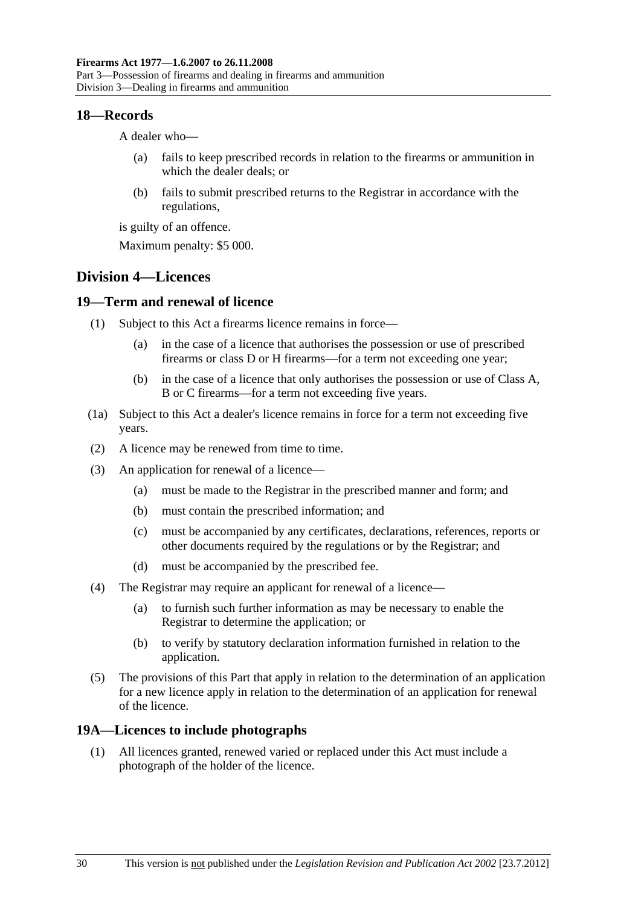#### <span id="page-29-0"></span>**18—Records**

A dealer who—

- (a) fails to keep prescribed records in relation to the firearms or ammunition in which the dealer deals; or
- (b) fails to submit prescribed returns to the Registrar in accordance with the regulations,

is guilty of an offence.

Maximum penalty: \$5 000.

## **Division 4—Licences**

## **19—Term and renewal of licence**

- (1) Subject to this Act a firearms licence remains in force—
	- (a) in the case of a licence that authorises the possession or use of prescribed firearms or class D or H firearms—for a term not exceeding one year;
	- (b) in the case of a licence that only authorises the possession or use of Class A, B or C firearms—for a term not exceeding five years.
- (1a) Subject to this Act a dealer's licence remains in force for a term not exceeding five years.
- (2) A licence may be renewed from time to time.
- (3) An application for renewal of a licence—
	- (a) must be made to the Registrar in the prescribed manner and form; and
	- (b) must contain the prescribed information; and
	- (c) must be accompanied by any certificates, declarations, references, reports or other documents required by the regulations or by the Registrar; and
	- (d) must be accompanied by the prescribed fee.
- (4) The Registrar may require an applicant for renewal of a licence—
	- (a) to furnish such further information as may be necessary to enable the Registrar to determine the application; or
	- (b) to verify by statutory declaration information furnished in relation to the application.
- (5) The provisions of this Part that apply in relation to the determination of an application for a new licence apply in relation to the determination of an application for renewal of the licence.

## **19A—Licences to include photographs**

 (1) All licences granted, renewed varied or replaced under this Act must include a photograph of the holder of the licence.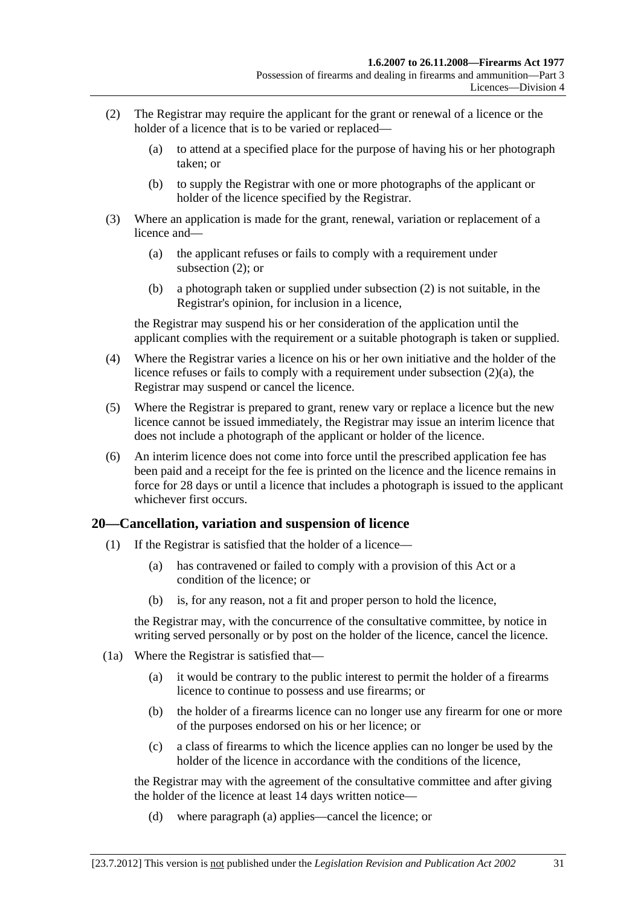- <span id="page-30-0"></span> (2) The Registrar may require the applicant for the grant or renewal of a licence or the holder of a licence that is to be varied or replaced—
	- (a) to attend at a specified place for the purpose of having his or her photograph taken; or
	- (b) to supply the Registrar with one or more photographs of the applicant or holder of the licence specified by the Registrar.
- (3) Where an application is made for the grant, renewal, variation or replacement of a licence and—
	- (a) the applicant refuses or fails to comply with a requirement under [subsection \(2\)](#page-30-0); or
	- (b) a photograph taken or supplied under [subsection \(2\)](#page-30-0) is not suitable, in the Registrar's opinion, for inclusion in a licence,

the Registrar may suspend his or her consideration of the application until the applicant complies with the requirement or a suitable photograph is taken or supplied.

- (4) Where the Registrar varies a licence on his or her own initiative and the holder of the licence refuses or fails to comply with a requirement under [subsection \(2\)\(a\)](#page-30-0), the Registrar may suspend or cancel the licence.
- (5) Where the Registrar is prepared to grant, renew vary or replace a licence but the new licence cannot be issued immediately, the Registrar may issue an interim licence that does not include a photograph of the applicant or holder of the licence.
- (6) An interim licence does not come into force until the prescribed application fee has been paid and a receipt for the fee is printed on the licence and the licence remains in force for 28 days or until a licence that includes a photograph is issued to the applicant whichever first occurs.

## **20—Cancellation, variation and suspension of licence**

- (1) If the Registrar is satisfied that the holder of a licence—
	- (a) has contravened or failed to comply with a provision of this Act or a condition of the licence; or
	- (b) is, for any reason, not a fit and proper person to hold the licence,

the Registrar may, with the concurrence of the consultative committee, by notice in writing served personally or by post on the holder of the licence, cancel the licence.

- (1a) Where the Registrar is satisfied that—
	- (a) it would be contrary to the public interest to permit the holder of a firearms licence to continue to possess and use firearms; or
	- (b) the holder of a firearms licence can no longer use any firearm for one or more of the purposes endorsed on his or her licence; or
	- (c) a class of firearms to which the licence applies can no longer be used by the holder of the licence in accordance with the conditions of the licence,

the Registrar may with the agreement of the consultative committee and after giving the holder of the licence at least 14 days written notice—

(d) where [paragraph \(a\)](#page-30-0) applies—cancel the licence; or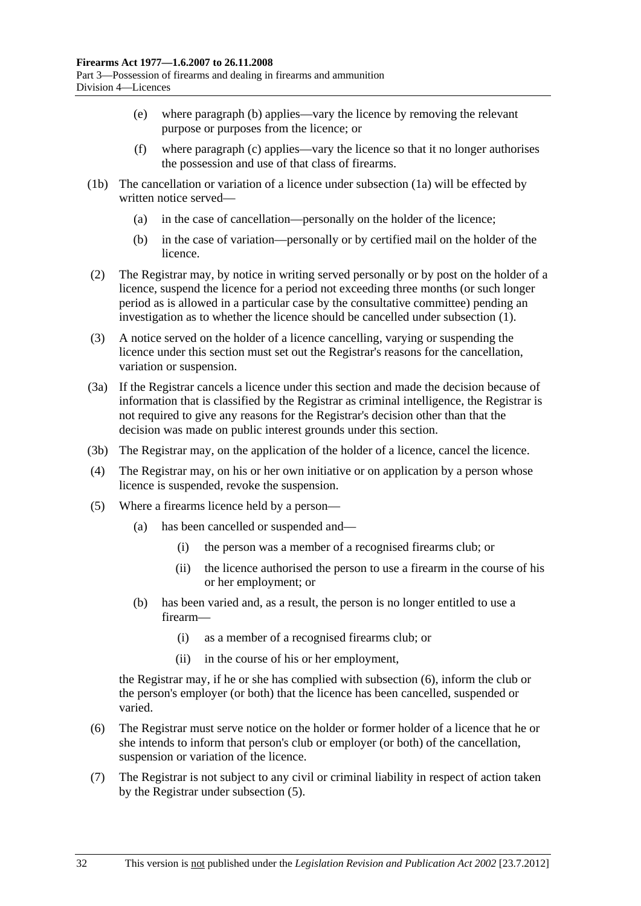- <span id="page-31-0"></span> (e) where [paragraph \(b\)](#page-30-0) applies—vary the licence by removing the relevant purpose or purposes from the licence; or
- (f) where [paragraph \(c\)](#page-30-0) applies—vary the licence so that it no longer authorises the possession and use of that class of firearms.
- (1b) The cancellation or variation of a licence under [subsection \(1a\)](#page-30-0) will be effected by written notice served—
	- (a) in the case of cancellation—personally on the holder of the licence;
	- (b) in the case of variation—personally or by certified mail on the holder of the licence.
- (2) The Registrar may, by notice in writing served personally or by post on the holder of a licence, suspend the licence for a period not exceeding three months (or such longer period as is allowed in a particular case by the consultative committee) pending an investigation as to whether the licence should be cancelled under [subsection \(1\).](#page-30-0)
- (3) A notice served on the holder of a licence cancelling, varying or suspending the licence under this section must set out the Registrar's reasons for the cancellation, variation or suspension.
- (3a) If the Registrar cancels a licence under this section and made the decision because of information that is classified by the Registrar as criminal intelligence, the Registrar is not required to give any reasons for the Registrar's decision other than that the decision was made on public interest grounds under this section.
- (3b) The Registrar may, on the application of the holder of a licence, cancel the licence.
- (4) The Registrar may, on his or her own initiative or on application by a person whose licence is suspended, revoke the suspension.
- (5) Where a firearms licence held by a person—
	- (a) has been cancelled or suspended and—
		- (i) the person was a member of a recognised firearms club; or
		- (ii) the licence authorised the person to use a firearm in the course of his or her employment; or
	- (b) has been varied and, as a result, the person is no longer entitled to use a firearm—
		- (i) as a member of a recognised firearms club; or
		- (ii) in the course of his or her employment,

the Registrar may, if he or she has complied with [subsection \(6\)](#page-31-0), inform the club or the person's employer (or both) that the licence has been cancelled, suspended or varied.

- (6) The Registrar must serve notice on the holder or former holder of a licence that he or she intends to inform that person's club or employer (or both) of the cancellation, suspension or variation of the licence.
- (7) The Registrar is not subject to any civil or criminal liability in respect of action taken by the Registrar under [subsection \(5\).](#page-31-0)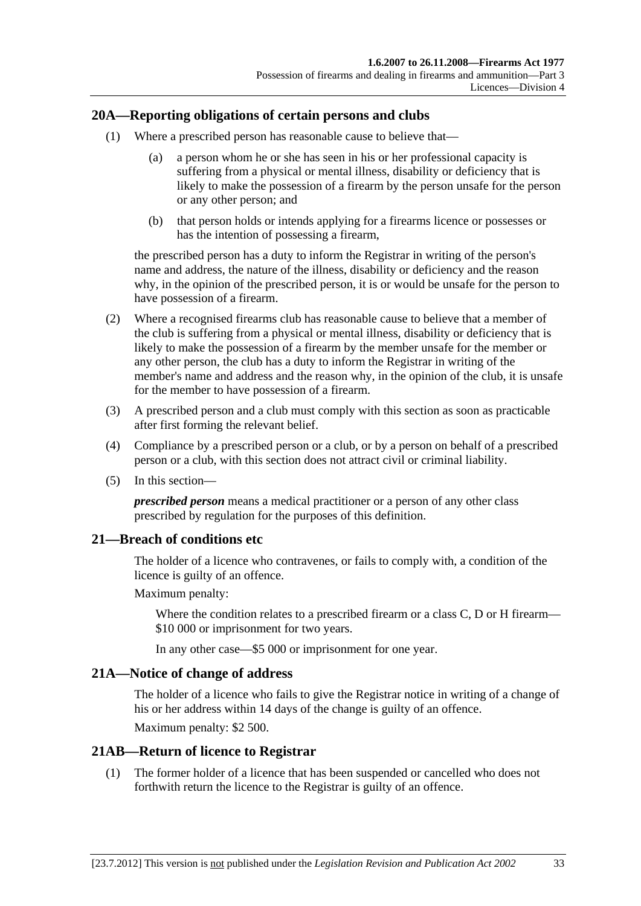## <span id="page-32-0"></span>**20A—Reporting obligations of certain persons and clubs**

- (1) Where a prescribed person has reasonable cause to believe that—
	- (a) a person whom he or she has seen in his or her professional capacity is suffering from a physical or mental illness, disability or deficiency that is likely to make the possession of a firearm by the person unsafe for the person or any other person; and
	- (b) that person holds or intends applying for a firearms licence or possesses or has the intention of possessing a firearm,

the prescribed person has a duty to inform the Registrar in writing of the person's name and address, the nature of the illness, disability or deficiency and the reason why, in the opinion of the prescribed person, it is or would be unsafe for the person to have possession of a firearm.

- (2) Where a recognised firearms club has reasonable cause to believe that a member of the club is suffering from a physical or mental illness, disability or deficiency that is likely to make the possession of a firearm by the member unsafe for the member or any other person, the club has a duty to inform the Registrar in writing of the member's name and address and the reason why, in the opinion of the club, it is unsafe for the member to have possession of a firearm.
- (3) A prescribed person and a club must comply with this section as soon as practicable after first forming the relevant belief.
- (4) Compliance by a prescribed person or a club, or by a person on behalf of a prescribed person or a club, with this section does not attract civil or criminal liability.
- (5) In this section—

*prescribed person* means a medical practitioner or a person of any other class prescribed by regulation for the purposes of this definition.

#### **21—Breach of conditions etc**

The holder of a licence who contravenes, or fails to comply with, a condition of the licence is guilty of an offence.

Maximum penalty:

Where the condition relates to a prescribed firearm or a class C, D or H firearm— \$10 000 or imprisonment for two years.

In any other case—\$5 000 or imprisonment for one year.

#### **21A—Notice of change of address**

The holder of a licence who fails to give the Registrar notice in writing of a change of his or her address within 14 days of the change is guilty of an offence. Maximum penalty: \$2 500.

#### **21AB—Return of licence to Registrar**

 (1) The former holder of a licence that has been suspended or cancelled who does not forthwith return the licence to the Registrar is guilty of an offence.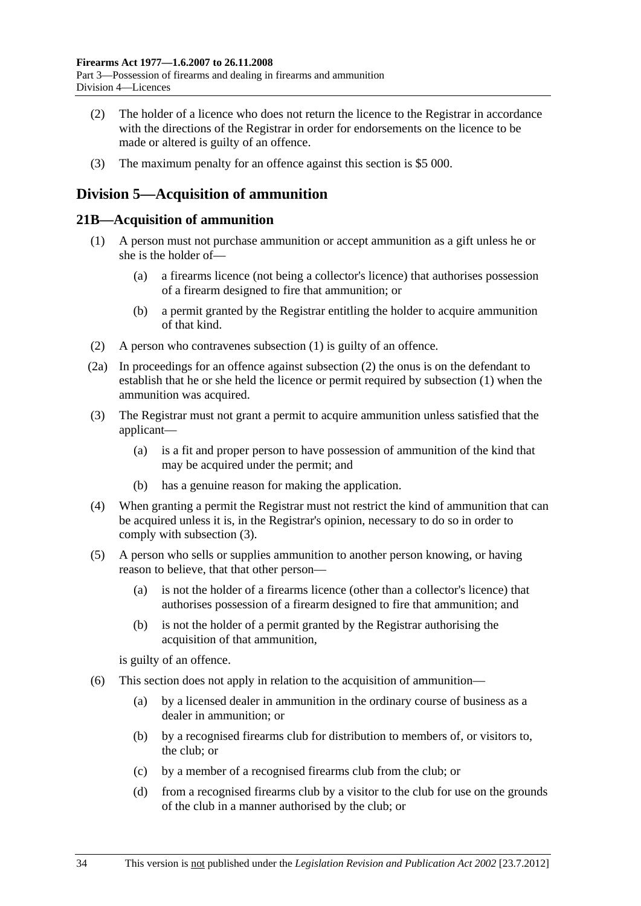- <span id="page-33-0"></span> (2) The holder of a licence who does not return the licence to the Registrar in accordance with the directions of the Registrar in order for endorsements on the licence to be made or altered is guilty of an offence.
- (3) The maximum penalty for an offence against this section is \$5 000.

## **Division 5—Acquisition of ammunition**

### **21B—Acquisition of ammunition**

- (1) A person must not purchase ammunition or accept ammunition as a gift unless he or she is the holder of—
	- (a) a firearms licence (not being a collector's licence) that authorises possession of a firearm designed to fire that ammunition; or
	- (b) a permit granted by the Registrar entitling the holder to acquire ammunition of that kind.
- (2) A person who contravenes [subsection \(1\)](#page-33-0) is guilty of an offence.
- (2a) In proceedings for an offence against [subsection \(2\)](#page-33-0) the onus is on the defendant to establish that he or she held the licence or permit required by [subsection \(1\)](#page-33-0) when the ammunition was acquired.
- (3) The Registrar must not grant a permit to acquire ammunition unless satisfied that the applicant—
	- (a) is a fit and proper person to have possession of ammunition of the kind that may be acquired under the permit; and
	- (b) has a genuine reason for making the application.
- (4) When granting a permit the Registrar must not restrict the kind of ammunition that can be acquired unless it is, in the Registrar's opinion, necessary to do so in order to comply with [subsection \(3\)](#page-33-0).
- (5) A person who sells or supplies ammunition to another person knowing, or having reason to believe, that that other person—
	- (a) is not the holder of a firearms licence (other than a collector's licence) that authorises possession of a firearm designed to fire that ammunition; and
	- (b) is not the holder of a permit granted by the Registrar authorising the acquisition of that ammunition,

is guilty of an offence.

- (6) This section does not apply in relation to the acquisition of ammunition—
	- (a) by a licensed dealer in ammunition in the ordinary course of business as a dealer in ammunition; or
	- (b) by a recognised firearms club for distribution to members of, or visitors to, the club; or
	- (c) by a member of a recognised firearms club from the club; or
	- (d) from a recognised firearms club by a visitor to the club for use on the grounds of the club in a manner authorised by the club; or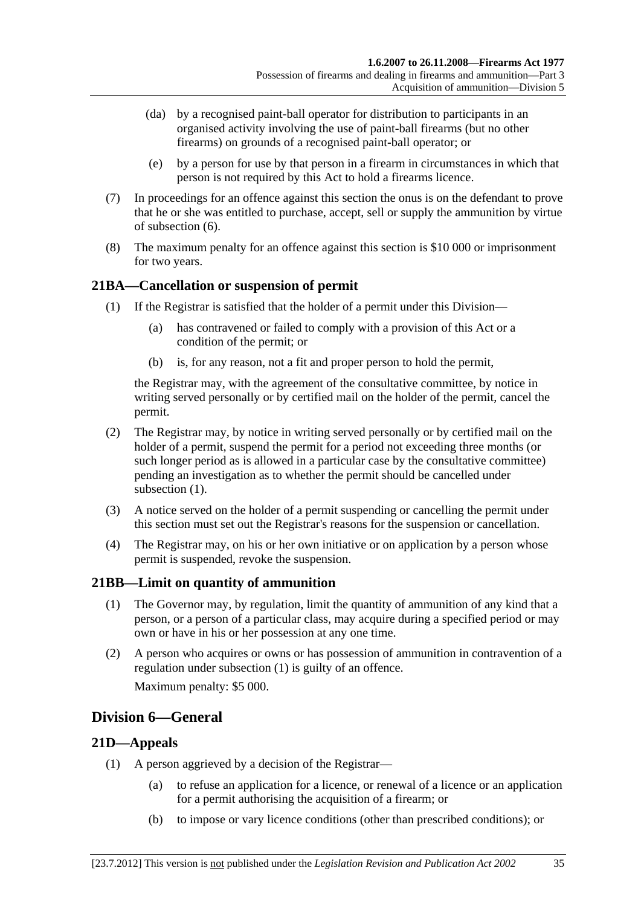- <span id="page-34-0"></span> (da) by a recognised paint-ball operator for distribution to participants in an organised activity involving the use of paint-ball firearms (but no other firearms) on grounds of a recognised paint-ball operator; or
- (e) by a person for use by that person in a firearm in circumstances in which that person is not required by this Act to hold a firearms licence.
- (7) In proceedings for an offence against this section the onus is on the defendant to prove that he or she was entitled to purchase, accept, sell or supply the ammunition by virtue of [subsection \(6\)](#page-33-0).
- (8) The maximum penalty for an offence against this section is \$10 000 or imprisonment for two years.

## **21BA—Cancellation or suspension of permit**

- (1) If the Registrar is satisfied that the holder of a permit under this Division—
	- (a) has contravened or failed to comply with a provision of this Act or a condition of the permit; or
	- (b) is, for any reason, not a fit and proper person to hold the permit,

the Registrar may, with the agreement of the consultative committee, by notice in writing served personally or by certified mail on the holder of the permit, cancel the permit.

- (2) The Registrar may, by notice in writing served personally or by certified mail on the holder of a permit, suspend the permit for a period not exceeding three months (or such longer period as is allowed in a particular case by the consultative committee) pending an investigation as to whether the permit should be cancelled under subsection  $(1)$ .
- (3) A notice served on the holder of a permit suspending or cancelling the permit under this section must set out the Registrar's reasons for the suspension or cancellation.
- (4) The Registrar may, on his or her own initiative or on application by a person whose permit is suspended, revoke the suspension.

## **21BB—Limit on quantity of ammunition**

- (1) The Governor may, by regulation, limit the quantity of ammunition of any kind that a person, or a person of a particular class, may acquire during a specified period or may own or have in his or her possession at any one time.
- (2) A person who acquires or owns or has possession of ammunition in contravention of a regulation under [subsection \(1\)](#page-34-0) is guilty of an offence. Maximum penalty: \$5 000.

## **Division 6—General**

## **21D—Appeals**

- (1) A person aggrieved by a decision of the Registrar—
	- (a) to refuse an application for a licence, or renewal of a licence or an application for a permit authorising the acquisition of a firearm; or
	- (b) to impose or vary licence conditions (other than prescribed conditions); or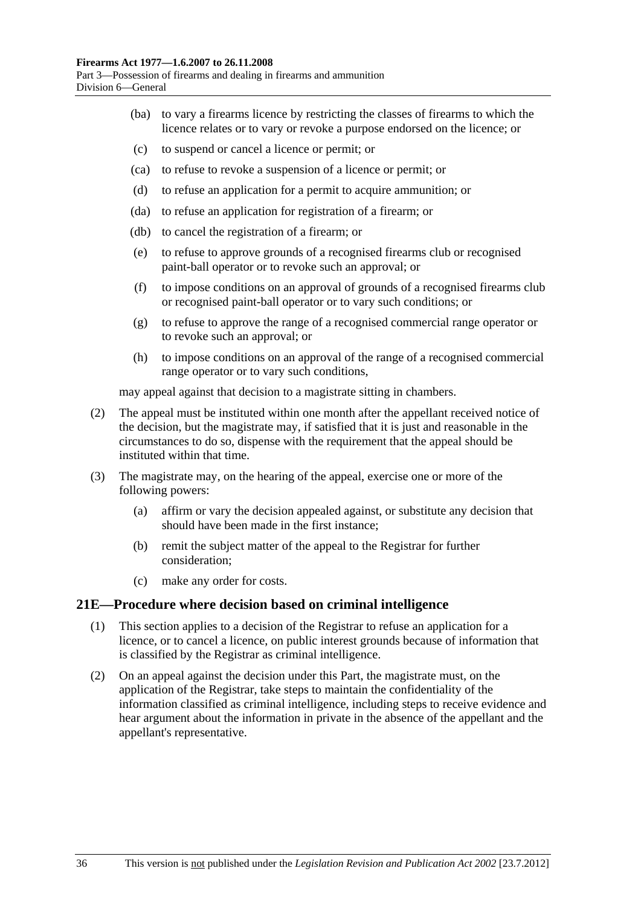- <span id="page-35-0"></span> (ba) to vary a firearms licence by restricting the classes of firearms to which the licence relates or to vary or revoke a purpose endorsed on the licence; or
- (c) to suspend or cancel a licence or permit; or
- (ca) to refuse to revoke a suspension of a licence or permit; or
- (d) to refuse an application for a permit to acquire ammunition; or
- (da) to refuse an application for registration of a firearm; or
- (db) to cancel the registration of a firearm; or
- (e) to refuse to approve grounds of a recognised firearms club or recognised paint-ball operator or to revoke such an approval; or
- (f) to impose conditions on an approval of grounds of a recognised firearms club or recognised paint-ball operator or to vary such conditions; or
- (g) to refuse to approve the range of a recognised commercial range operator or to revoke such an approval; or
- (h) to impose conditions on an approval of the range of a recognised commercial range operator or to vary such conditions,

may appeal against that decision to a magistrate sitting in chambers.

- (2) The appeal must be instituted within one month after the appellant received notice of the decision, but the magistrate may, if satisfied that it is just and reasonable in the circumstances to do so, dispense with the requirement that the appeal should be instituted within that time.
- (3) The magistrate may, on the hearing of the appeal, exercise one or more of the following powers:
	- (a) affirm or vary the decision appealed against, or substitute any decision that should have been made in the first instance;
	- (b) remit the subject matter of the appeal to the Registrar for further consideration;
	- (c) make any order for costs.

#### **21E—Procedure where decision based on criminal intelligence**

- (1) This section applies to a decision of the Registrar to refuse an application for a licence, or to cancel a licence, on public interest grounds because of information that is classified by the Registrar as criminal intelligence.
- (2) On an appeal against the decision under this Part, the magistrate must, on the application of the Registrar, take steps to maintain the confidentiality of the information classified as criminal intelligence, including steps to receive evidence and hear argument about the information in private in the absence of the appellant and the appellant's representative.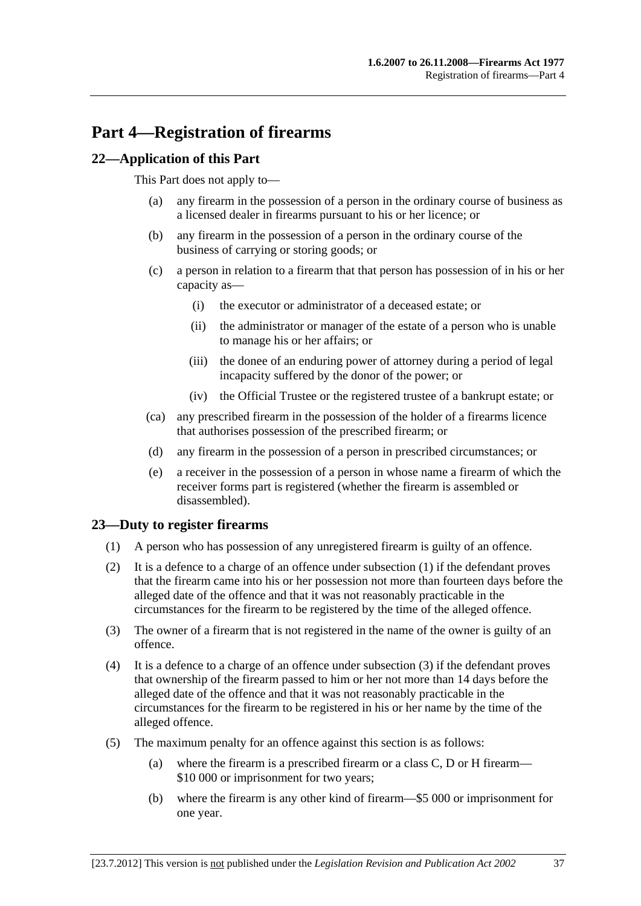## <span id="page-36-0"></span>**Part 4—Registration of firearms**

## **22—Application of this Part**

This Part does not apply to—

- (a) any firearm in the possession of a person in the ordinary course of business as a licensed dealer in firearms pursuant to his or her licence; or
- (b) any firearm in the possession of a person in the ordinary course of the business of carrying or storing goods; or
- (c) a person in relation to a firearm that that person has possession of in his or her capacity as—
	- (i) the executor or administrator of a deceased estate; or
	- (ii) the administrator or manager of the estate of a person who is unable to manage his or her affairs; or
	- (iii) the donee of an enduring power of attorney during a period of legal incapacity suffered by the donor of the power; or
	- (iv) the Official Trustee or the registered trustee of a bankrupt estate; or
- (ca) any prescribed firearm in the possession of the holder of a firearms licence that authorises possession of the prescribed firearm; or
- (d) any firearm in the possession of a person in prescribed circumstances; or
- (e) a receiver in the possession of a person in whose name a firearm of which the receiver forms part is registered (whether the firearm is assembled or disassembled).

## **23—Duty to register firearms**

- (1) A person who has possession of any unregistered firearm is guilty of an offence.
- (2) It is a defence to a charge of an offence under [subsection \(1\)](#page-36-0) if the defendant proves that the firearm came into his or her possession not more than fourteen days before the alleged date of the offence and that it was not reasonably practicable in the circumstances for the firearm to be registered by the time of the alleged offence.
- (3) The owner of a firearm that is not registered in the name of the owner is guilty of an offence.
- (4) It is a defence to a charge of an offence under [subsection \(3\)](#page-36-0) if the defendant proves that ownership of the firearm passed to him or her not more than 14 days before the alleged date of the offence and that it was not reasonably practicable in the circumstances for the firearm to be registered in his or her name by the time of the alleged offence.
- (5) The maximum penalty for an offence against this section is as follows:
	- (a) where the firearm is a prescribed firearm or a class C, D or H firearm— \$10 000 or imprisonment for two years;
	- (b) where the firearm is any other kind of firearm—\$5 000 or imprisonment for one year.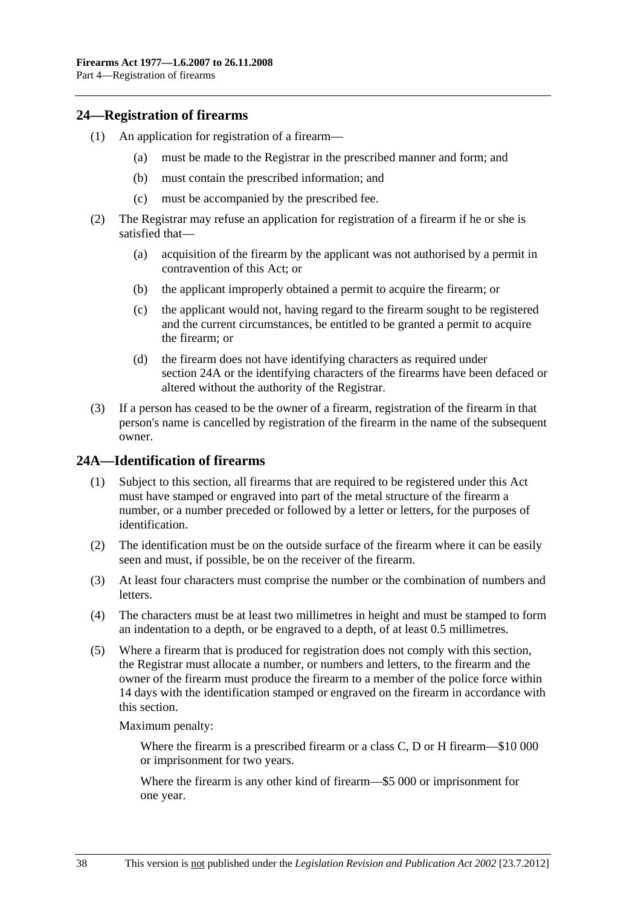### <span id="page-37-0"></span>**24—Registration of firearms**

- (1) An application for registration of a firearm—
	- (a) must be made to the Registrar in the prescribed manner and form; and
	- (b) must contain the prescribed information; and
	- (c) must be accompanied by the prescribed fee.
- (2) The Registrar may refuse an application for registration of a firearm if he or she is satisfied that—
	- (a) acquisition of the firearm by the applicant was not authorised by a permit in contravention of this Act; or
	- (b) the applicant improperly obtained a permit to acquire the firearm; or
	- (c) the applicant would not, having regard to the firearm sought to be registered and the current circumstances, be entitled to be granted a permit to acquire the firearm; or
	- (d) the firearm does not have identifying characters as required under [section 24A](#page-37-0) or the identifying characters of the firearms have been defaced or altered without the authority of the Registrar.
- (3) If a person has ceased to be the owner of a firearm, registration of the firearm in that person's name is cancelled by registration of the firearm in the name of the subsequent owner.

## **24A—Identification of firearms**

- (1) Subject to this section, all firearms that are required to be registered under this Act must have stamped or engraved into part of the metal structure of the firearm a number, or a number preceded or followed by a letter or letters, for the purposes of identification.
- (2) The identification must be on the outside surface of the firearm where it can be easily seen and must, if possible, be on the receiver of the firearm.
- (3) At least four characters must comprise the number or the combination of numbers and letters.
- (4) The characters must be at least two millimetres in height and must be stamped to form an indentation to a depth, or be engraved to a depth, of at least 0.5 millimetres.
- (5) Where a firearm that is produced for registration does not comply with this section, the Registrar must allocate a number, or numbers and letters, to the firearm and the owner of the firearm must produce the firearm to a member of the police force within 14 days with the identification stamped or engraved on the firearm in accordance with this section.

Maximum penalty:

Where the firearm is a prescribed firearm or a class C, D or H firearm—\$10 000 or imprisonment for two years.

Where the firearm is any other kind of firearm—\$5 000 or imprisonment for one year.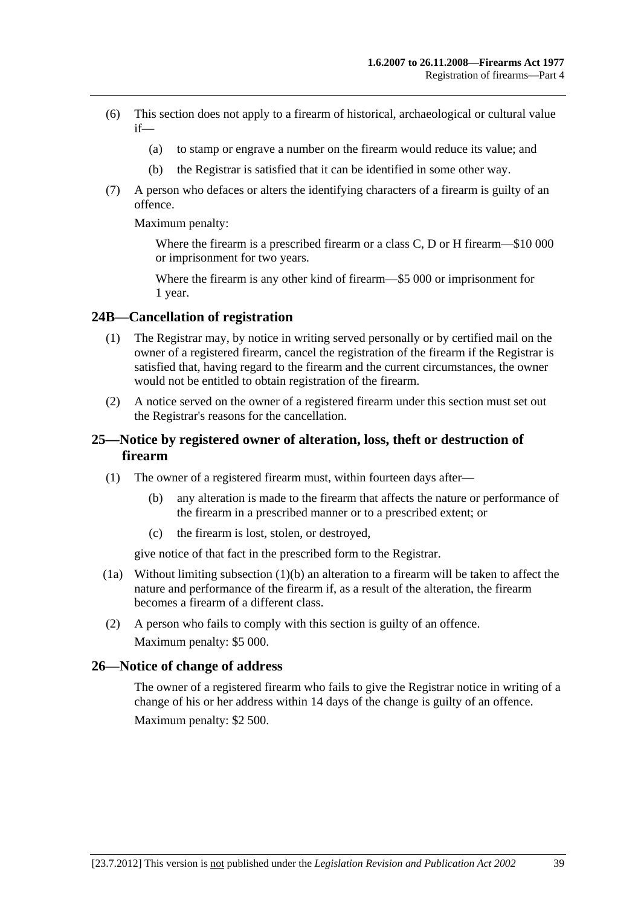- <span id="page-38-0"></span> (6) This section does not apply to a firearm of historical, archaeological or cultural value if—
	- (a) to stamp or engrave a number on the firearm would reduce its value; and
	- (b) the Registrar is satisfied that it can be identified in some other way.
- (7) A person who defaces or alters the identifying characters of a firearm is guilty of an offence.

Maximum penalty:

Where the firearm is a prescribed firearm or a class C, D or H firearm—\$10 000 or imprisonment for two years.

Where the firearm is any other kind of firearm—\$5 000 or imprisonment for 1 year.

### **24B—Cancellation of registration**

- (1) The Registrar may, by notice in writing served personally or by certified mail on the owner of a registered firearm, cancel the registration of the firearm if the Registrar is satisfied that, having regard to the firearm and the current circumstances, the owner would not be entitled to obtain registration of the firearm.
- (2) A notice served on the owner of a registered firearm under this section must set out the Registrar's reasons for the cancellation.

## **25—Notice by registered owner of alteration, loss, theft or destruction of firearm**

- (1) The owner of a registered firearm must, within fourteen days after—
	- (b) any alteration is made to the firearm that affects the nature or performance of the firearm in a prescribed manner or to a prescribed extent; or
	- (c) the firearm is lost, stolen, or destroyed,

give notice of that fact in the prescribed form to the Registrar.

- (1a) Without limiting [subsection \(1\)\(b\)](#page-38-0) an alteration to a firearm will be taken to affect the nature and performance of the firearm if, as a result of the alteration, the firearm becomes a firearm of a different class.
- (2) A person who fails to comply with this section is guilty of an offence. Maximum penalty: \$5 000.

#### **26—Notice of change of address**

The owner of a registered firearm who fails to give the Registrar notice in writing of a change of his or her address within 14 days of the change is guilty of an offence. Maximum penalty: \$2 500.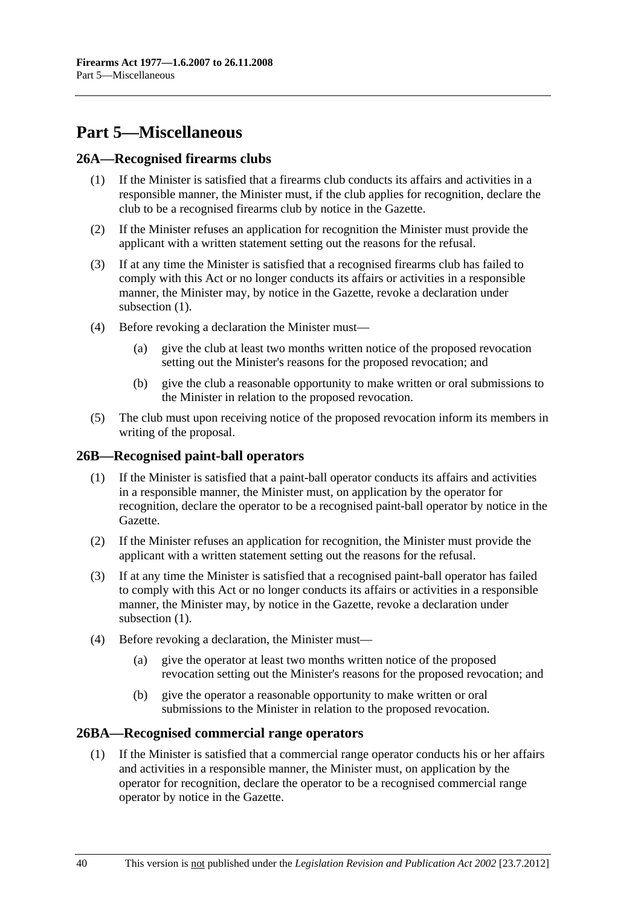## <span id="page-39-0"></span>**Part 5—Miscellaneous**

### **26A—Recognised firearms clubs**

- (1) If the Minister is satisfied that a firearms club conducts its affairs and activities in a responsible manner, the Minister must, if the club applies for recognition, declare the club to be a recognised firearms club by notice in the Gazette.
- (2) If the Minister refuses an application for recognition the Minister must provide the applicant with a written statement setting out the reasons for the refusal.
- (3) If at any time the Minister is satisfied that a recognised firearms club has failed to comply with this Act or no longer conducts its affairs or activities in a responsible manner, the Minister may, by notice in the Gazette, revoke a declaration under subsection  $(1)$ .
- (4) Before revoking a declaration the Minister must—
	- (a) give the club at least two months written notice of the proposed revocation setting out the Minister's reasons for the proposed revocation; and
	- (b) give the club a reasonable opportunity to make written or oral submissions to the Minister in relation to the proposed revocation.
- (5) The club must upon receiving notice of the proposed revocation inform its members in writing of the proposal.

#### **26B—Recognised paint-ball operators**

- (1) If the Minister is satisfied that a paint-ball operator conducts its affairs and activities in a responsible manner, the Minister must, on application by the operator for recognition, declare the operator to be a recognised paint-ball operator by notice in the Gazette.
- (2) If the Minister refuses an application for recognition, the Minister must provide the applicant with a written statement setting out the reasons for the refusal.
- (3) If at any time the Minister is satisfied that a recognised paint-ball operator has failed to comply with this Act or no longer conducts its affairs or activities in a responsible manner, the Minister may, by notice in the Gazette, revoke a declaration under subsection  $(1)$ .
- (4) Before revoking a declaration, the Minister must—
	- (a) give the operator at least two months written notice of the proposed revocation setting out the Minister's reasons for the proposed revocation; and
	- (b) give the operator a reasonable opportunity to make written or oral submissions to the Minister in relation to the proposed revocation.

#### **26BA—Recognised commercial range operators**

 (1) If the Minister is satisfied that a commercial range operator conducts his or her affairs and activities in a responsible manner, the Minister must, on application by the operator for recognition, declare the operator to be a recognised commercial range operator by notice in the Gazette.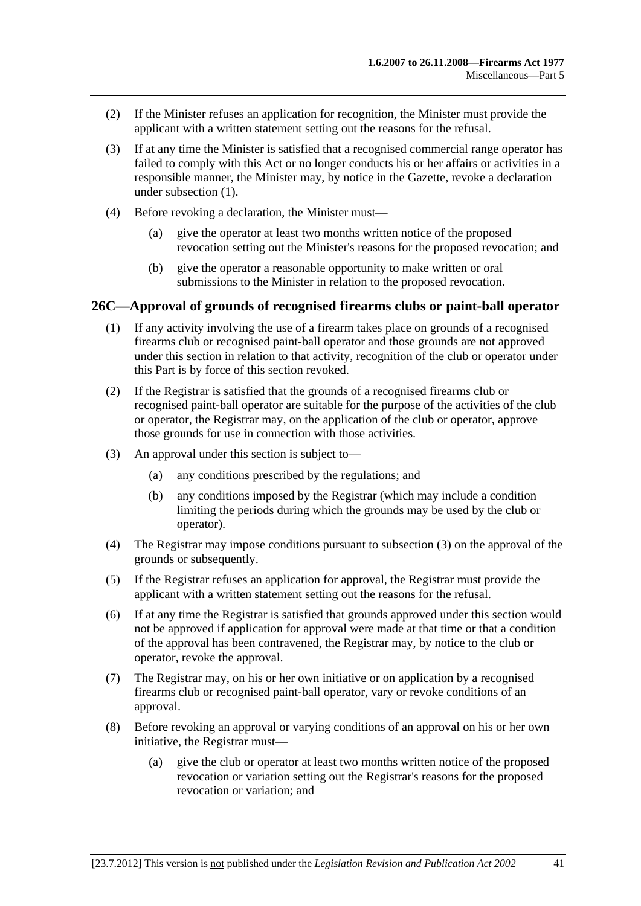- <span id="page-40-0"></span> (2) If the Minister refuses an application for recognition, the Minister must provide the applicant with a written statement setting out the reasons for the refusal.
- (3) If at any time the Minister is satisfied that a recognised commercial range operator has failed to comply with this Act or no longer conducts his or her affairs or activities in a responsible manner, the Minister may, by notice in the Gazette, revoke a declaration under [subsection \(1\).](#page-39-0)
- (4) Before revoking a declaration, the Minister must—
	- (a) give the operator at least two months written notice of the proposed revocation setting out the Minister's reasons for the proposed revocation; and
	- (b) give the operator a reasonable opportunity to make written or oral submissions to the Minister in relation to the proposed revocation.

### **26C—Approval of grounds of recognised firearms clubs or paint-ball operator**

- (1) If any activity involving the use of a firearm takes place on grounds of a recognised firearms club or recognised paint-ball operator and those grounds are not approved under this section in relation to that activity, recognition of the club or operator under this Part is by force of this section revoked.
- (2) If the Registrar is satisfied that the grounds of a recognised firearms club or recognised paint-ball operator are suitable for the purpose of the activities of the club or operator, the Registrar may, on the application of the club or operator, approve those grounds for use in connection with those activities.
- (3) An approval under this section is subject to—
	- (a) any conditions prescribed by the regulations; and
	- (b) any conditions imposed by the Registrar (which may include a condition limiting the periods during which the grounds may be used by the club or operator).
- (4) The Registrar may impose conditions pursuant to [subsection \(3\)](#page-40-0) on the approval of the grounds or subsequently.
- (5) If the Registrar refuses an application for approval, the Registrar must provide the applicant with a written statement setting out the reasons for the refusal.
- (6) If at any time the Registrar is satisfied that grounds approved under this section would not be approved if application for approval were made at that time or that a condition of the approval has been contravened, the Registrar may, by notice to the club or operator, revoke the approval.
- (7) The Registrar may, on his or her own initiative or on application by a recognised firearms club or recognised paint-ball operator, vary or revoke conditions of an approval.
- (8) Before revoking an approval or varying conditions of an approval on his or her own initiative, the Registrar must—
	- (a) give the club or operator at least two months written notice of the proposed revocation or variation setting out the Registrar's reasons for the proposed revocation or variation; and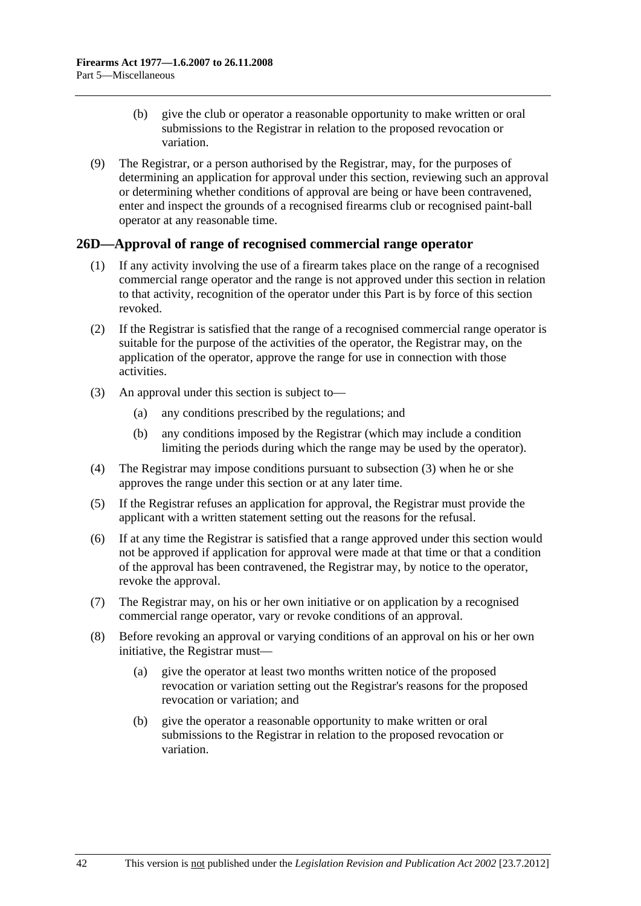- <span id="page-41-0"></span> (b) give the club or operator a reasonable opportunity to make written or oral submissions to the Registrar in relation to the proposed revocation or variation.
- (9) The Registrar, or a person authorised by the Registrar, may, for the purposes of determining an application for approval under this section, reviewing such an approval or determining whether conditions of approval are being or have been contravened, enter and inspect the grounds of a recognised firearms club or recognised paint-ball operator at any reasonable time.

## **26D—Approval of range of recognised commercial range operator**

- (1) If any activity involving the use of a firearm takes place on the range of a recognised commercial range operator and the range is not approved under this section in relation to that activity, recognition of the operator under this Part is by force of this section revoked.
- (2) If the Registrar is satisfied that the range of a recognised commercial range operator is suitable for the purpose of the activities of the operator, the Registrar may, on the application of the operator, approve the range for use in connection with those activities.
- (3) An approval under this section is subject to—
	- (a) any conditions prescribed by the regulations; and
	- (b) any conditions imposed by the Registrar (which may include a condition limiting the periods during which the range may be used by the operator).
- (4) The Registrar may impose conditions pursuant to [subsection \(3\)](#page-41-0) when he or she approves the range under this section or at any later time.
- (5) If the Registrar refuses an application for approval, the Registrar must provide the applicant with a written statement setting out the reasons for the refusal.
- (6) If at any time the Registrar is satisfied that a range approved under this section would not be approved if application for approval were made at that time or that a condition of the approval has been contravened, the Registrar may, by notice to the operator, revoke the approval.
- (7) The Registrar may, on his or her own initiative or on application by a recognised commercial range operator, vary or revoke conditions of an approval.
- (8) Before revoking an approval or varying conditions of an approval on his or her own initiative, the Registrar must—
	- (a) give the operator at least two months written notice of the proposed revocation or variation setting out the Registrar's reasons for the proposed revocation or variation; and
	- (b) give the operator a reasonable opportunity to make written or oral submissions to the Registrar in relation to the proposed revocation or variation.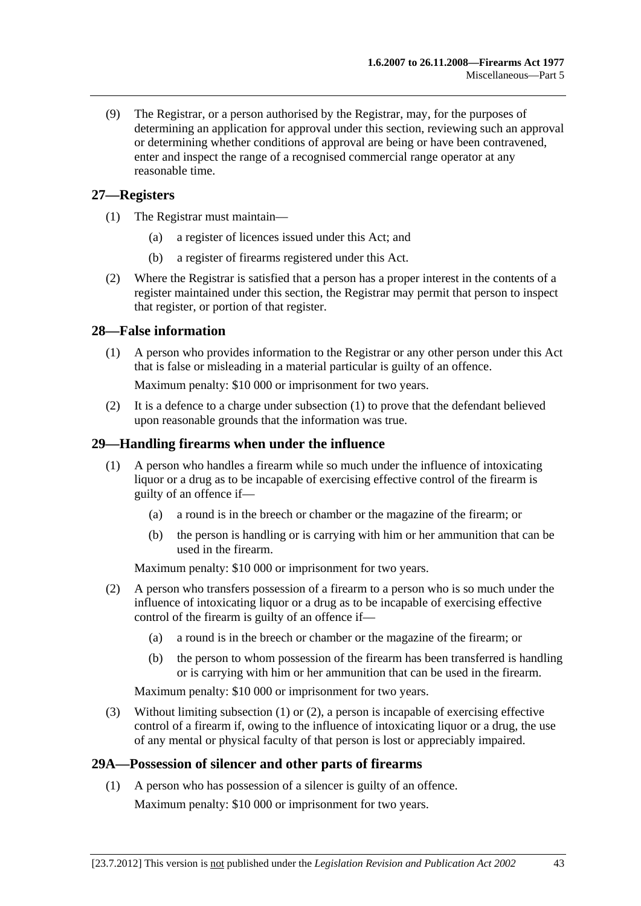<span id="page-42-0"></span> (9) The Registrar, or a person authorised by the Registrar, may, for the purposes of determining an application for approval under this section, reviewing such an approval or determining whether conditions of approval are being or have been contravened, enter and inspect the range of a recognised commercial range operator at any reasonable time.

## **27—Registers**

- (1) The Registrar must maintain—
	- (a) a register of licences issued under this Act; and
	- (b) a register of firearms registered under this Act.
- (2) Where the Registrar is satisfied that a person has a proper interest in the contents of a register maintained under this section, the Registrar may permit that person to inspect that register, or portion of that register.

## **28—False information**

 (1) A person who provides information to the Registrar or any other person under this Act that is false or misleading in a material particular is guilty of an offence.

Maximum penalty: \$10 000 or imprisonment for two years.

 (2) It is a defence to a charge under [subsection \(1\)](#page-42-0) to prove that the defendant believed upon reasonable grounds that the information was true.

## **29—Handling firearms when under the influence**

- (1) A person who handles a firearm while so much under the influence of intoxicating liquor or a drug as to be incapable of exercising effective control of the firearm is guilty of an offence if—
	- (a) a round is in the breech or chamber or the magazine of the firearm; or
	- (b) the person is handling or is carrying with him or her ammunition that can be used in the firearm.

Maximum penalty: \$10 000 or imprisonment for two years.

- (2) A person who transfers possession of a firearm to a person who is so much under the influence of intoxicating liquor or a drug as to be incapable of exercising effective control of the firearm is guilty of an offence if—
	- (a) a round is in the breech or chamber or the magazine of the firearm; or
	- (b) the person to whom possession of the firearm has been transferred is handling or is carrying with him or her ammunition that can be used in the firearm.

Maximum penalty: \$10 000 or imprisonment for two years.

 (3) Without limiting [subsection \(1\)](#page-42-0) or [\(2\)](#page-42-0), a person is incapable of exercising effective control of a firearm if, owing to the influence of intoxicating liquor or a drug, the use of any mental or physical faculty of that person is lost or appreciably impaired.

## **29A—Possession of silencer and other parts of firearms**

 (1) A person who has possession of a silencer is guilty of an offence. Maximum penalty: \$10 000 or imprisonment for two years.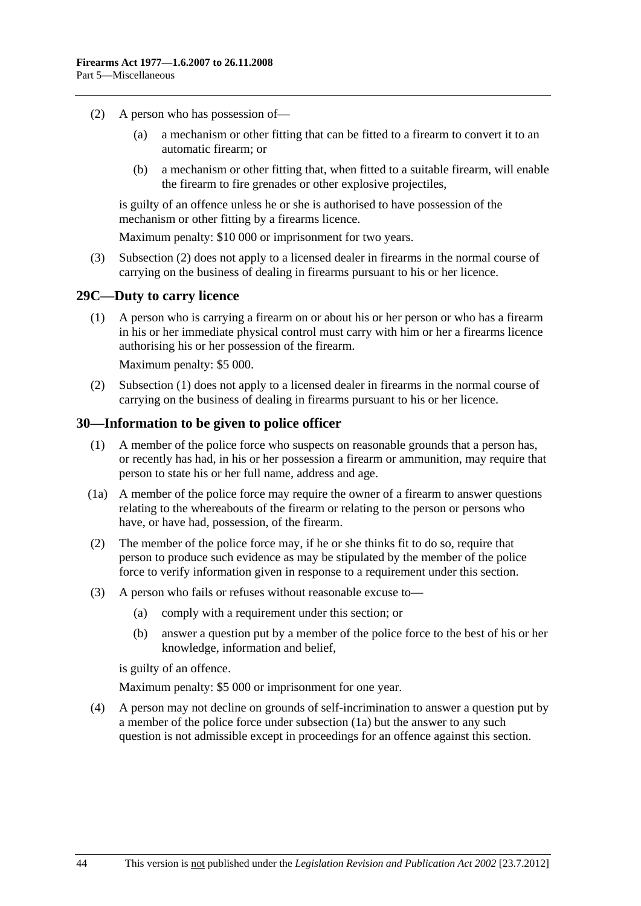- <span id="page-43-0"></span> (2) A person who has possession of—
	- (a) a mechanism or other fitting that can be fitted to a firearm to convert it to an automatic firearm; or
	- (b) a mechanism or other fitting that, when fitted to a suitable firearm, will enable the firearm to fire grenades or other explosive projectiles,

is guilty of an offence unless he or she is authorised to have possession of the mechanism or other fitting by a firearms licence.

Maximum penalty: \$10 000 or imprisonment for two years.

 (3) [Subsection \(2\)](#page-43-0) does not apply to a licensed dealer in firearms in the normal course of carrying on the business of dealing in firearms pursuant to his or her licence.

#### **29C—Duty to carry licence**

 (1) A person who is carrying a firearm on or about his or her person or who has a firearm in his or her immediate physical control must carry with him or her a firearms licence authorising his or her possession of the firearm.

Maximum penalty: \$5 000.

 (2) [Subsection \(1\)](#page-43-0) does not apply to a licensed dealer in firearms in the normal course of carrying on the business of dealing in firearms pursuant to his or her licence.

#### **30—Information to be given to police officer**

- (1) A member of the police force who suspects on reasonable grounds that a person has, or recently has had, in his or her possession a firearm or ammunition, may require that person to state his or her full name, address and age.
- (1a) A member of the police force may require the owner of a firearm to answer questions relating to the whereabouts of the firearm or relating to the person or persons who have, or have had, possession, of the firearm.
- (2) The member of the police force may, if he or she thinks fit to do so, require that person to produce such evidence as may be stipulated by the member of the police force to verify information given in response to a requirement under this section.
- (3) A person who fails or refuses without reasonable excuse to—
	- (a) comply with a requirement under this section; or
	- (b) answer a question put by a member of the police force to the best of his or her knowledge, information and belief,

is guilty of an offence.

Maximum penalty: \$5 000 or imprisonment for one year.

 (4) A person may not decline on grounds of self-incrimination to answer a question put by a member of the police force under [subsection \(1a\)](#page-43-0) but the answer to any such question is not admissible except in proceedings for an offence against this section.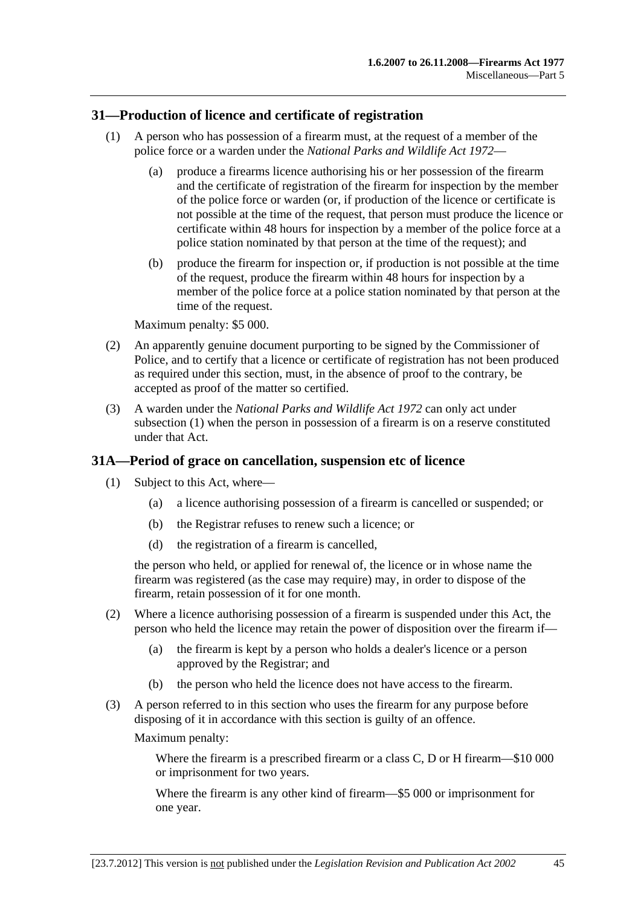### <span id="page-44-0"></span>**31—Production of licence and certificate of registration**

- (1) A person who has possession of a firearm must, at the request of a member of the police force or a warden under the *[National Parks and Wildlife Act 1972](http://www.legislation.sa.gov.au/index.aspx?action=legref&type=act&legtitle=National%20Parks%20and%20Wildlife%20Act%201972)*—
	- (a) produce a firearms licence authorising his or her possession of the firearm and the certificate of registration of the firearm for inspection by the member of the police force or warden (or, if production of the licence or certificate is not possible at the time of the request, that person must produce the licence or certificate within 48 hours for inspection by a member of the police force at a police station nominated by that person at the time of the request); and
	- (b) produce the firearm for inspection or, if production is not possible at the time of the request, produce the firearm within 48 hours for inspection by a member of the police force at a police station nominated by that person at the time of the request.

Maximum penalty: \$5 000.

- (2) An apparently genuine document purporting to be signed by the Commissioner of Police, and to certify that a licence or certificate of registration has not been produced as required under this section, must, in the absence of proof to the contrary, be accepted as proof of the matter so certified.
- (3) A warden under the *[National Parks and Wildlife Act 1972](http://www.legislation.sa.gov.au/index.aspx?action=legref&type=act&legtitle=National%20Parks%20and%20Wildlife%20Act%201972)* can only act under [subsection \(1\)](#page-44-0) when the person in possession of a firearm is on a reserve constituted under that Act.

## **31A—Period of grace on cancellation, suspension etc of licence**

- (1) Subject to this Act, where—
	- (a) a licence authorising possession of a firearm is cancelled or suspended; or
	- (b) the Registrar refuses to renew such a licence; or
	- (d) the registration of a firearm is cancelled,

the person who held, or applied for renewal of, the licence or in whose name the firearm was registered (as the case may require) may, in order to dispose of the firearm, retain possession of it for one month.

- (2) Where a licence authorising possession of a firearm is suspended under this Act, the person who held the licence may retain the power of disposition over the firearm if—
	- (a) the firearm is kept by a person who holds a dealer's licence or a person approved by the Registrar; and
	- (b) the person who held the licence does not have access to the firearm.
- (3) A person referred to in this section who uses the firearm for any purpose before disposing of it in accordance with this section is guilty of an offence.

Maximum penalty:

Where the firearm is a prescribed firearm or a class C, D or H firearm—\$10 000 or imprisonment for two years.

Where the firearm is any other kind of firearm—\$5 000 or imprisonment for one year.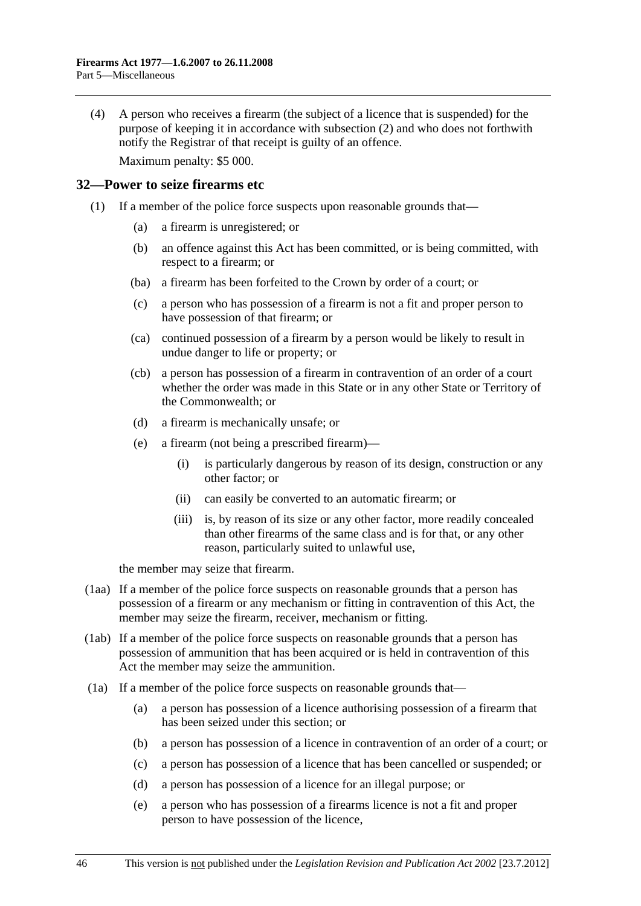<span id="page-45-0"></span> (4) A person who receives a firearm (the subject of a licence that is suspended) for the purpose of keeping it in accordance with [subsection \(2\)](#page-44-0) and who does not forthwith notify the Registrar of that receipt is guilty of an offence. Maximum penalty: \$5 000.

### **32—Power to seize firearms etc**

- (1) If a member of the police force suspects upon reasonable grounds that—
	- (a) a firearm is unregistered; or
	- (b) an offence against this Act has been committed, or is being committed, with respect to a firearm; or
	- (ba) a firearm has been forfeited to the Crown by order of a court; or
	- (c) a person who has possession of a firearm is not a fit and proper person to have possession of that firearm; or
	- (ca) continued possession of a firearm by a person would be likely to result in undue danger to life or property; or
	- (cb) a person has possession of a firearm in contravention of an order of a court whether the order was made in this State or in any other State or Territory of the Commonwealth; or
	- (d) a firearm is mechanically unsafe; or
	- (e) a firearm (not being a prescribed firearm)—
		- (i) is particularly dangerous by reason of its design, construction or any other factor; or
		- (ii) can easily be converted to an automatic firearm; or
		- (iii) is, by reason of its size or any other factor, more readily concealed than other firearms of the same class and is for that, or any other reason, particularly suited to unlawful use,

the member may seize that firearm.

- (1aa) If a member of the police force suspects on reasonable grounds that a person has possession of a firearm or any mechanism or fitting in contravention of this Act, the member may seize the firearm, receiver, mechanism or fitting.
- (1ab) If a member of the police force suspects on reasonable grounds that a person has possession of ammunition that has been acquired or is held in contravention of this Act the member may seize the ammunition.
- (1a) If a member of the police force suspects on reasonable grounds that—
	- (a) a person has possession of a licence authorising possession of a firearm that has been seized under this section; or
	- (b) a person has possession of a licence in contravention of an order of a court; or
	- (c) a person has possession of a licence that has been cancelled or suspended; or
	- (d) a person has possession of a licence for an illegal purpose; or
	- (e) a person who has possession of a firearms licence is not a fit and proper person to have possession of the licence,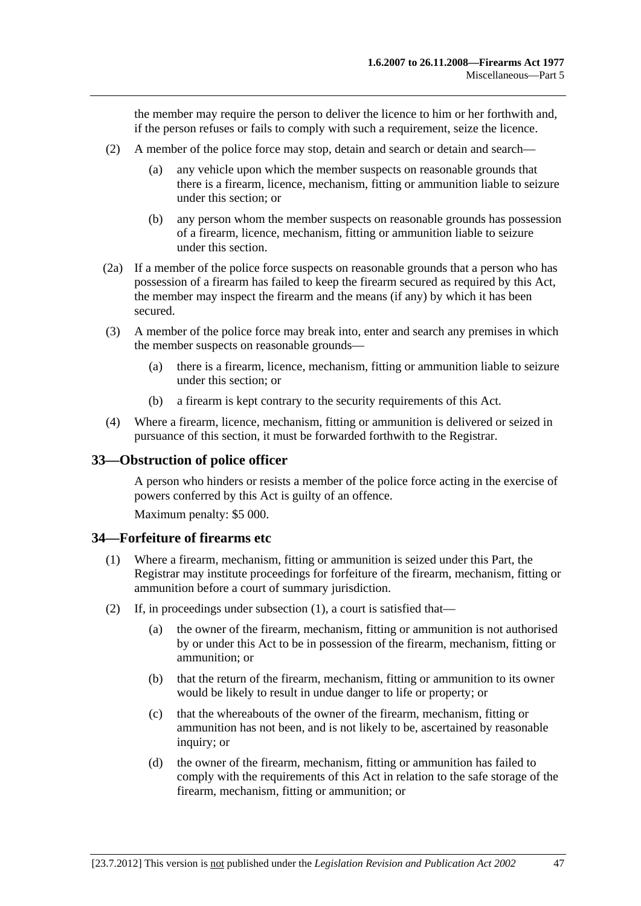<span id="page-46-0"></span>the member may require the person to deliver the licence to him or her forthwith and, if the person refuses or fails to comply with such a requirement, seize the licence.

- (2) A member of the police force may stop, detain and search or detain and search—
	- (a) any vehicle upon which the member suspects on reasonable grounds that there is a firearm, licence, mechanism, fitting or ammunition liable to seizure under this section; or
	- (b) any person whom the member suspects on reasonable grounds has possession of a firearm, licence, mechanism, fitting or ammunition liable to seizure under this section.
- (2a) If a member of the police force suspects on reasonable grounds that a person who has possession of a firearm has failed to keep the firearm secured as required by this Act, the member may inspect the firearm and the means (if any) by which it has been secured.
- (3) A member of the police force may break into, enter and search any premises in which the member suspects on reasonable grounds—
	- (a) there is a firearm, licence, mechanism, fitting or ammunition liable to seizure under this section; or
	- (b) a firearm is kept contrary to the security requirements of this Act.
- (4) Where a firearm, licence, mechanism, fitting or ammunition is delivered or seized in pursuance of this section, it must be forwarded forthwith to the Registrar.

## **33—Obstruction of police officer**

A person who hinders or resists a member of the police force acting in the exercise of powers conferred by this Act is guilty of an offence.

Maximum penalty: \$5 000.

#### **34—Forfeiture of firearms etc**

- (1) Where a firearm, mechanism, fitting or ammunition is seized under this Part, the Registrar may institute proceedings for forfeiture of the firearm, mechanism, fitting or ammunition before a court of summary jurisdiction.
- (2) If, in proceedings under [subsection \(1\)](#page-46-0), a court is satisfied that—
	- (a) the owner of the firearm, mechanism, fitting or ammunition is not authorised by or under this Act to be in possession of the firearm, mechanism, fitting or ammunition; or
	- (b) that the return of the firearm, mechanism, fitting or ammunition to its owner would be likely to result in undue danger to life or property; or
	- (c) that the whereabouts of the owner of the firearm, mechanism, fitting or ammunition has not been, and is not likely to be, ascertained by reasonable inquiry; or
	- (d) the owner of the firearm, mechanism, fitting or ammunition has failed to comply with the requirements of this Act in relation to the safe storage of the firearm, mechanism, fitting or ammunition; or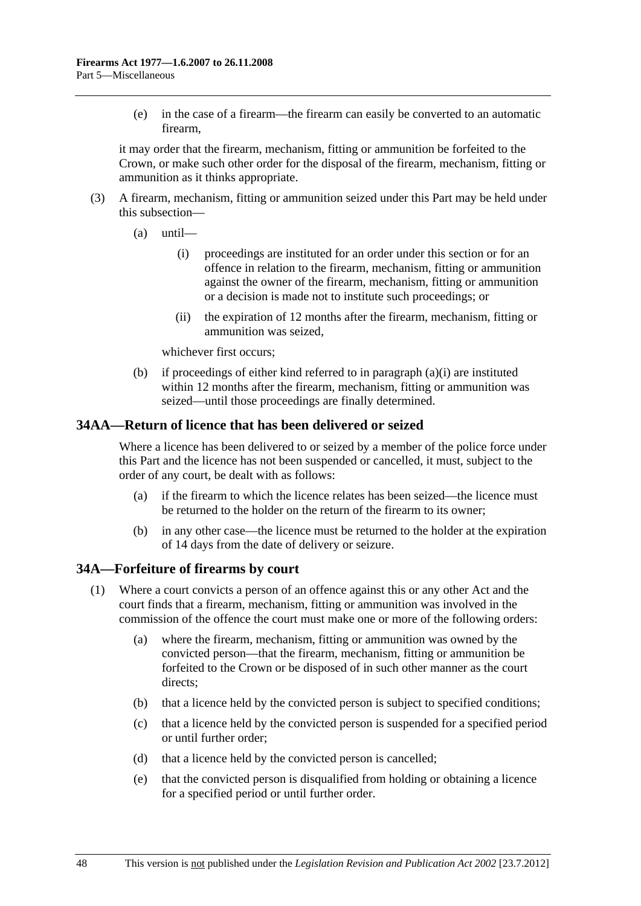<span id="page-47-0"></span> (e) in the case of a firearm—the firearm can easily be converted to an automatic firearm,

it may order that the firearm, mechanism, fitting or ammunition be forfeited to the Crown, or make such other order for the disposal of the firearm, mechanism, fitting or ammunition as it thinks appropriate.

- (3) A firearm, mechanism, fitting or ammunition seized under this Part may be held under this subsection—
	- $(a)$  until—
		- (i) proceedings are instituted for an order under this section or for an offence in relation to the firearm, mechanism, fitting or ammunition against the owner of the firearm, mechanism, fitting or ammunition or a decision is made not to institute such proceedings; or
		- (ii) the expiration of 12 months after the firearm, mechanism, fitting or ammunition was seized,

whichever first occurs;

 (b) if proceedings of either kind referred to in [paragraph \(a\)\(i\)](#page-47-0) are instituted within 12 months after the firearm, mechanism, fitting or ammunition was seized—until those proceedings are finally determined.

## **34AA—Return of licence that has been delivered or seized**

Where a licence has been delivered to or seized by a member of the police force under this Part and the licence has not been suspended or cancelled, it must, subject to the order of any court, be dealt with as follows:

- (a) if the firearm to which the licence relates has been seized—the licence must be returned to the holder on the return of the firearm to its owner;
- (b) in any other case—the licence must be returned to the holder at the expiration of 14 days from the date of delivery or seizure.

## **34A—Forfeiture of firearms by court**

- (1) Where a court convicts a person of an offence against this or any other Act and the court finds that a firearm, mechanism, fitting or ammunition was involved in the commission of the offence the court must make one or more of the following orders:
	- (a) where the firearm, mechanism, fitting or ammunition was owned by the convicted person—that the firearm, mechanism, fitting or ammunition be forfeited to the Crown or be disposed of in such other manner as the court directs;
	- (b) that a licence held by the convicted person is subject to specified conditions;
	- (c) that a licence held by the convicted person is suspended for a specified period or until further order;
	- (d) that a licence held by the convicted person is cancelled;
	- (e) that the convicted person is disqualified from holding or obtaining a licence for a specified period or until further order.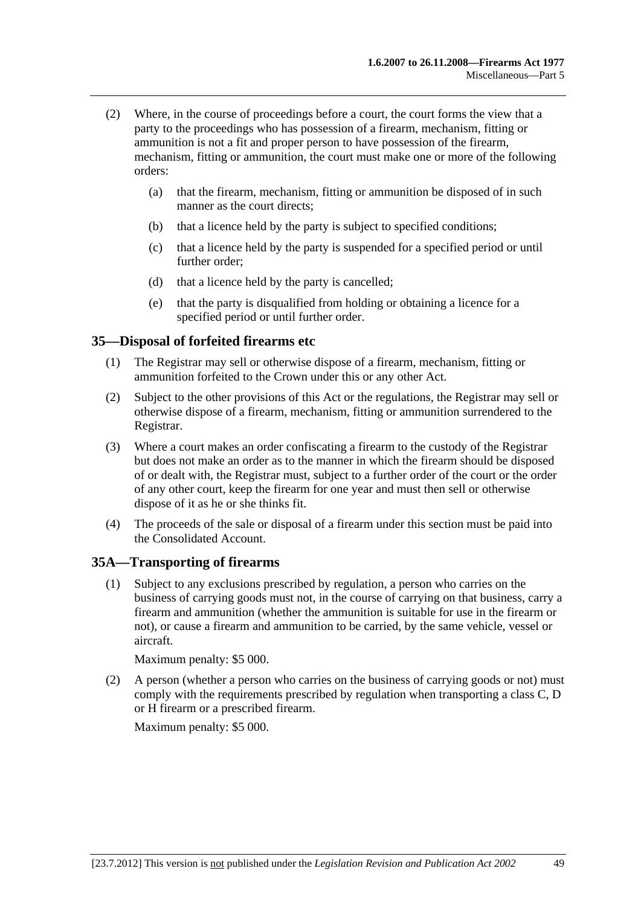- <span id="page-48-0"></span> (2) Where, in the course of proceedings before a court, the court forms the view that a party to the proceedings who has possession of a firearm, mechanism, fitting or ammunition is not a fit and proper person to have possession of the firearm, mechanism, fitting or ammunition, the court must make one or more of the following orders:
	- (a) that the firearm, mechanism, fitting or ammunition be disposed of in such manner as the court directs;
	- (b) that a licence held by the party is subject to specified conditions;
	- (c) that a licence held by the party is suspended for a specified period or until further order;
	- (d) that a licence held by the party is cancelled;
	- (e) that the party is disqualified from holding or obtaining a licence for a specified period or until further order.

### **35—Disposal of forfeited firearms etc**

- (1) The Registrar may sell or otherwise dispose of a firearm, mechanism, fitting or ammunition forfeited to the Crown under this or any other Act.
- (2) Subject to the other provisions of this Act or the regulations, the Registrar may sell or otherwise dispose of a firearm, mechanism, fitting or ammunition surrendered to the Registrar.
- (3) Where a court makes an order confiscating a firearm to the custody of the Registrar but does not make an order as to the manner in which the firearm should be disposed of or dealt with, the Registrar must, subject to a further order of the court or the order of any other court, keep the firearm for one year and must then sell or otherwise dispose of it as he or she thinks fit.
- (4) The proceeds of the sale or disposal of a firearm under this section must be paid into the Consolidated Account.

## **35A—Transporting of firearms**

 (1) Subject to any exclusions prescribed by regulation, a person who carries on the business of carrying goods must not, in the course of carrying on that business, carry a firearm and ammunition (whether the ammunition is suitable for use in the firearm or not), or cause a firearm and ammunition to be carried, by the same vehicle, vessel or aircraft.

Maximum penalty: \$5 000.

 (2) A person (whether a person who carries on the business of carrying goods or not) must comply with the requirements prescribed by regulation when transporting a class C, D or H firearm or a prescribed firearm.

Maximum penalty: \$5 000.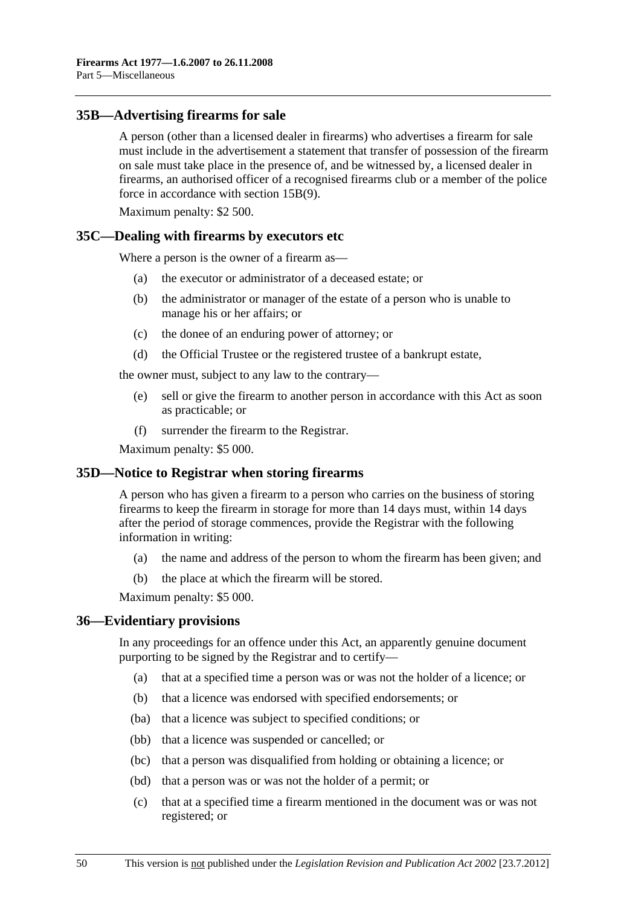### <span id="page-49-0"></span>**35B—Advertising firearms for sale**

A person (other than a licensed dealer in firearms) who advertises a firearm for sale must include in the advertisement a statement that transfer of possession of the firearm on sale must take place in the presence of, and be witnessed by, a licensed dealer in firearms, an authorised officer of a recognised firearms club or a member of the police force in accordance with [section 15B\(9\).](#page-25-0)

Maximum penalty: \$2 500.

#### **35C—Dealing with firearms by executors etc**

Where a person is the owner of a firearm as—

- (a) the executor or administrator of a deceased estate; or
- (b) the administrator or manager of the estate of a person who is unable to manage his or her affairs; or
- (c) the donee of an enduring power of attorney; or
- (d) the Official Trustee or the registered trustee of a bankrupt estate,

the owner must, subject to any law to the contrary—

- (e) sell or give the firearm to another person in accordance with this Act as soon as practicable; or
- (f) surrender the firearm to the Registrar.

Maximum penalty: \$5 000.

#### **35D—Notice to Registrar when storing firearms**

A person who has given a firearm to a person who carries on the business of storing firearms to keep the firearm in storage for more than 14 days must, within 14 days after the period of storage commences, provide the Registrar with the following information in writing:

- (a) the name and address of the person to whom the firearm has been given; and
- (b) the place at which the firearm will be stored.

Maximum penalty: \$5 000.

#### **36—Evidentiary provisions**

In any proceedings for an offence under this Act, an apparently genuine document purporting to be signed by the Registrar and to certify—

- (a) that at a specified time a person was or was not the holder of a licence; or
- (b) that a licence was endorsed with specified endorsements; or
- (ba) that a licence was subject to specified conditions; or
- (bb) that a licence was suspended or cancelled; or
- (bc) that a person was disqualified from holding or obtaining a licence; or
- (bd) that a person was or was not the holder of a permit; or
- (c) that at a specified time a firearm mentioned in the document was or was not registered; or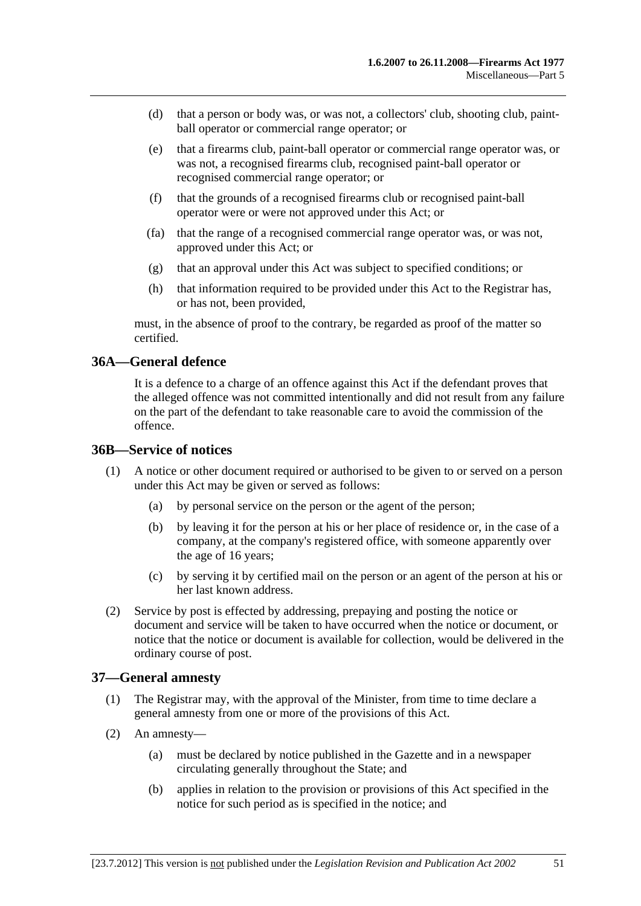- <span id="page-50-0"></span> (d) that a person or body was, or was not, a collectors' club, shooting club, paintball operator or commercial range operator; or
- (e) that a firearms club, paint-ball operator or commercial range operator was, or was not, a recognised firearms club, recognised paint-ball operator or recognised commercial range operator; or
- (f) that the grounds of a recognised firearms club or recognised paint-ball operator were or were not approved under this Act; or
- (fa) that the range of a recognised commercial range operator was, or was not, approved under this Act; or
- (g) that an approval under this Act was subject to specified conditions; or
- (h) that information required to be provided under this Act to the Registrar has, or has not, been provided,

must, in the absence of proof to the contrary, be regarded as proof of the matter so certified.

## **36A—General defence**

It is a defence to a charge of an offence against this Act if the defendant proves that the alleged offence was not committed intentionally and did not result from any failure on the part of the defendant to take reasonable care to avoid the commission of the offence.

#### **36B—Service of notices**

- (1) A notice or other document required or authorised to be given to or served on a person under this Act may be given or served as follows:
	- (a) by personal service on the person or the agent of the person;
	- (b) by leaving it for the person at his or her place of residence or, in the case of a company, at the company's registered office, with someone apparently over the age of 16 years;
	- (c) by serving it by certified mail on the person or an agent of the person at his or her last known address.
- (2) Service by post is effected by addressing, prepaying and posting the notice or document and service will be taken to have occurred when the notice or document, or notice that the notice or document is available for collection, would be delivered in the ordinary course of post.

#### **37—General amnesty**

- (1) The Registrar may, with the approval of the Minister, from time to time declare a general amnesty from one or more of the provisions of this Act.
- (2) An amnesty—
	- (a) must be declared by notice published in the Gazette and in a newspaper circulating generally throughout the State; and
	- (b) applies in relation to the provision or provisions of this Act specified in the notice for such period as is specified in the notice; and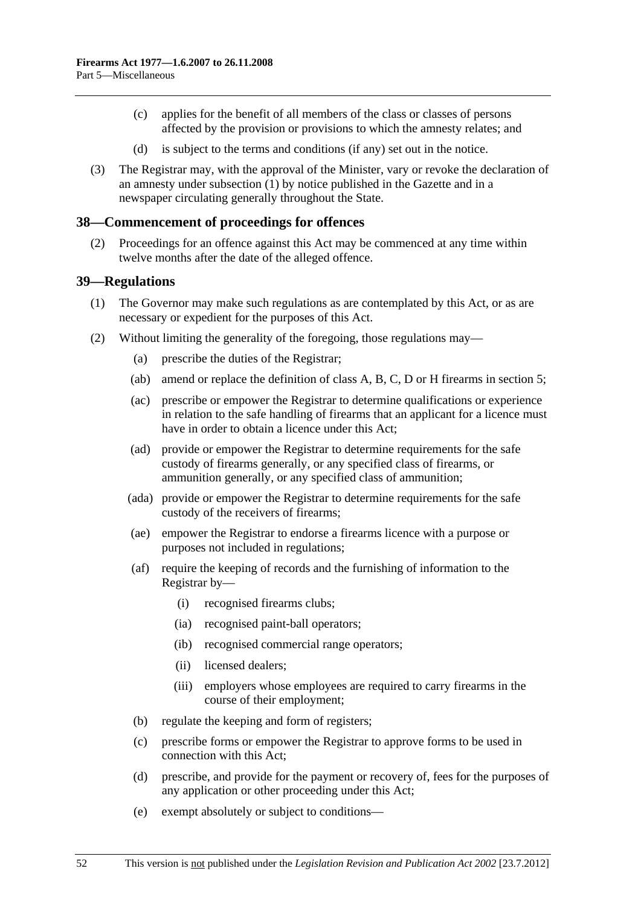- <span id="page-51-0"></span> (c) applies for the benefit of all members of the class or classes of persons affected by the provision or provisions to which the amnesty relates; and
- (d) is subject to the terms and conditions (if any) set out in the notice.
- (3) The Registrar may, with the approval of the Minister, vary or revoke the declaration of an amnesty under [subsection \(1\)](#page-50-0) by notice published in the Gazette and in a newspaper circulating generally throughout the State.

#### **38—Commencement of proceedings for offences**

 (2) Proceedings for an offence against this Act may be commenced at any time within twelve months after the date of the alleged offence.

#### **39—Regulations**

- (1) The Governor may make such regulations as are contemplated by this Act, or as are necessary or expedient for the purposes of this Act.
- (2) Without limiting the generality of the foregoing, those regulations may—
	- (a) prescribe the duties of the Registrar;
	- (ab) amend or replace the definition of class A, B, C, D or H firearms in [section 5](#page-2-0);
	- (ac) prescribe or empower the Registrar to determine qualifications or experience in relation to the safe handling of firearms that an applicant for a licence must have in order to obtain a licence under this Act;
	- (ad) provide or empower the Registrar to determine requirements for the safe custody of firearms generally, or any specified class of firearms, or ammunition generally, or any specified class of ammunition;
	- (ada) provide or empower the Registrar to determine requirements for the safe custody of the receivers of firearms;
	- (ae) empower the Registrar to endorse a firearms licence with a purpose or purposes not included in regulations;
	- (af) require the keeping of records and the furnishing of information to the Registrar by—
		- (i) recognised firearms clubs;
		- (ia) recognised paint-ball operators;
		- (ib) recognised commercial range operators;
		- (ii) licensed dealers;
		- (iii) employers whose employees are required to carry firearms in the course of their employment;
	- (b) regulate the keeping and form of registers;
	- (c) prescribe forms or empower the Registrar to approve forms to be used in connection with this Act;
	- (d) prescribe, and provide for the payment or recovery of, fees for the purposes of any application or other proceeding under this Act;
	- (e) exempt absolutely or subject to conditions—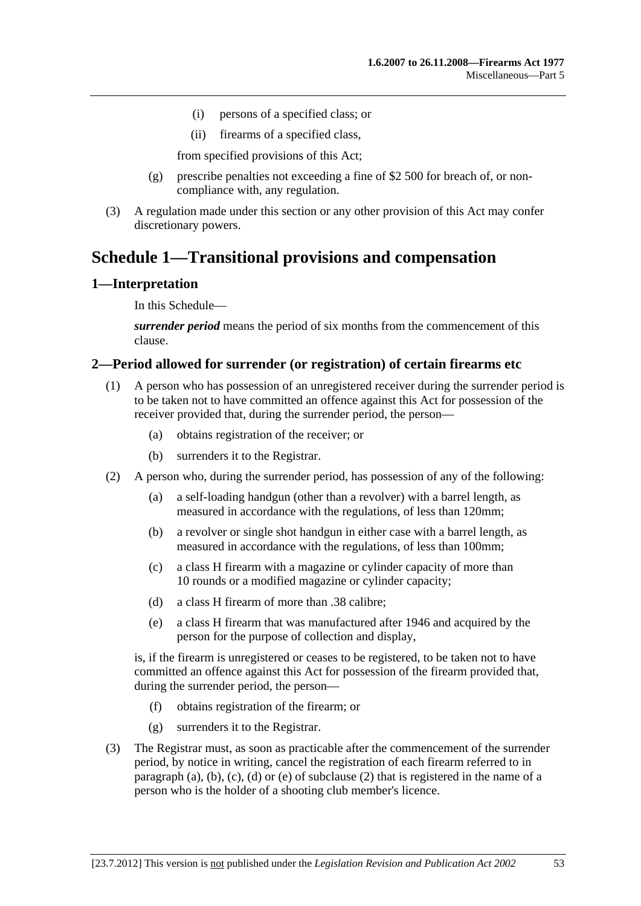- <span id="page-52-0"></span>(i) persons of a specified class; or
- (ii) firearms of a specified class,

from specified provisions of this Act;

- (g) prescribe penalties not exceeding a fine of \$2 500 for breach of, or noncompliance with, any regulation.
- (3) A regulation made under this section or any other provision of this Act may confer discretionary powers.

## **Schedule 1—Transitional provisions and compensation**

### **1—Interpretation**

In this Schedule—

*surrender period* means the period of six months from the commencement of this clause.

### **2—Period allowed for surrender (or registration) of certain firearms etc**

- (1) A person who has possession of an unregistered receiver during the surrender period is to be taken not to have committed an offence against this Act for possession of the receiver provided that, during the surrender period, the person—
	- (a) obtains registration of the receiver; or
	- (b) surrenders it to the Registrar.
- (2) A person who, during the surrender period, has possession of any of the following:
	- (a) a self-loading handgun (other than a revolver) with a barrel length, as measured in accordance with the regulations, of less than 120mm;
	- (b) a revolver or single shot handgun in either case with a barrel length, as measured in accordance with the regulations, of less than 100mm;
	- (c) a class H firearm with a magazine or cylinder capacity of more than 10 rounds or a modified magazine or cylinder capacity;
	- (d) a class H firearm of more than .38 calibre;
	- (e) a class H firearm that was manufactured after 1946 and acquired by the person for the purpose of collection and display,

is, if the firearm is unregistered or ceases to be registered, to be taken not to have committed an offence against this Act for possession of the firearm provided that, during the surrender period, the person—

- (f) obtains registration of the firearm; or
- (g) surrenders it to the Registrar.
- (3) The Registrar must, as soon as practicable after the commencement of the surrender period, by notice in writing, cancel the registration of each firearm referred to in [paragraph \(a\)](#page-52-0), [\(b\), \(c\)](#page-52-0), [\(d\)](#page-52-0) or [\(e\)](#page-52-0) of [subclause \(2\)](#page-52-0) that is registered in the name of a person who is the holder of a shooting club member's licence.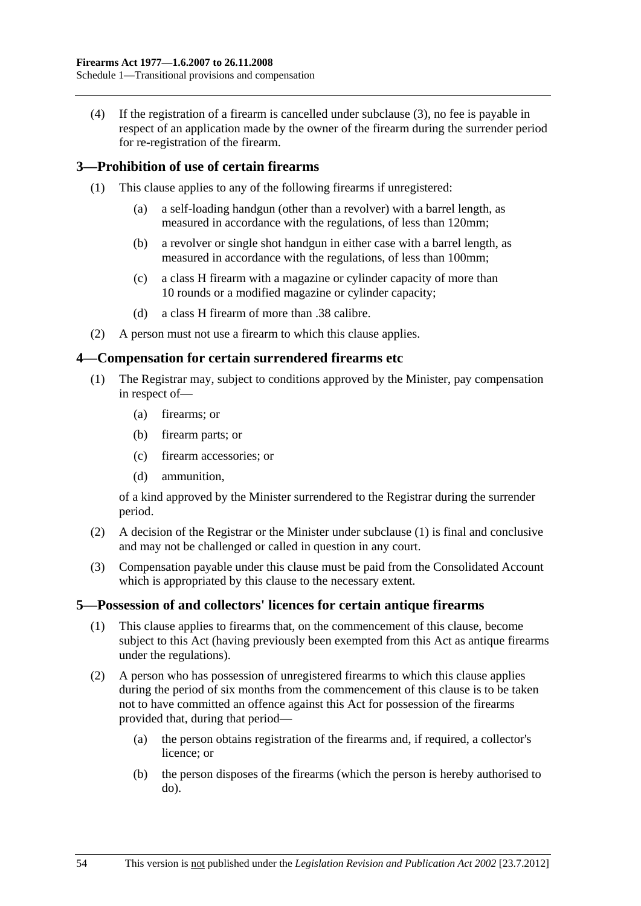<span id="page-53-0"></span> (4) If the registration of a firearm is cancelled under [subclause \(3\)](#page-52-0), no fee is payable in respect of an application made by the owner of the firearm during the surrender period for re-registration of the firearm.

## **3—Prohibition of use of certain firearms**

- (1) This clause applies to any of the following firearms if unregistered:
	- (a) a self-loading handgun (other than a revolver) with a barrel length, as measured in accordance with the regulations, of less than 120mm;
	- (b) a revolver or single shot handgun in either case with a barrel length, as measured in accordance with the regulations, of less than 100mm;
	- (c) a class H firearm with a magazine or cylinder capacity of more than 10 rounds or a modified magazine or cylinder capacity;
	- (d) a class H firearm of more than .38 calibre.
- (2) A person must not use a firearm to which this clause applies.

#### **4—Compensation for certain surrendered firearms etc**

- (1) The Registrar may, subject to conditions approved by the Minister, pay compensation in respect of—
	- (a) firearms; or
	- (b) firearm parts; or
	- (c) firearm accessories; or
	- (d) ammunition,

of a kind approved by the Minister surrendered to the Registrar during the surrender period.

- (2) A decision of the Registrar or the Minister under [subclause \(1\)](#page-53-0) is final and conclusive and may not be challenged or called in question in any court.
- (3) Compensation payable under this clause must be paid from the Consolidated Account which is appropriated by this clause to the necessary extent.

#### **5—Possession of and collectors' licences for certain antique firearms**

- (1) This clause applies to firearms that, on the commencement of this clause, become subject to this Act (having previously been exempted from this Act as antique firearms under the regulations).
- (2) A person who has possession of unregistered firearms to which this clause applies during the period of six months from the commencement of this clause is to be taken not to have committed an offence against this Act for possession of the firearms provided that, during that period—
	- (a) the person obtains registration of the firearms and, if required, a collector's licence; or
	- (b) the person disposes of the firearms (which the person is hereby authorised to do).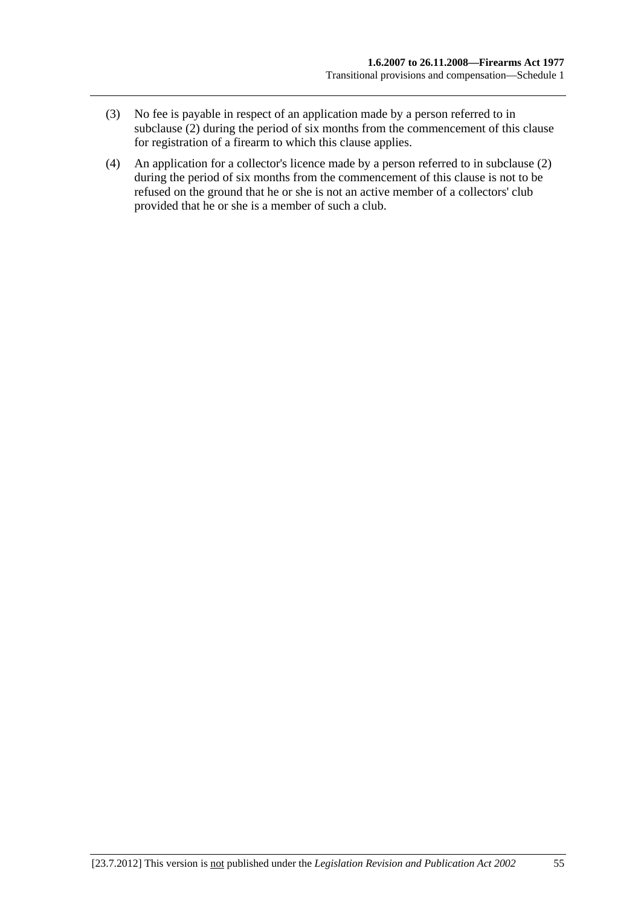- (3) No fee is payable in respect of an application made by a person referred to in [subclause \(2\)](#page-53-0) during the period of six months from the commencement of this clause for registration of a firearm to which this clause applies.
- (4) An application for a collector's licence made by a person referred to in [subclause \(2\)](#page-53-0)  during the period of six months from the commencement of this clause is not to be refused on the ground that he or she is not an active member of a collectors' club provided that he or she is a member of such a club.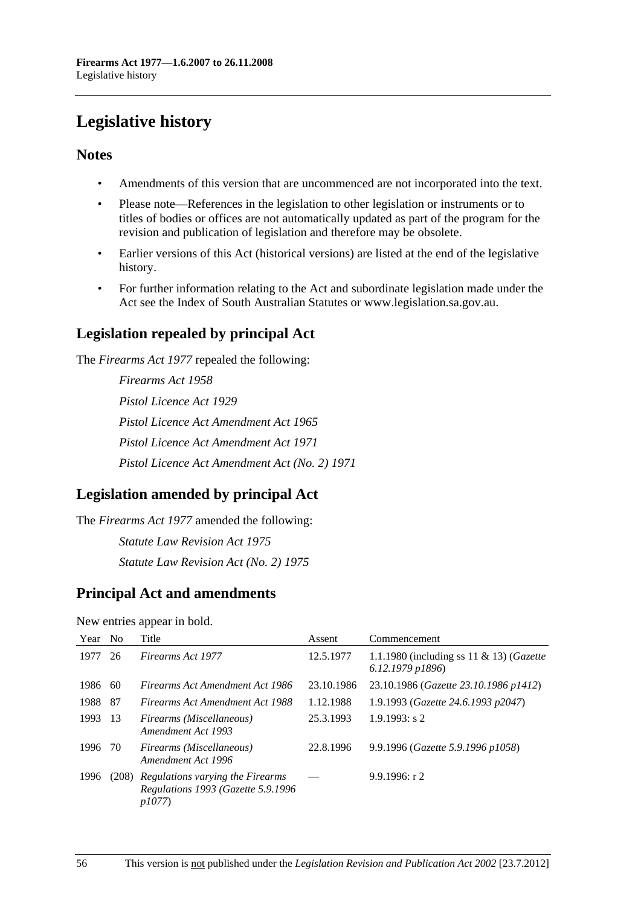## <span id="page-55-0"></span>**Legislative history**

## **Notes**

- Amendments of this version that are uncommenced are not incorporated into the text.
- Please note—References in the legislation to other legislation or instruments or to titles of bodies or offices are not automatically updated as part of the program for the revision and publication of legislation and therefore may be obsolete.
- Earlier versions of this Act (historical versions) are listed at the end of the legislative history.
- For further information relating to the Act and subordinate legislation made under the Act see the Index of South Australian Statutes or www.legislation.sa.gov.au.

## **Legislation repealed by principal Act**

The *Firearms Act 1977* repealed the following:

*Firearms Act 1958 Pistol Licence Act 1929 Pistol Licence Act Amendment Act 1965 Pistol Licence Act Amendment Act 1971 Pistol Licence Act Amendment Act (No. 2) 1971*

## **Legislation amended by principal Act**

The *Firearms Act 1977* amended the following: *Statute Law Revision Act 1975 Statute Law Revision Act (No. 2) 1975*

## **Principal Act and amendments**

New entries appear in bold.

| Year No |     | Title                                                                                 | Assent     | Commencement                                                 |
|---------|-----|---------------------------------------------------------------------------------------|------------|--------------------------------------------------------------|
| 1977    | 26  | Firearms Act 1977                                                                     | 12.5.1977  | 1.1.1980 (including ss 11 & 13) (Gazette<br>6.12.1979 p1896) |
| 1986    | 60  | Firearms Act Amendment Act 1986                                                       | 23.10.1986 | 23.10.1986 (Gazette 23.10.1986 p1412)                        |
| 1988    | -87 | Firearms Act Amendment Act 1988                                                       | 1.12.1988  | 1.9.1993 (Gazette 24.6.1993 p2047)                           |
| 1993    | -13 | Firearms (Miscellaneous)<br>Amendment Act 1993                                        | 25.3.1993  | $1.9.1993$ : s 2                                             |
| 1996    | -70 | Firearms (Miscellaneous)<br>Amendment Act 1996                                        | 22.8.1996  | 9.9.1996 (Gazette 5.9.1996 p1058)                            |
| 1996    |     | (208) Regulations varying the Firearms<br>Regulations 1993 (Gazette 5.9.1996<br>p1077 |            | 9.9.1996: r2                                                 |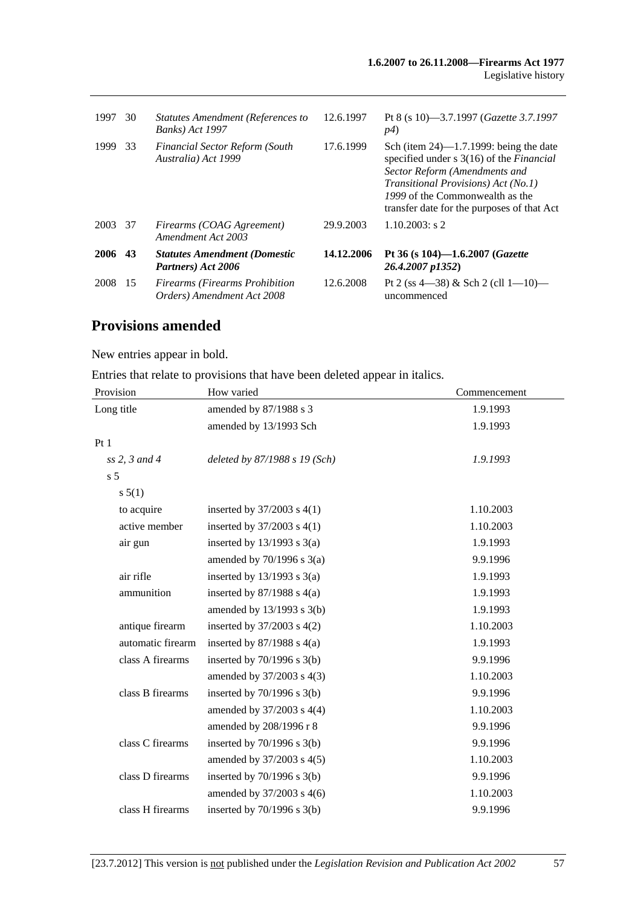| 1997 | 30  | Statutes Amendment (References to<br><b>Banks</b> ) Act 1997        | 12.6.1997  | Pt 8 (s 10)-3.7.1997 ( <i>Gazette 3.7.1997</i><br>p4)                                                                                                                                                                                                         |
|------|-----|---------------------------------------------------------------------|------------|---------------------------------------------------------------------------------------------------------------------------------------------------------------------------------------------------------------------------------------------------------------|
| 1999 | 33  | <b>Financial Sector Reform (South</b><br>Australia) Act 1999        | 17.6.1999  | Sch (item $24$ )—1.7.1999: being the date<br>specified under s 3(16) of the <i>Financial</i><br>Sector Reform (Amendments and<br><i>Transitional Provisions</i> ) Act (No.1)<br>1999 of the Commonwealth as the<br>transfer date for the purposes of that Act |
| 2003 | 37  | Firearms (COAG Agreement)<br>Amendment Act 2003                     | 29.9.2003  | $1.10.2003$ : s 2                                                                                                                                                                                                                                             |
| 2006 | 43  | <b>Statutes Amendment (Domestic</b><br>Partners) Act 2006           | 14.12.2006 | Pt 36 (s 104)-1.6.2007 (Gazette<br>26.4.2007 p1352)                                                                                                                                                                                                           |
| 2008 | -15 | <b>Firearms (Firearms Prohibition</b><br>Orders) Amendment Act 2008 | 12.6.2008  | Pt 2 (ss 4—38) & Sch 2 (cll 1—10)—<br>uncommenced                                                                                                                                                                                                             |

## **Provisions amended**

New entries appear in bold.

Entries that relate to provisions that have been deleted appear in italics.

| Provision         | How varied                      | Commencement |
|-------------------|---------------------------------|--------------|
| Long title        | amended by 87/1988 s 3          | 1.9.1993     |
|                   | amended by 13/1993 Sch          | 1.9.1993     |
| Pt1               |                                 |              |
| $ss$ 2, 3 and 4   | deleted by $87/1988 s 19 (Sch)$ | 1.9.1993     |
| s <sub>5</sub>    |                                 |              |
| s 5(1)            |                                 |              |
| to acquire        | inserted by $37/2003$ s $4(1)$  | 1.10.2003    |
| active member     | inserted by $37/2003$ s $4(1)$  | 1.10.2003    |
| air gun           | inserted by $13/1993$ s $3(a)$  | 1.9.1993     |
|                   | amended by $70/1996$ s $3(a)$   | 9.9.1996     |
| air rifle         | inserted by $13/1993$ s $3(a)$  | 1.9.1993     |
| ammunition        | inserted by $87/1988$ s $4(a)$  | 1.9.1993     |
|                   | amended by $13/1993$ s $3(b)$   | 1.9.1993     |
| antique firearm   | inserted by $37/2003$ s $4(2)$  | 1.10.2003    |
| automatic firearm | inserted by $87/1988$ s $4(a)$  | 1.9.1993     |
| class A firearms  | inserted by $70/1996$ s $3(b)$  | 9.9.1996     |
|                   | amended by 37/2003 s 4(3)       | 1.10.2003    |
| class B firearms  | inserted by $70/1996$ s $3(b)$  | 9.9.1996     |
|                   | amended by $37/2003$ s 4(4)     | 1.10.2003    |
|                   | amended by 208/1996 r 8         | 9.9.1996     |
| class C firearms  | inserted by $70/1996$ s $3(b)$  | 9.9.1996     |
|                   | amended by 37/2003 s 4(5)       | 1.10.2003    |
| class D firearms  | inserted by $70/1996$ s $3(b)$  | 9.9.1996     |
|                   | amended by 37/2003 s 4(6)       | 1.10.2003    |
| class H firearms  | inserted by $70/1996$ s $3(b)$  | 9.9.1996     |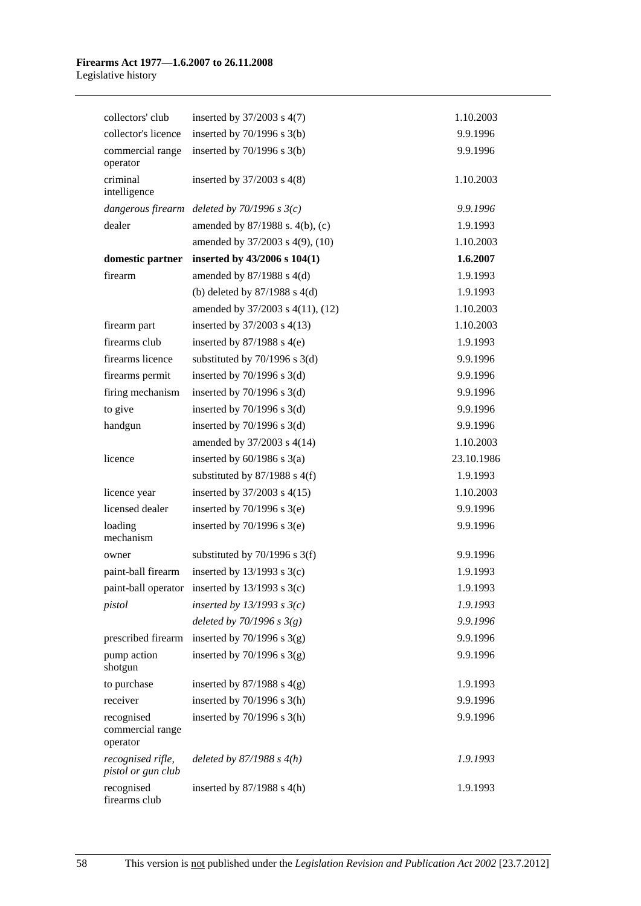#### **Firearms Act 1977—1.6.2007 to 26.11.2008**  Legislative history

| collectors' club                           | inserted by $37/2003$ s $4(7)$                     | 1.10.2003  |
|--------------------------------------------|----------------------------------------------------|------------|
| collector's licence                        | inserted by $70/1996$ s $3(b)$                     | 9.9.1996   |
| commercial range<br>operator               | inserted by $70/1996$ s $3(b)$                     | 9.9.1996   |
| criminal<br>intelligence                   | inserted by $37/2003$ s $4(8)$                     | 1.10.2003  |
|                                            | dangerous firearm deleted by $70/1996$ s $3(c)$    | 9.9.1996   |
| dealer                                     | amended by 87/1988 s. 4(b), (c)                    | 1.9.1993   |
|                                            | amended by 37/2003 s 4(9), (10)                    | 1.10.2003  |
| domestic partner                           | inserted by $43/2006$ s $104(1)$                   | 1.6.2007   |
| firearm                                    | amended by $87/1988$ s $4(d)$                      | 1.9.1993   |
|                                            | (b) deleted by $87/1988$ s 4(d)                    | 1.9.1993   |
|                                            | amended by 37/2003 s 4(11), (12)                   | 1.10.2003  |
| firearm part                               | inserted by 37/2003 s 4(13)                        | 1.10.2003  |
| firearms club                              | inserted by $87/1988$ s $4(e)$                     | 1.9.1993   |
| firearms licence                           | substituted by $70/1996$ s $3(d)$                  | 9.9.1996   |
| firearms permit                            | inserted by $70/1996$ s $3(d)$                     | 9.9.1996   |
| firing mechanism                           | inserted by $70/1996$ s $3(d)$                     | 9.9.1996   |
| to give                                    | inserted by $70/1996$ s $3(d)$                     | 9.9.1996   |
| handgun                                    | inserted by $70/1996$ s $3(d)$                     | 9.9.1996   |
|                                            | amended by 37/2003 s 4(14)                         | 1.10.2003  |
| licence                                    | inserted by $60/1986$ s $3(a)$                     | 23.10.1986 |
|                                            | substituted by $87/1988$ s 4(f)                    | 1.9.1993   |
| licence year                               | inserted by $37/2003$ s $4(15)$                    | 1.10.2003  |
| licensed dealer                            | inserted by $70/1996$ s $3(e)$                     | 9.9.1996   |
| loading<br>mechanism                       | inserted by $70/1996$ s $3(e)$                     | 9.9.1996   |
| owner                                      | substituted by $70/1996$ s $3(f)$                  | 9.9.1996   |
| paint-ball firearm                         | inserted by $13/1993$ s $3(c)$                     | 1.9.1993   |
|                                            | paint-ball operator inserted by $13/1993$ s $3(c)$ | 1.9.1993   |
| pistol                                     | inserted by $13/1993$ s $3(c)$                     | 1.9.1993   |
|                                            | deleted by $70/1996$ s $3(g)$                      | 9.9.1996   |
| prescribed firearm                         | inserted by $70/1996$ s $3(g)$                     | 9.9.1996   |
| pump action<br>shotgun                     | inserted by $70/1996$ s $3(g)$                     | 9.9.1996   |
| to purchase                                | inserted by $87/1988$ s $4(g)$                     | 1.9.1993   |
| receiver                                   | inserted by $70/1996$ s $3(h)$                     | 9.9.1996   |
| recognised<br>commercial range<br>operator | inserted by $70/1996$ s $3(h)$                     | 9.9.1996   |
| recognised rifle,<br>pistol or gun club    | deleted by $87/1988 s 4(h)$                        | 1.9.1993   |
| recognised<br>firearms club                | inserted by $87/1988$ s 4(h)                       | 1.9.1993   |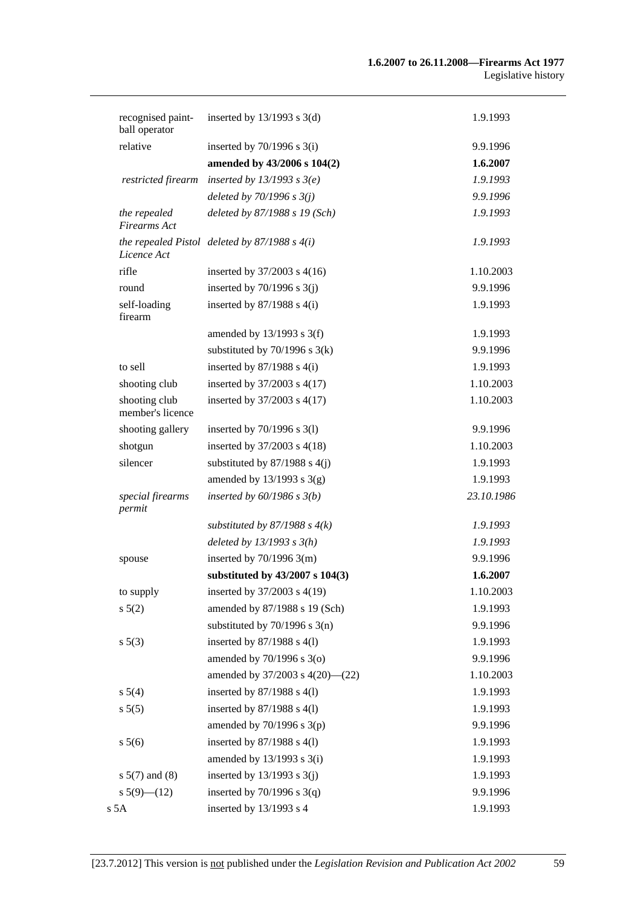| recognised paint-<br>ball operator  | inserted by $13/1993$ s $3(d)$                    | 1.9.1993   |
|-------------------------------------|---------------------------------------------------|------------|
| relative                            | inserted by $70/1996$ s $3(i)$                    | 9.9.1996   |
|                                     | amended by 43/2006 s 104(2)                       | 1.6.2007   |
| restricted firearm                  | inserted by $13/1993$ s $3(e)$                    | 1.9.1993   |
|                                     | deleted by $70/1996$ s $3(j)$                     | 9.9.1996   |
| the repealed<br><b>Firearms</b> Act | deleted by 87/1988 s 19 (Sch)                     | 1.9.1993   |
| Licence Act                         | the repealed Pistol deleted by $87/1988$ s $4(i)$ | 1.9.1993   |
| rifle                               | inserted by 37/2003 s 4(16)                       | 1.10.2003  |
| round                               | inserted by $70/1996$ s $3(j)$                    | 9.9.1996   |
| self-loading<br>firearm             | inserted by $87/1988$ s $4(i)$                    | 1.9.1993   |
|                                     | amended by $13/1993$ s $3(f)$                     | 1.9.1993   |
|                                     | substituted by $70/1996$ s $3(k)$                 | 9.9.1996   |
| to sell                             | inserted by $87/1988$ s $4(i)$                    | 1.9.1993   |
| shooting club                       | inserted by 37/2003 s 4(17)                       | 1.10.2003  |
| shooting club<br>member's licence   | inserted by 37/2003 s 4(17)                       | 1.10.2003  |
| shooting gallery                    | inserted by $70/1996$ s $3(1)$                    | 9.9.1996   |
| shotgun                             | inserted by 37/2003 s 4(18)                       | 1.10.2003  |
| silencer                            | substituted by $87/1988$ s $4(j)$                 | 1.9.1993   |
|                                     | amended by $13/1993$ s $3(g)$                     | 1.9.1993   |
| special firearms<br>permit          | inserted by $60/1986$ s $3(b)$                    | 23.10.1986 |
|                                     | substituted by $87/1988$ s $4(k)$                 | 1.9.1993   |
|                                     | deleted by $13/1993$ s $3(h)$                     | 1.9.1993   |
| spouse                              | inserted by $70/1996$ 3(m)                        | 9.9.1996   |
|                                     | substituted by 43/2007 s 104(3)                   | 1.6.2007   |
| to supply                           | inserted by 37/2003 s 4(19)                       | 1.10.2003  |
| $s\ 5(2)$                           | amended by 87/1988 s 19 (Sch)                     | 1.9.1993   |
|                                     | substituted by $70/1996$ s $3(n)$                 | 9.9.1996   |
| s 5(3)                              | inserted by $87/1988$ s $4(1)$                    | 1.9.1993   |
|                                     | amended by 70/1996 s 3(o)                         | 9.9.1996   |
|                                     | amended by 37/2003 s 4(20)-(22)                   | 1.10.2003  |
| s 5(4)                              | inserted by $87/1988$ s $4(1)$                    | 1.9.1993   |
| s 5(5)                              | inserted by $87/1988$ s $4(1)$                    | 1.9.1993   |
|                                     | amended by $70/1996$ s $3(p)$                     | 9.9.1996   |
| s 5(6)                              | inserted by 87/1988 s 4(1)                        | 1.9.1993   |
|                                     | amended by $13/1993$ s $3(i)$                     | 1.9.1993   |
| $s 5(7)$ and (8)                    | inserted by $13/1993$ s $3(j)$                    | 1.9.1993   |
| $s 5(9)$ (12)                       | inserted by $70/1996$ s $3(q)$                    | 9.9.1996   |
| s 5A                                | inserted by 13/1993 s 4                           | 1.9.1993   |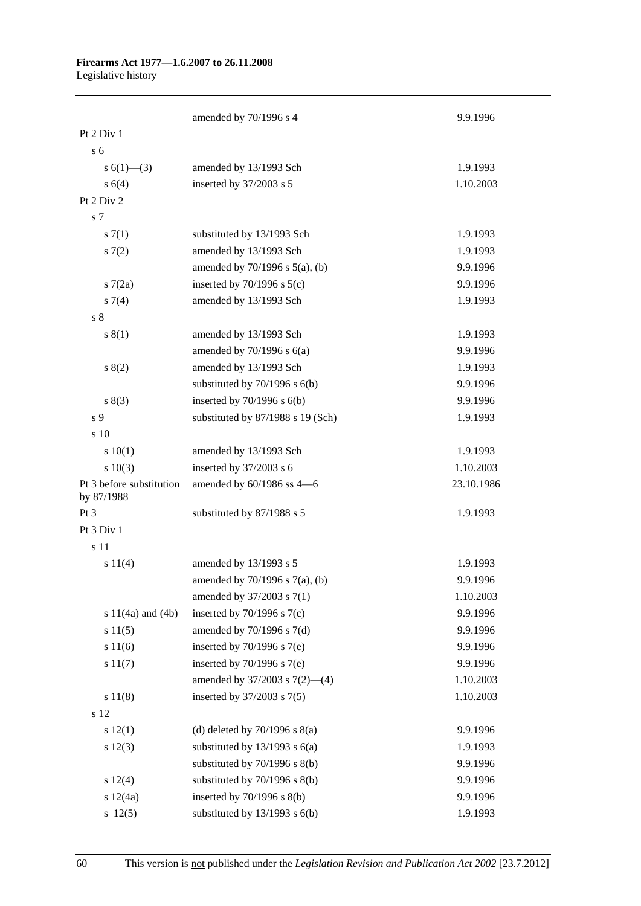#### **Firearms Act 1977—1.6.2007 to 26.11.2008**

Legislative history

|                                        | amended by 70/1996 s 4              | 9.9.1996   |
|----------------------------------------|-------------------------------------|------------|
| Pt 2 Div 1                             |                                     |            |
| s <sub>6</sub>                         |                                     |            |
| s $6(1)$ — $(3)$                       | amended by 13/1993 Sch              | 1.9.1993   |
| s(4)                                   | inserted by 37/2003 s 5             | 1.10.2003  |
| Pt 2 Div 2                             |                                     |            |
| s 7                                    |                                     |            |
| s(7(1))                                | substituted by 13/1993 Sch          | 1.9.1993   |
| s(7(2)                                 | amended by 13/1993 Sch              | 1.9.1993   |
|                                        | amended by $70/1996$ s $5(a)$ , (b) | 9.9.1996   |
| s7(2a)                                 | inserted by $70/1996$ s $5(c)$      | 9.9.1996   |
| $s \, 7(4)$                            | amended by 13/1993 Sch              | 1.9.1993   |
| s <sub>8</sub>                         |                                     |            |
| s(1)                                   | amended by 13/1993 Sch              | 1.9.1993   |
|                                        | amended by $70/1996$ s $6(a)$       | 9.9.1996   |
| s(2)                                   | amended by 13/1993 Sch              | 1.9.1993   |
|                                        | substituted by $70/1996$ s $6(b)$   | 9.9.1996   |
| s(3)                                   | inserted by $70/1996$ s $6(b)$      | 9.9.1996   |
| s <sub>9</sub>                         | substituted by 87/1988 s 19 (Sch)   | 1.9.1993   |
| s 10                                   |                                     |            |
| 10(1)                                  | amended by 13/1993 Sch              | 1.9.1993   |
| s 10(3)                                | inserted by 37/2003 s 6             | 1.10.2003  |
| Pt 3 before substitution<br>by 87/1988 | amended by 60/1986 ss 4-6           | 23.10.1986 |
| Pt 3                                   | substituted by 87/1988 s 5          | 1.9.1993   |
| Pt 3 Div 1                             |                                     |            |
| s 11                                   |                                     |            |
| s 11(4)                                | amended by 13/1993 s 5              | 1.9.1993   |
|                                        | amended by 70/1996 s 7(a), (b)      | 9.9.1996   |
|                                        | amended by 37/2003 s 7(1)           | 1.10.2003  |
| s $11(4a)$ and $(4b)$                  | inserted by $70/1996$ s $7(c)$      | 9.9.1996   |
| s 11(5)                                | amended by $70/1996$ s $7(d)$       | 9.9.1996   |
| s 11(6)                                | inserted by $70/1996$ s $7(e)$      | 9.9.1996   |
| s 11(7)                                | inserted by $70/1996$ s $7(e)$      | 9.9.1996   |
|                                        | amended by $37/2003$ s $7(2)$ —(4)  | 1.10.2003  |
| s 11(8)                                | inserted by 37/2003 s 7(5)          | 1.10.2003  |
| s 12                                   |                                     |            |
| s 12(1)                                | (d) deleted by $70/1996$ s $8(a)$   | 9.9.1996   |
| $s\ 12(3)$                             | substituted by $13/1993$ s $6(a)$   | 1.9.1993   |
|                                        | substituted by 70/1996 s 8(b)       | 9.9.1996   |
| s 12(4)                                | substituted by 70/1996 s 8(b)       | 9.9.1996   |
| s 12(4a)                               | inserted by $70/1996$ s $8(b)$      | 9.9.1996   |
| 12(5)                                  | substituted by $13/1993$ s $6(b)$   | 1.9.1993   |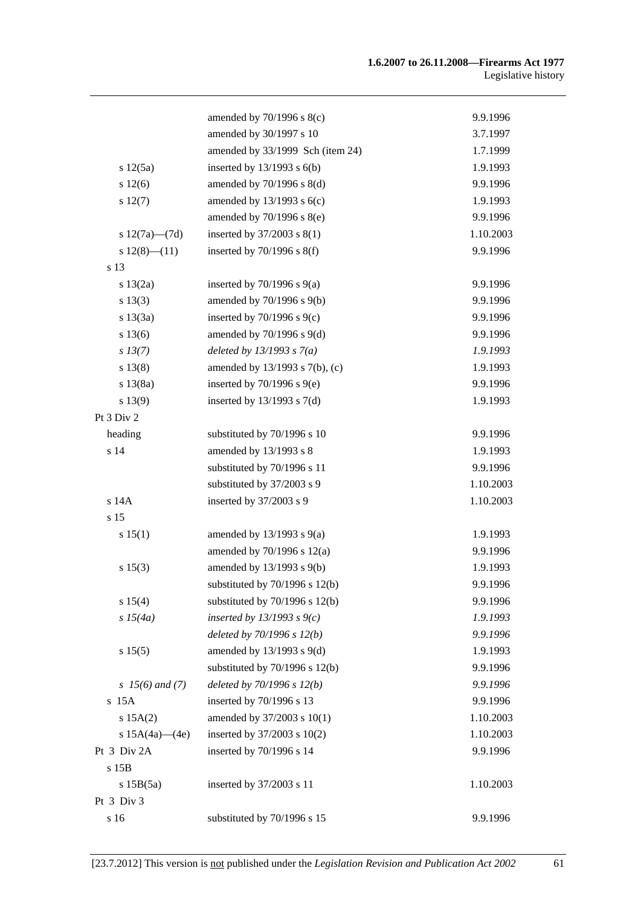|                      | amended by $70/1996$ s $8(c)$      | 9.9.1996  |
|----------------------|------------------------------------|-----------|
|                      | amended by 30/1997 s 10            | 3.7.1997  |
|                      | amended by 33/1999 Sch (item 24)   | 1.7.1999  |
| s 12(5a)             | inserted by $13/1993$ s $6(b)$     | 1.9.1993  |
| s 12(6)              | amended by 70/1996 s 8(d)          | 9.9.1996  |
| $s\ 12(7)$           | amended by $13/1993$ s $6(c)$      | 1.9.1993  |
|                      | amended by 70/1996 s 8(e)          | 9.9.1996  |
| s $12(7a)$ — $(7d)$  | inserted by $37/2003$ s $8(1)$     | 1.10.2003 |
| $s 12(8)$ - $(11)$   | inserted by $70/1996$ s $8(f)$     | 9.9.1996  |
| s 13                 |                                    |           |
| s 13(2a)             | inserted by $70/1996$ s $9(a)$     | 9.9.1996  |
| s 13(3)              | amended by 70/1996 s 9(b)          | 9.9.1996  |
| s 13(3a)             | inserted by $70/1996$ s $9(c)$     | 9.9.1996  |
| s 13(6)              | amended by $70/1996$ s $9(d)$      | 9.9.1996  |
| $s\,13(7)$           | deleted by $13/1993 s 7(a)$        | 1.9.1993  |
| s 13(8)              | amended by 13/1993 s 7(b), (c)     | 1.9.1993  |
| s 13(8a)             | inserted by $70/1996$ s $9(e)$     | 9.9.1996  |
| s 13(9)              | inserted by $13/1993$ s $7(d)$     | 1.9.1993  |
| Pt 3 Div 2           |                                    |           |
| heading              | substituted by 70/1996 s 10        | 9.9.1996  |
| s 14                 | amended by 13/1993 s 8             | 1.9.1993  |
|                      | substituted by 70/1996 s 11        | 9.9.1996  |
|                      | substituted by 37/2003 s 9         | 1.10.2003 |
| s 14A                | inserted by 37/2003 s 9            | 1.10.2003 |
| s 15                 |                                    |           |
| s 15(1)              | amended by $13/1993$ s $9(a)$      | 1.9.1993  |
|                      | amended by $70/1996$ s $12(a)$     | 9.9.1996  |
| s 15(3)              | amended by 13/1993 s 9(b)          | 1.9.1993  |
|                      | substituted by $70/1996$ s $12(b)$ | 9.9.1996  |
| s 15(4)              | substituted by $70/1996$ s $12(b)$ | 9.9.1996  |
| s 15(4a)             | inserted by $13/1993$ s $9(c)$     | 1.9.1993  |
|                      | deleted by $70/1996 s 12(b)$       | 9.9.1996  |
| s 15(5)              | amended by $13/1993$ s $9(d)$      | 1.9.1993  |
|                      | substituted by $70/1996$ s $12(b)$ | 9.9.1996  |
| $s \; 15(6)$ and (7) | deleted by $70/1996$ s $12(b)$     | 9.9.1996  |
| s 15A                | inserted by 70/1996 s 13           | 9.9.1996  |
| s 15A(2)             | amended by 37/2003 s 10(1)         | 1.10.2003 |
| s $15A(4a)$ — $(4e)$ | inserted by 37/2003 s 10(2)        | 1.10.2003 |
| Pt 3 Div 2A          | inserted by 70/1996 s 14           | 9.9.1996  |
| s 15B                |                                    |           |
| s15B(5a)             | inserted by 37/2003 s 11           | 1.10.2003 |
| Pt 3 Div 3           |                                    |           |
| s 16                 | substituted by 70/1996 s 15        | 9.9.1996  |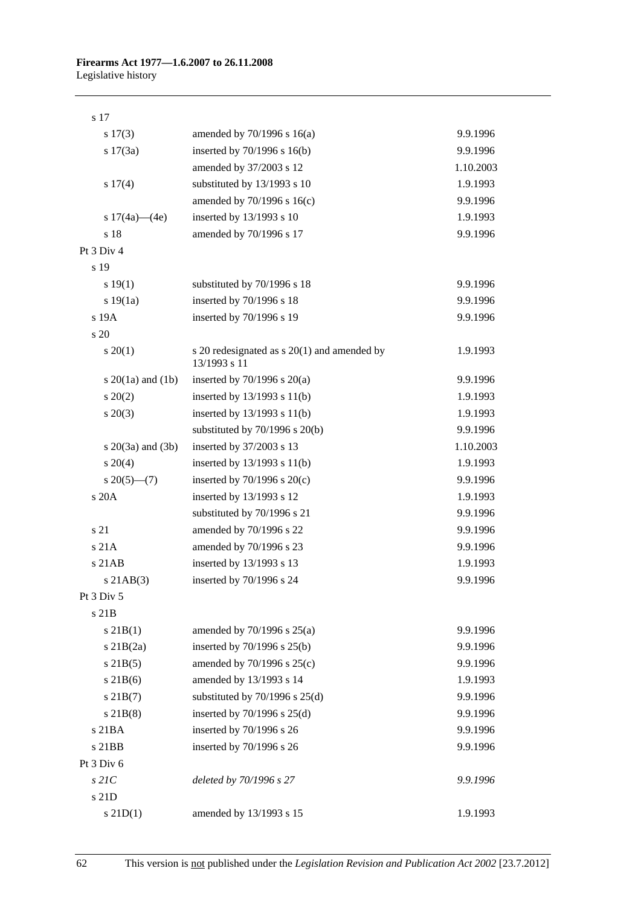| s 17(3)                 | amended by $70/1996$ s $16(a)$                                | 9.9.1996  |
|-------------------------|---------------------------------------------------------------|-----------|
| s 17(3a)                | inserted by 70/1996 s 16(b)                                   | 9.9.1996  |
|                         | amended by 37/2003 s 12                                       | 1.10.2003 |
| s 17(4)                 | substituted by 13/1993 s 10                                   | 1.9.1993  |
|                         | amended by 70/1996 s 16(c)                                    | 9.9.1996  |
| s $17(4a)$ — $(4e)$     | inserted by 13/1993 s 10                                      | 1.9.1993  |
| s 18                    | amended by 70/1996 s 17                                       | 9.9.1996  |
| Pt 3 Div 4              |                                                               |           |
| s 19                    |                                                               |           |
| s 19(1)                 | substituted by 70/1996 s 18                                   | 9.9.1996  |
| s 19(1a)                | inserted by 70/1996 s 18                                      | 9.9.1996  |
| s 19A                   | inserted by 70/1996 s 19                                      | 9.9.1996  |
| s 20                    |                                                               |           |
| $s \ 20(1)$             | s 20 redesignated as $s$ 20(1) and amended by<br>13/1993 s 11 | 1.9.1993  |
| s $20(1a)$ and $(1b)$   | inserted by $70/1996$ s $20(a)$                               | 9.9.1996  |
| $\pm 20(2)$             | inserted by 13/1993 s 11(b)                                   | 1.9.1993  |
| $s \ 20(3)$             | inserted by 13/1993 s 11(b)                                   | 1.9.1993  |
|                         | substituted by $70/1996$ s $20(b)$                            | 9.9.1996  |
| $s \ 20(3a)$ and $(3b)$ | inserted by 37/2003 s 13                                      | 1.10.2003 |
| $s \ 20(4)$             | inserted by $13/1993$ s $11(b)$                               | 1.9.1993  |
| $s \ 20(5)$ —(7)        | inserted by $70/1996$ s $20(c)$                               | 9.9.1996  |
| s 20A                   | inserted by 13/1993 s 12                                      | 1.9.1993  |
|                         | substituted by 70/1996 s 21                                   | 9.9.1996  |
| s 21                    | amended by 70/1996 s 22                                       | 9.9.1996  |
| s 21A                   | amended by 70/1996 s 23                                       | 9.9.1996  |
| s 21AB                  | inserted by 13/1993 s 13                                      | 1.9.1993  |
| $s$ 21AB $(3)$          | inserted by 70/1996 s 24                                      | 9.9.1996  |
| Pt 3 Div 5              |                                                               |           |
| s 21B                   |                                                               |           |
| $s$ 21B(1)              | amended by $70/1996$ s $25(a)$                                | 9.9.1996  |
| $s$ 21B $(2a)$          | inserted by 70/1996 s 25(b)                                   | 9.9.1996  |
| $s$ 21B(5)              | amended by 70/1996 s 25(c)                                    | 9.9.1996  |
| $s$ 21B $(6)$           | amended by 13/1993 s 14                                       | 1.9.1993  |
| $s$ 21B $(7)$           | substituted by $70/1996$ s $25(d)$                            | 9.9.1996  |
| $s$ 21B $(8)$           | inserted by $70/1996$ s $25(d)$                               | 9.9.1996  |
| s 21BA                  | inserted by 70/1996 s 26                                      | 9.9.1996  |
| s 21BB                  | inserted by 70/1996 s 26                                      | 9.9.1996  |
| Pt 3 Div 6              |                                                               |           |
| $s$ 21 $C$              | deleted by 70/1996 s 27                                       | 9.9.1996  |
| s 21D                   |                                                               |           |
| $s$ 21D(1)              | amended by 13/1993 s 15                                       | 1.9.1993  |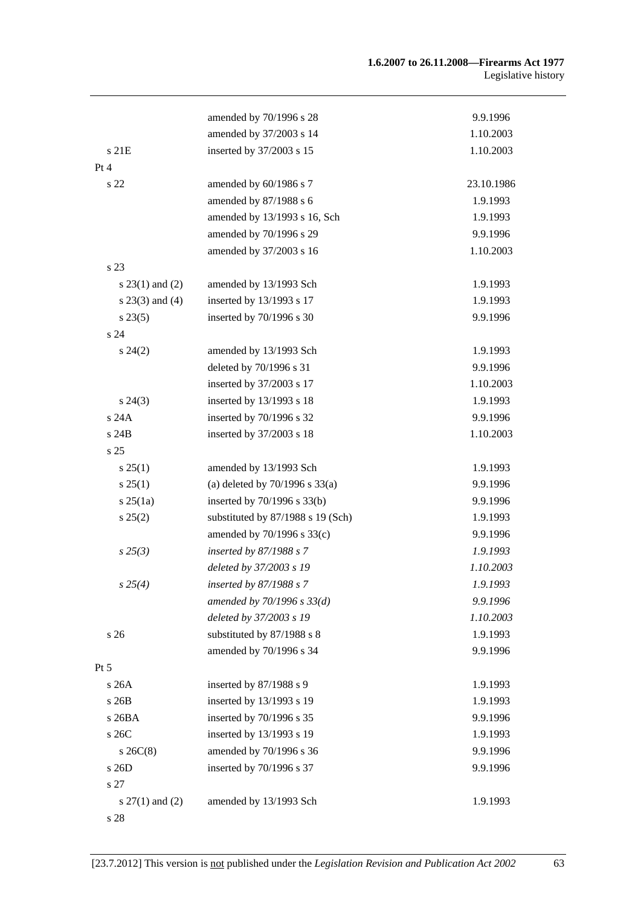|                     | amended by 70/1996 s 28            | 9.9.1996   |
|---------------------|------------------------------------|------------|
|                     | amended by 37/2003 s 14            | 1.10.2003  |
| s 21E               | inserted by 37/2003 s 15           | 1.10.2003  |
| Pt 4                |                                    |            |
| s 22                | amended by 60/1986 s 7             | 23.10.1986 |
|                     | amended by 87/1988 s 6             | 1.9.1993   |
|                     | amended by 13/1993 s 16, Sch       | 1.9.1993   |
|                     | amended by 70/1996 s 29            | 9.9.1996   |
|                     | amended by 37/2003 s 16            | 1.10.2003  |
| s 23                |                                    |            |
| $s$ 23(1) and (2)   | amended by 13/1993 Sch             | 1.9.1993   |
| $s$ 23(3) and (4)   | inserted by 13/1993 s 17           | 1.9.1993   |
| $s\,23(5)$          | inserted by 70/1996 s 30           | 9.9.1996   |
| s <sub>24</sub>     |                                    |            |
| $s\,24(2)$          | amended by 13/1993 Sch             | 1.9.1993   |
|                     | deleted by 70/1996 s 31            | 9.9.1996   |
|                     | inserted by 37/2003 s 17           | 1.10.2003  |
| $s\,24(3)$          | inserted by 13/1993 s 18           | 1.9.1993   |
| s 24A               | inserted by 70/1996 s 32           | 9.9.1996   |
| s 24B               | inserted by 37/2003 s 18           | 1.10.2003  |
| s 25                |                                    |            |
| $s \, 25(1)$        | amended by 13/1993 Sch             | 1.9.1993   |
| $s \, 25(1)$        | (a) deleted by $70/1996$ s $33(a)$ | 9.9.1996   |
| $s \, 25(1a)$       | inserted by 70/1996 s 33(b)        | 9.9.1996   |
| $s\,25(2)$          | substituted by 87/1988 s 19 (Sch)  | 1.9.1993   |
|                     | amended by 70/1996 s 33(c)         | 9.9.1996   |
| $s\,25(3)$          | inserted by 87/1988 s 7            | 1.9.1993   |
|                     | deleted by 37/2003 s 19            | 1.10.2003  |
| $s\,25(4)$          | inserted by 87/1988 s 7            | 1.9.1993   |
|                     | amended by 70/1996 s 33(d)         | 9.9.1996   |
|                     | deleted by 37/2003 s 19            | 1.10.2003  |
| s 26                | substituted by 87/1988 s 8         | 1.9.1993   |
|                     | amended by 70/1996 s 34            | 9.9.1996   |
| $Pt\,5$             |                                    |            |
| s26A                | inserted by 87/1988 s 9            | 1.9.1993   |
| s 26B               | inserted by 13/1993 s 19           | 1.9.1993   |
| s 26BA              | inserted by 70/1996 s 35           | 9.9.1996   |
| s 26C               | inserted by 13/1993 s 19           | 1.9.1993   |
| $s$ 26C(8)          | amended by 70/1996 s 36            | 9.9.1996   |
| s 26D               | inserted by 70/1996 s 37           | 9.9.1996   |
| s 27                |                                    |            |
| s $27(1)$ and $(2)$ | amended by 13/1993 Sch             | 1.9.1993   |
| s 28                |                                    |            |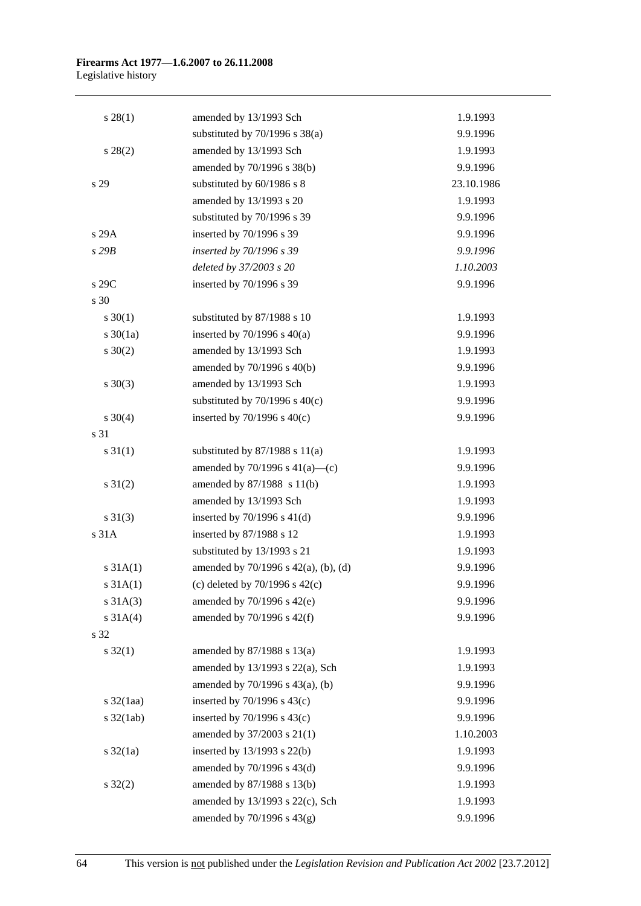#### **Firearms Act 1977—1.6.2007 to 26.11.2008**  Legislative history

| $s\,28(1)$            | amended by 13/1993 Sch                    | 1.9.1993   |
|-----------------------|-------------------------------------------|------------|
|                       | substituted by $70/1996$ s $38(a)$        | 9.9.1996   |
| $s\,28(2)$            | amended by 13/1993 Sch                    | 1.9.1993   |
|                       | amended by 70/1996 s 38(b)                | 9.9.1996   |
| s 29                  | substituted by 60/1986 s 8                | 23.10.1986 |
|                       | amended by 13/1993 s 20                   | 1.9.1993   |
|                       | substituted by 70/1996 s 39               | 9.9.1996   |
| s 29A                 | inserted by 70/1996 s 39                  | 9.9.1996   |
| s29B                  | inserted by 70/1996 s 39                  | 9.9.1996   |
|                       | deleted by 37/2003 s 20                   | 1.10.2003  |
| s 29C                 | inserted by 70/1996 s 39                  | 9.9.1996   |
| s 30                  |                                           |            |
| $s \ 30(1)$           | substituted by 87/1988 s 10               | 1.9.1993   |
| $s \ 30(1a)$          | inserted by $70/1996$ s $40(a)$           | 9.9.1996   |
| $s \ 30(2)$           | amended by 13/1993 Sch                    | 1.9.1993   |
|                       | amended by 70/1996 s 40(b)                | 9.9.1996   |
| $s \ 30(3)$           | amended by 13/1993 Sch                    | 1.9.1993   |
|                       | substituted by $70/1996$ s $40(c)$        | 9.9.1996   |
| $s \ 30(4)$           | inserted by $70/1996$ s $40(c)$           | 9.9.1996   |
| s 31                  |                                           |            |
| $s \, 31(1)$          | substituted by $87/1988$ s $11(a)$        | 1.9.1993   |
|                       | amended by $70/1996$ s $41(a)$ —(c)       | 9.9.1996   |
| $s \, 31(2)$          | amended by $87/1988 \text{ s } 11(b)$     | 1.9.1993   |
|                       | amended by 13/1993 Sch                    | 1.9.1993   |
| $s \ 31(3)$           | inserted by $70/1996$ s $41(d)$           | 9.9.1996   |
| s 31A                 | inserted by 87/1988 s 12                  | 1.9.1993   |
|                       | substituted by 13/1993 s 21               | 1.9.1993   |
| $s \, 31A(1)$         | amended by $70/1996$ s $42(a)$ , (b), (d) | 9.9.1996   |
| s 31A(1)              | (c) deleted by $70/1996$ s $42(c)$        | 9.9.1996   |
| $s \, 31A(3)$         | amended by $70/1996$ s $42(e)$            | 9.9.1996   |
| $s \, 31A(4)$         | amended by $70/1996$ s $42(f)$            | 9.9.1996   |
| s 32                  |                                           |            |
| $s \, 32(1)$          | amended by $87/1988$ s $13(a)$            | 1.9.1993   |
|                       | amended by $13/1993$ s $22(a)$ , Sch      | 1.9.1993   |
|                       | amended by 70/1996 s 43(a), (b)           | 9.9.1996   |
| $s \frac{32}{1}$ aa)  | inserted by $70/1996$ s $43(c)$           | 9.9.1996   |
| $s \frac{32(1ab)}{2}$ | inserted by $70/1996$ s $43(c)$           | 9.9.1996   |
|                       | amended by 37/2003 s 21(1)                | 1.10.2003  |
| $s \frac{32}{1a}$     | inserted by 13/1993 s 22(b)               | 1.9.1993   |
|                       | amended by 70/1996 s 43(d)                | 9.9.1996   |
| $s \, 32(2)$          | amended by 87/1988 s 13(b)                | 1.9.1993   |
|                       | amended by 13/1993 s 22(c), Sch           | 1.9.1993   |
|                       | amended by 70/1996 s 43(g)                | 9.9.1996   |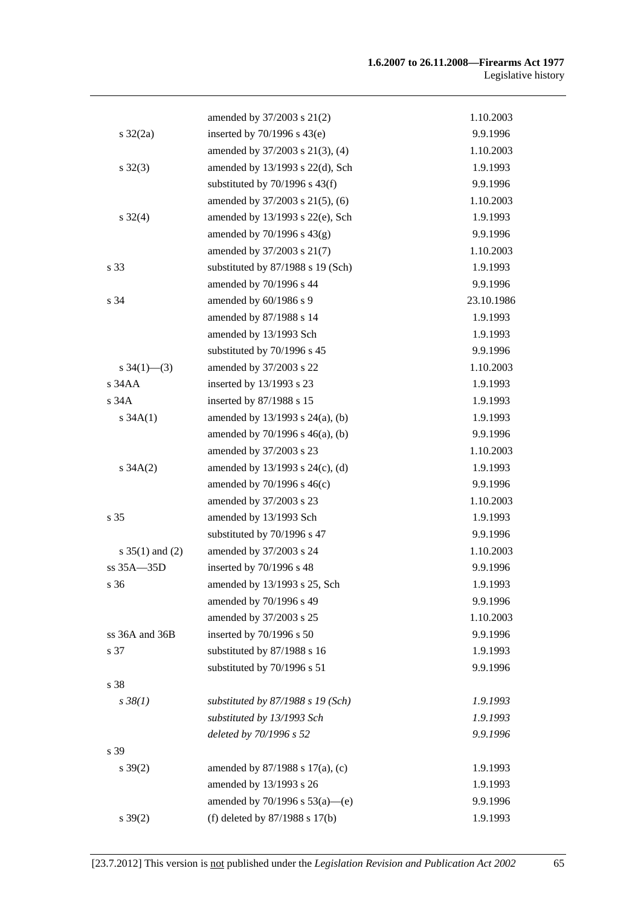|                     | amended by 37/2003 s 21(2)           | 1.10.2003  |
|---------------------|--------------------------------------|------------|
| $s \frac{32}{2a}$   | inserted by $70/1996$ s $43(e)$      | 9.9.1996   |
|                     | amended by 37/2003 s 21(3), (4)      | 1.10.2003  |
| $s \, 32(3)$        | amended by 13/1993 s 22(d), Sch      | 1.9.1993   |
|                     | substituted by $70/1996$ s $43(f)$   | 9.9.1996   |
|                     | amended by 37/2003 s 21(5), (6)      | 1.10.2003  |
| $s \frac{32(4)}{2}$ | amended by 13/1993 s 22(e), Sch      | 1.9.1993   |
|                     | amended by $70/1996$ s $43(g)$       | 9.9.1996   |
|                     | amended by 37/2003 s 21(7)           | 1.10.2003  |
| s 33                | substituted by 87/1988 s 19 (Sch)    | 1.9.1993   |
|                     | amended by 70/1996 s 44              | 9.9.1996   |
| s 34                | amended by 60/1986 s 9               | 23.10.1986 |
|                     | amended by 87/1988 s 14              | 1.9.1993   |
|                     | amended by 13/1993 Sch               | 1.9.1993   |
|                     | substituted by 70/1996 s 45          | 9.9.1996   |
| s $34(1)$ — $(3)$   | amended by 37/2003 s 22              | 1.10.2003  |
| s 34AA              | inserted by 13/1993 s 23             | 1.9.1993   |
| s 34A               | inserted by 87/1988 s 15             | 1.9.1993   |
| s $34A(1)$          | amended by 13/1993 s 24(a), (b)      | 1.9.1993   |
|                     | amended by $70/1996$ s $46(a)$ , (b) | 9.9.1996   |
|                     | amended by 37/2003 s 23              | 1.10.2003  |
| $s \, 34A(2)$       | amended by $13/1993$ s $24(c)$ , (d) | 1.9.1993   |
|                     | amended by $70/1996$ s $46(c)$       | 9.9.1996   |
|                     | amended by 37/2003 s 23              | 1.10.2003  |
| s 35                | amended by 13/1993 Sch               | 1.9.1993   |
|                     | substituted by 70/1996 s 47          | 9.9.1996   |
| s $35(1)$ and (2)   | amended by 37/2003 s 24              | 1.10.2003  |
| $ss 35A - 35D$      | inserted by 70/1996 s 48             | 9.9.1996   |
| s 36                | amended by 13/1993 s 25, Sch         | 1.9.1993   |
|                     | amended by 70/1996 s 49              | 9.9.1996   |
|                     | amended by 37/2003 s 25              | 1.10.2003  |
| ss 36A and 36B      | inserted by 70/1996 s 50             | 9.9.1996   |
| s 37                | substituted by 87/1988 s 16          | 1.9.1993   |
|                     | substituted by 70/1996 s 51          | 9.9.1996   |
| s 38                |                                      |            |
| $s \, 38(1)$        | substituted by $87/1988$ s 19 (Sch)  | 1.9.1993   |
|                     | substituted by 13/1993 Sch           | 1.9.1993   |
|                     | deleted by 70/1996 s 52              | 9.9.1996   |
| s 39                |                                      |            |
| $s \, 39(2)$        | amended by $87/1988$ s $17(a)$ , (c) | 1.9.1993   |
|                     | amended by 13/1993 s 26              | 1.9.1993   |
|                     | amended by 70/1996 s 53(a)-(e)       | 9.9.1996   |
| $s \, 39(2)$        | (f) deleted by $87/1988$ s $17(b)$   | 1.9.1993   |